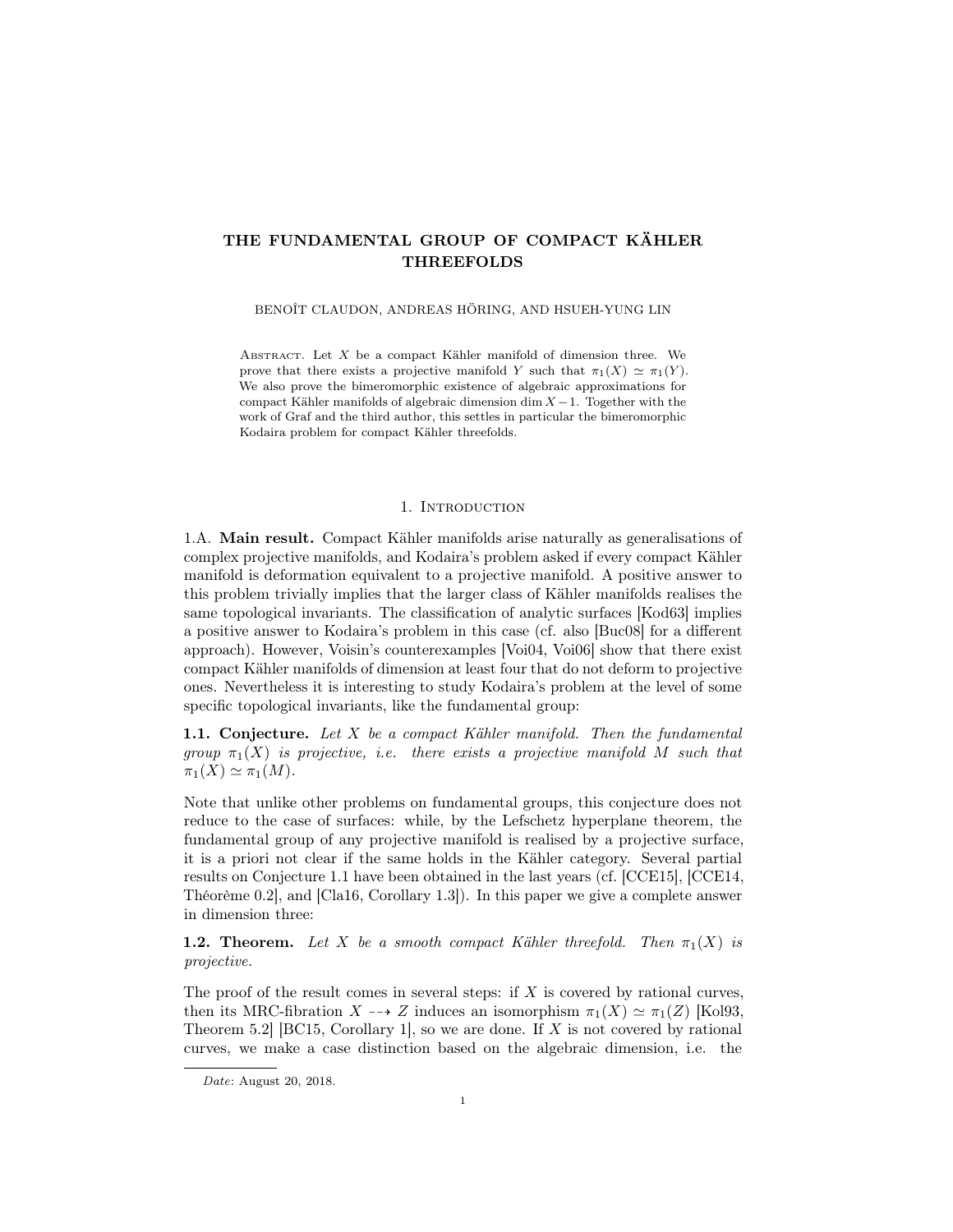# THE FUNDAMENTAL GROUP OF COMPACT KÄHLER THREEFOLDS

BENOÎT CLAUDON, ANDREAS HÖRING, AND HSUEH-YUNG LIN

ABSTRACT. Let  $X$  be a compact Kähler manifold of dimension three. We prove that there exists a projective manifold Y such that  $\pi_1(X) \simeq \pi_1(Y)$ . We also prove the bimeromorphic existence of algebraic approximations for compact Kähler manifolds of algebraic dimension dim  $X - 1$ . Together with the work of Graf and the third author, this settles in particular the bimeromorphic Kodaira problem for compact Kähler threefolds.

### 1. Introduction

1.A. Main result. Compact Kähler manifolds arise naturally as generalisations of complex projective manifolds, and Kodaira's problem asked if every compact Kähler manifold is deformation equivalent to a projective manifold. A positive answer to this problem trivially implies that the larger class of Kähler manifolds realises the same topological invariants. The classification of analytic surfaces [Kod63] implies a positive answer to Kodaira's problem in this case (cf. also [Buc08] for a different approach). However, Voisin's counterexamples [Voi04, Voi06] show that there exist compact Kähler manifolds of dimension at least four that do not deform to projective ones. Nevertheless it is interesting to study Kodaira's problem at the level of some specific topological invariants, like the fundamental group:

**1.1. Conjecture.** Let  $X$  be a compact Kähler manifold. Then the fundamental group  $\pi_1(X)$  is projective, i.e. there exists a projective manifold M such that  $\pi_1(X) \simeq \pi_1(M).$ 

Note that unlike other problems on fundamental groups, this conjecture does not reduce to the case of surfaces: while, by the Lefschetz hyperplane theorem, the fundamental group of any projective manifold is realised by a projective surface, it is a priori not clear if the same holds in the Kähler category. Several partial results on Conjecture 1.1 have been obtained in the last years (cf. [CCE15], [CCE14, Théorème 0.2], and [Cla16, Corollary 1.3]). In this paper we give a complete answer in dimension three:

**1.2. Theorem.** Let X be a smooth compact Kähler threefold. Then  $\pi_1(X)$  is projective.

The proof of the result comes in several steps: if  $X$  is covered by rational curves, then its MRC-fibration  $X \dashrightarrow Z$  induces an isomorphism  $\pi_1(X) \simeq \pi_1(Z)$  [Kol93, Theorem 5.2 [BC15, Corollary 1], so we are done. If X is not covered by rational curves, we make a case distinction based on the algebraic dimension, i.e. the

Date: August 20, 2018.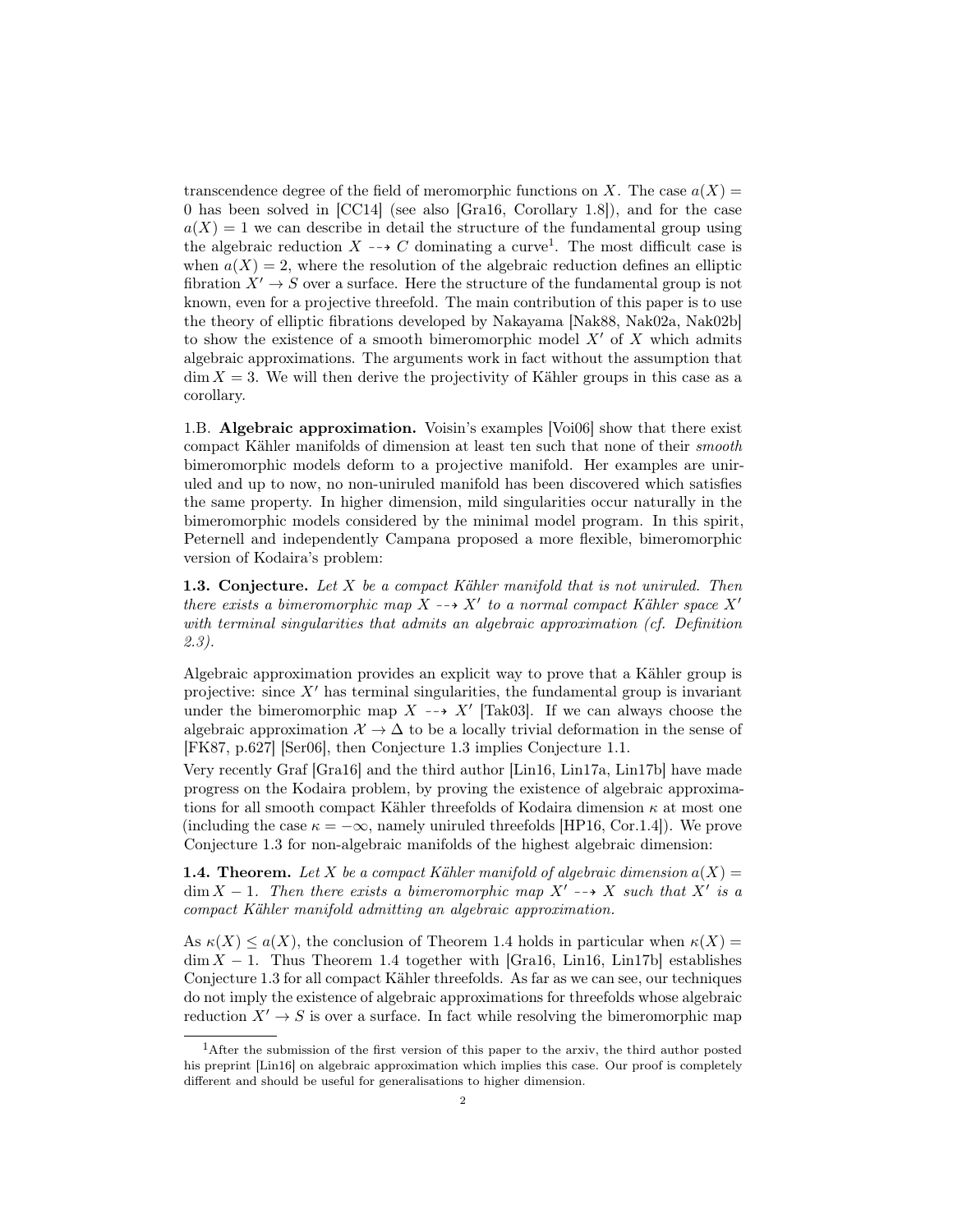transcendence degree of the field of meromorphic functions on X. The case  $a(X) =$ 0 has been solved in [CC14] (see also [Gra16, Corollary 1.8]), and for the case  $a(X) = 1$  we can describe in detail the structure of the fundamental group using the algebraic reduction  $X \dashrightarrow C$  dominating a curve<sup>1</sup>. The most difficult case is when  $a(X) = 2$ , where the resolution of the algebraic reduction defines an elliptic fibration  $X' \to S$  over a surface. Here the structure of the fundamental group is not known, even for a projective threefold. The main contribution of this paper is to use the theory of elliptic fibrations developed by Nakayama [Nak88, Nak02a, Nak02b] to show the existence of a smooth bimeromorphic model  $X'$  of X which admits algebraic approximations. The arguments work in fact without the assumption that  $\dim X = 3$ . We will then derive the projectivity of Kähler groups in this case as a corollary.

1.B. Algebraic approximation. Voisin's examples [Voi06] show that there exist compact Kähler manifolds of dimension at least ten such that none of their smooth bimeromorphic models deform to a projective manifold. Her examples are uniruled and up to now, no non-uniruled manifold has been discovered which satisfies the same property. In higher dimension, mild singularities occur naturally in the bimeromorphic models considered by the minimal model program. In this spirit, Peternell and independently Campana proposed a more flexible, bimeromorphic version of Kodaira's problem:

**1.3. Conjecture.** Let  $X$  be a compact Kähler manifold that is not uniruled. Then there exists a bimeromorphic map  $\overline{X} \dashrightarrow X'$  to a normal compact Kähler space  $X'$ with terminal singularities that admits an algebraic approximation (cf. Definition 2.3).

Algebraic approximation provides an explicit way to prove that a Kähler group is projective: since  $X'$  has terminal singularities, the fundamental group is invariant under the bimeromorphic map  $X \dashrightarrow X'$  [Tak03]. If we can always choose the algebraic approximation  $\mathcal{X} \to \Delta$  to be a locally trivial deformation in the sense of [FK87, p.627] [Ser06], then Conjecture 1.3 implies Conjecture 1.1.

Very recently Graf [Gra16] and the third author [Lin16, Lin17a, Lin17b] have made progress on the Kodaira problem, by proving the existence of algebraic approximations for all smooth compact Kähler threefolds of Kodaira dimension  $\kappa$  at most one (including the case  $\kappa = -\infty$ , namely uniruled threefolds [HP16, Cor.1.4]). We prove Conjecture 1.3 for non-algebraic manifolds of the highest algebraic dimension:

**1.4. Theorem.** Let X be a compact Kähler manifold of algebraic dimension  $a(X) =$  $\dim X - 1$ . Then there exists a bimeromorphic map  $X' \dashrightarrow X$  such that  $X'$  is a compact Kähler manifold admitting an algebraic approximation.

As  $\kappa(X) \leq a(X)$ , the conclusion of Theorem 1.4 holds in particular when  $\kappa(X) =$  $\dim X - 1$ . Thus Theorem 1.4 together with [Gra16, Lin16, Lin17b] establishes Conjecture 1.3 for all compact Kähler threefolds. As far as we can see, our techniques do not imply the existence of algebraic approximations for threefolds whose algebraic reduction  $X' \to S$  is over a surface. In fact while resolving the bimeromorphic map

<sup>&</sup>lt;sup>1</sup>After the submission of the first version of this paper to the arxiv, the third author posted his preprint [Lin16] on algebraic approximation which implies this case. Our proof is completely different and should be useful for generalisations to higher dimension.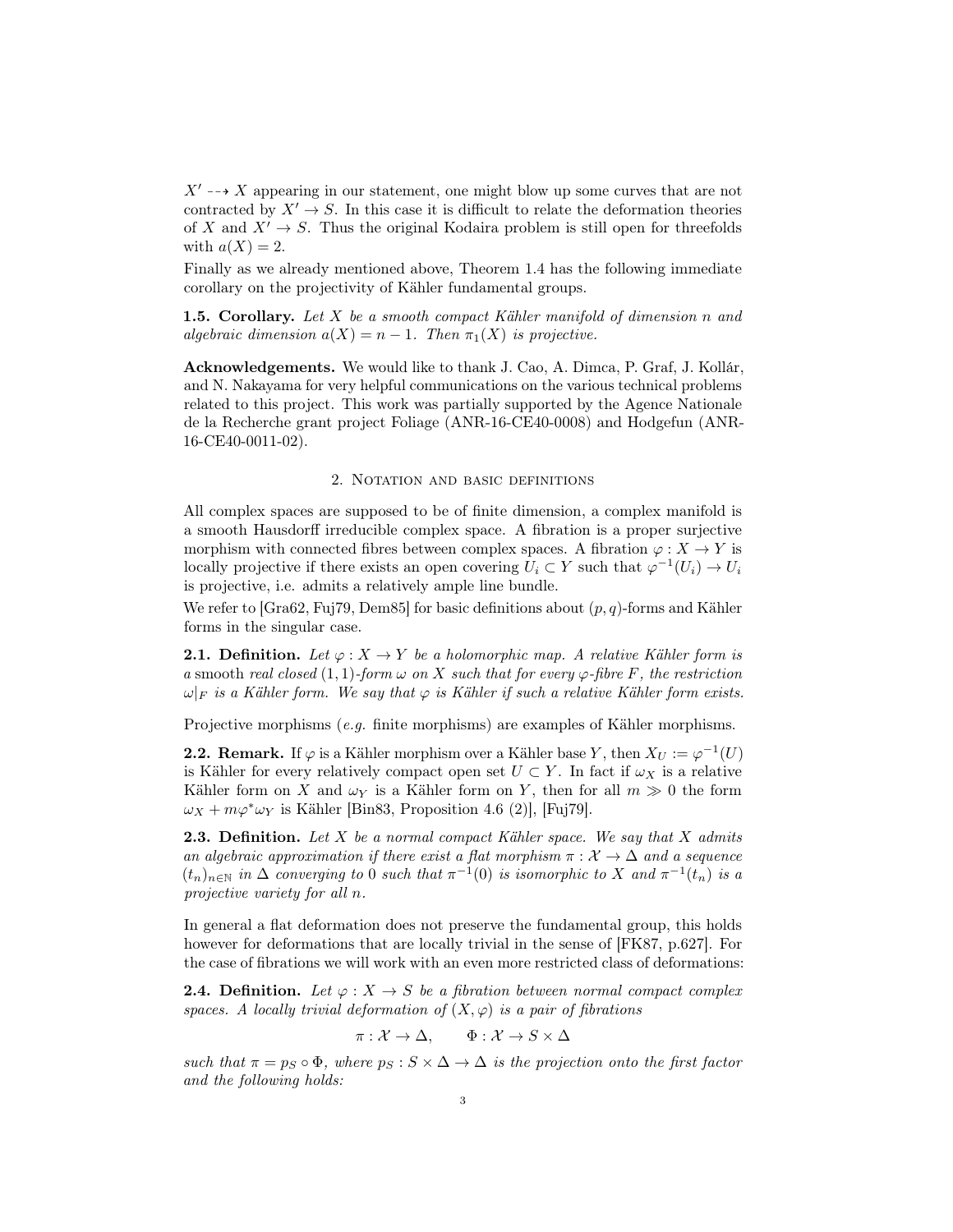$X' \rightarrow X$  appearing in our statement, one might blow up some curves that are not contracted by  $X' \to S$ . In this case it is difficult to relate the deformation theories of X and  $X' \to S$ . Thus the original Kodaira problem is still open for threefolds with  $a(X) = 2$ .

Finally as we already mentioned above, Theorem 1.4 has the following immediate corollary on the projectivity of Kähler fundamental groups.

**1.5. Corollary.** Let  $X$  be a smooth compact Kähler manifold of dimension n and algebraic dimension  $a(X) = n - 1$ . Then  $\pi_1(X)$  is projective.

Acknowledgements. We would like to thank J. Cao, A. Dimca, P. Graf, J. Kollár, and N. Nakayama for very helpful communications on the various technical problems related to this project. This work was partially supported by the Agence Nationale de la Recherche grant project Foliage (ANR-16-CE40-0008) and Hodgefun (ANR-16-CE40-0011-02).

## 2. Notation and basic definitions

All complex spaces are supposed to be of finite dimension, a complex manifold is a smooth Hausdorff irreducible complex space. A fibration is a proper surjective morphism with connected fibres between complex spaces. A fibration  $\varphi: X \to Y$  is locally projective if there exists an open covering  $U_i \subset Y$  such that  $\varphi^{-1}(U_i) \to U_i$ is projective, i.e. admits a relatively ample line bundle.

We refer to [Gra62, Fuj79, Dem85] for basic definitions about  $(p, q)$ -forms and Kähler forms in the singular case.

**2.1. Definition.** Let  $\varphi: X \to Y$  be a holomorphic map. A relative Kähler form is a smooth real closed  $(1, 1)$ -form  $\omega$  on X such that for every  $\varphi$ -fibre F, the restriction  $\omega|_F$  is a Kähler form. We say that  $\varphi$  is Kähler if such a relative Kähler form exists.

Projective morphisms (e.g. finite morphisms) are examples of Kähler morphisms.

**2.2. Remark.** If  $\varphi$  is a Kähler morphism over a Kähler base Y, then  $X_U := \varphi^{-1}(U)$ is Kähler for every relatively compact open set  $U \subset Y$ . In fact if  $\omega_X$  is a relative Kähler form on X and  $\omega_Y$  is a Kähler form on Y, then for all  $m \gg 0$  the form  $\omega_X + m\varphi^*\omega_Y$  is Kähler [Bin83, Proposition 4.6 (2)], [Fuj79].

**2.3. Definition.** Let X be a normal compact Kähler space. We say that X admits an algebraic approximation if there exist a flat morphism  $\pi : \mathcal{X} \to \Delta$  and a sequence  $(t_n)_{n\in\mathbb{N}}$  in  $\Delta$  converging to 0 such that  $\pi^{-1}(0)$  is isomorphic to X and  $\pi^{-1}(t_n)$  is a projective variety for all n.

In general a flat deformation does not preserve the fundamental group, this holds however for deformations that are locally trivial in the sense of [FK87, p.627]. For the case of fibrations we will work with an even more restricted class of deformations:

**2.4. Definition.** Let  $\varphi: X \to S$  be a fibration between normal compact complex spaces. A locally trivial deformation of  $(X, \varphi)$  is a pair of fibrations

$$
\pi: \mathcal{X} \to \Delta, \qquad \Phi: \mathcal{X} \to S \times \Delta
$$

such that  $\pi = p_S \circ \Phi$ , where  $p_S : S \times \Delta \to \Delta$  is the projection onto the first factor and the following holds: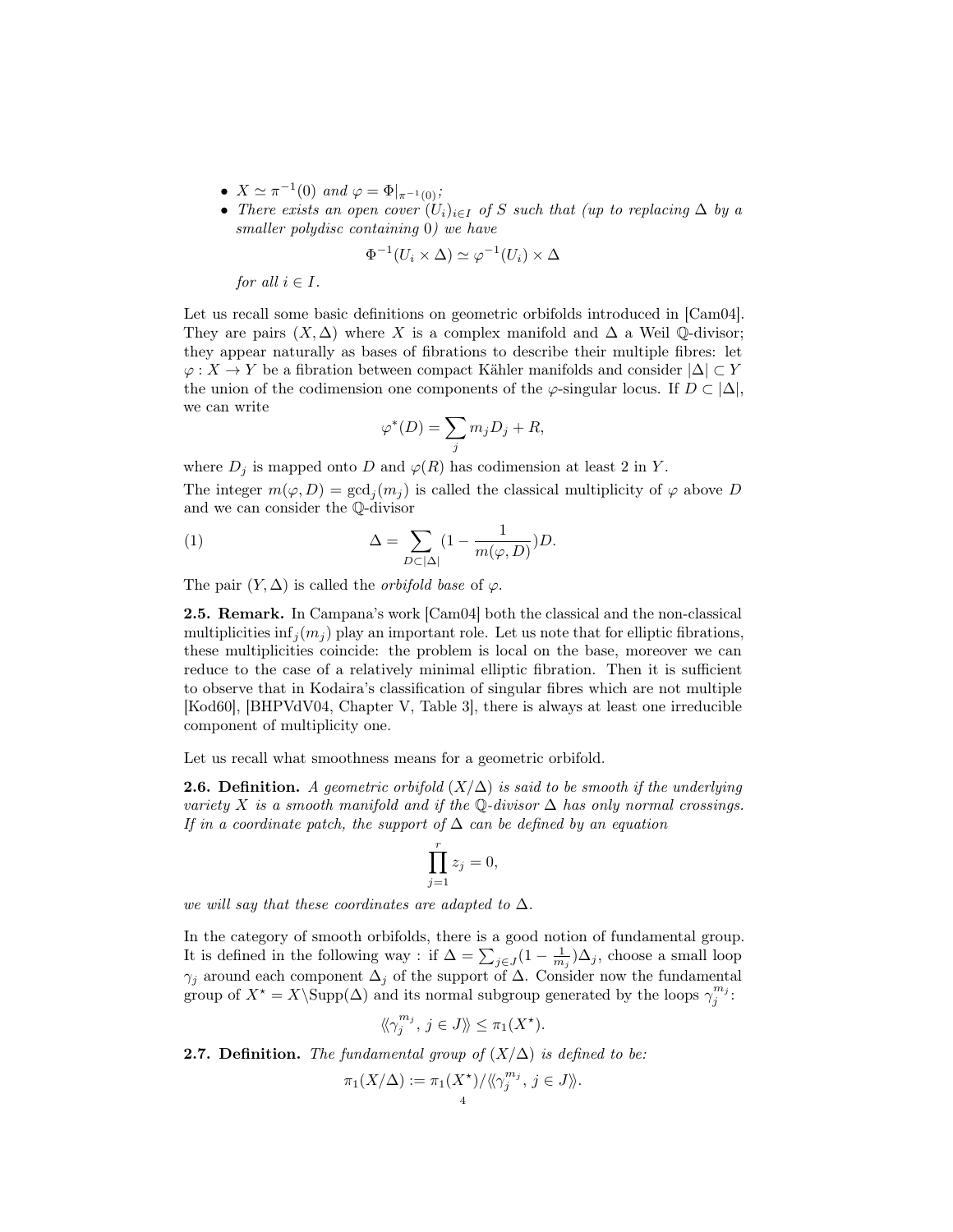- $X \simeq \pi^{-1}(0)$  and  $\varphi = \Phi|_{\pi^{-1}(0)}$ ;
- There exists an open cover  $(U_i)_{i\in I}$  of S such that (up to replacing  $\Delta$  by a smaller polydisc containing 0) we have

$$
\Phi^{-1}(U_i \times \Delta) \simeq \varphi^{-1}(U_i) \times \Delta
$$

for all  $i \in I$ .

Let us recall some basic definitions on geometric orbifolds introduced in [Cam04]. They are pairs  $(X, \Delta)$  where X is a complex manifold and  $\Delta$  a Weil Q-divisor; they appear naturally as bases of fibrations to describe their multiple fibres: let  $\varphi: X \to Y$  be a fibration between compact Kähler manifolds and consider  $|\Delta| \subset Y$ the union of the codimension one components of the  $\varphi$ -singular locus. If  $D \subset |\Delta|$ , we can write

$$
\varphi^*(D) = \sum_j m_j D_j + R,
$$

where  $D_j$  is mapped onto D and  $\varphi(R)$  has codimension at least 2 in Y. The integer  $m(\varphi, D) = \gcd_j(m_j)$  is called the classical multiplicity of  $\varphi$  above D and we can consider the Q-divisor

(1) 
$$
\Delta = \sum_{D \subset |\Delta|} (1 - \frac{1}{m(\varphi, D)}) D.
$$

The pair  $(Y, \Delta)$  is called the *orbifold base* of  $\varphi$ .

2.5. Remark. In Campana's work [Cam04] both the classical and the non-classical multiplicities inf $_i(m_i)$  play an important role. Let us note that for elliptic fibrations, these multiplicities coincide: the problem is local on the base, moreover we can reduce to the case of a relatively minimal elliptic fibration. Then it is sufficient to observe that in Kodaira's classification of singular fibres which are not multiple [Kod60], [BHPVdV04, Chapter V, Table 3], there is always at least one irreducible component of multiplicity one.

Let us recall what smoothness means for a geometric orbifold.

**2.6.** Definition. A geometric orbifold  $(X/\Delta)$  is said to be smooth if the underlying variety X is a smooth manifold and if the Q-divisor  $\Delta$  has only normal crossings. If in a coordinate patch, the support of  $\Delta$  can be defined by an equation

$$
\prod_{j=1}^r z_j = 0,
$$

we will say that these coordinates are adapted to  $\Delta$ .

In the category of smooth orbifolds, there is a good notion of fundamental group. It is defined in the following way : if  $\Delta = \sum_{j\in J} (1 - \frac{1}{m_j})\Delta_j$ , choose a small loop  $\gamma_j$  around each component  $\Delta_j$  of the support of  $\Delta$ . Consider now the fundamental group of  $X^* = X \setminus \text{Supp}(\Delta)$  and its normal subgroup generated by the loops  $\gamma_j^{m_j}$ .

$$
\langle \! \langle \gamma_j^{m_j}, j \in J \rangle \! \rangle \leq \pi_1(X^{\star}).
$$

**2.7. Definition.** The fundamental group of  $(X/\Delta)$  is defined to be:

$$
\pi_1(X/\Delta) := \pi_1(X^*) / \langle \langle \gamma_j^{m_j}, j \in J \rangle \rangle.
$$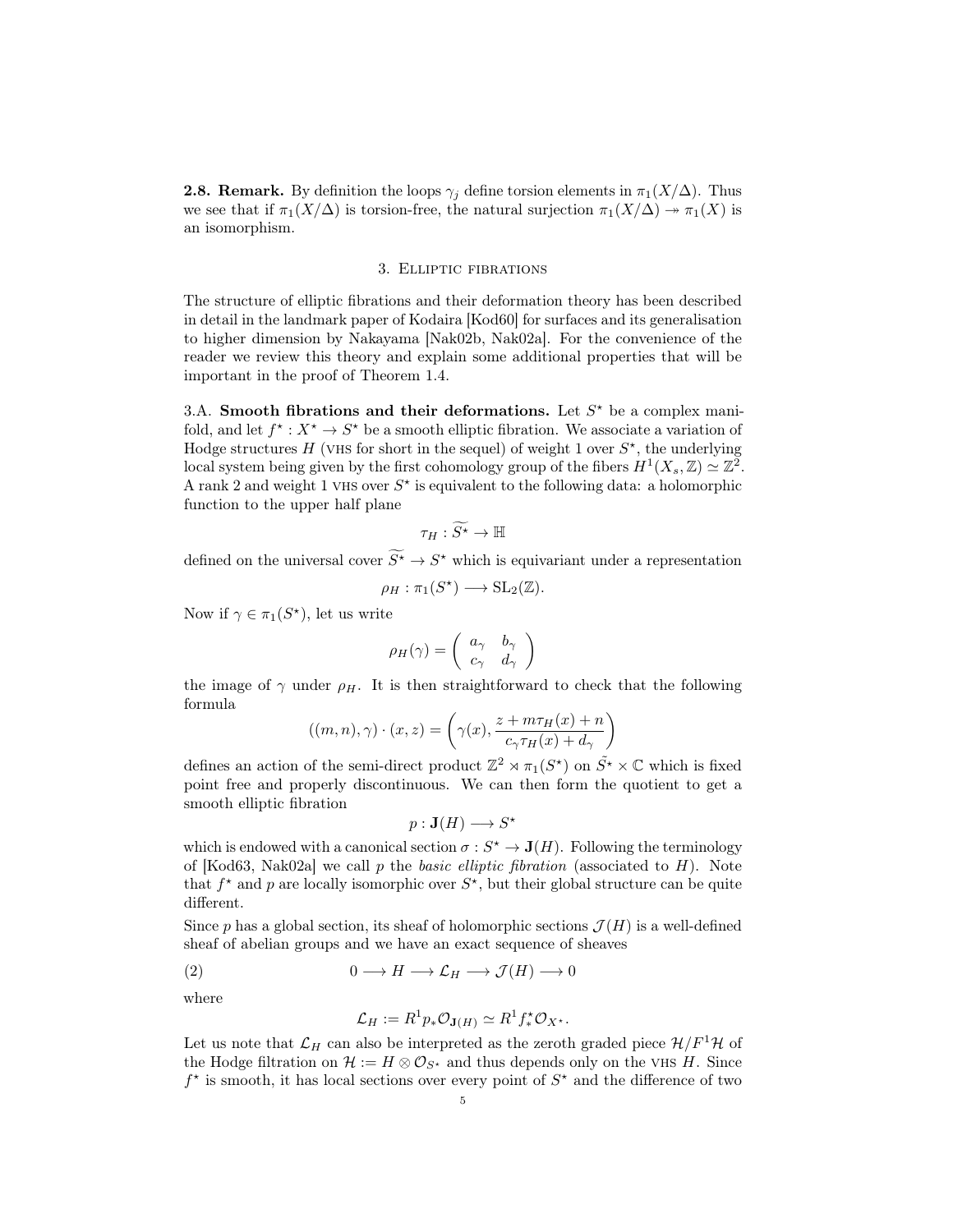**2.8. Remark.** By definition the loops  $\gamma_i$  define torsion elements in  $\pi_1(X/\Delta)$ . Thus we see that if  $\pi_1(X/\Delta)$  is torsion-free, the natural surjection  $\pi_1(X/\Delta) \to \pi_1(X)$  is an isomorphism.

#### 3. Elliptic fibrations

The structure of elliptic fibrations and their deformation theory has been described in detail in the landmark paper of Kodaira [Kod60] for surfaces and its generalisation to higher dimension by Nakayama [Nak02b, Nak02a]. For the convenience of the reader we review this theory and explain some additional properties that will be important in the proof of Theorem 1.4.

3.A. Smooth fibrations and their deformations. Let  $S^*$  be a complex manifold, and let  $f^{\star}: X^{\star} \to S^{\star}$  be a smooth elliptic fibration. We associate a variation of Hodge structures  $H$  (VHS for short in the sequel) of weight 1 over  $S^*$ , the underlying local system being given by the first cohomology group of the fibers  $H^1(X_s, \mathbb{Z}) \simeq \mathbb{Z}^2$ . A rank 2 and weight 1 VHS over  $S^*$  is equivalent to the following data: a holomorphic function to the upper half plane

$$
\tau_H : \widetilde{S^{\star}} \to \mathbb{H}
$$

defined on the universal cover  $S^* \to S^*$  which is equivariant under a representation

$$
\rho_H: \pi_1(S^*) \longrightarrow \mathrm{SL}_2(\mathbb{Z}).
$$

Now if  $\gamma \in \pi_1(S^*)$ , let us write

$$
\rho_H(\gamma) = \left(\begin{array}{cc} a_{\gamma} & b_{\gamma} \\ c_{\gamma} & d_{\gamma} \end{array}\right)
$$

the image of  $\gamma$  under  $\rho$ <sub>H</sub>. It is then straightforward to check that the following formula

$$
((m, n), \gamma) \cdot (x, z) = \left(\gamma(x), \frac{z + m\tau_H(x) + n}{c_{\gamma}\tau_H(x) + d_{\gamma}}\right)
$$

defines an action of the semi-direct product  $\mathbb{Z}^2 \rtimes \pi_1(S^*)$  on  $\tilde{S}^* \times \mathbb{C}$  which is fixed point free and properly discontinuous. We can then form the quotient to get a smooth elliptic fibration

$$
p: \mathbf{J}(H) \longrightarrow S^{\star}
$$

which is endowed with a canonical section  $\sigma : S^* \to \mathbf{J}(H)$ . Following the terminology of [Kod63, Nak02a] we call p the basic elliptic fibration (associated to  $H$ ). Note that  $f^*$  and p are locally isomorphic over  $S^*$ , but their global structure can be quite different.

Since p has a global section, its sheaf of holomorphic sections  $\mathcal{J}(H)$  is a well-defined sheaf of abelian groups and we have an exact sequence of sheaves

(2) 
$$
0 \longrightarrow H \longrightarrow \mathcal{L}_H \longrightarrow \mathcal{J}(H) \longrightarrow 0
$$

where

$$
\mathcal{L}_H := R^1 p_* \mathcal{O}_{\mathbf{J}(H)} \simeq R^1 f_*^* \mathcal{O}_{X^*}.
$$

Let us note that  $\mathcal{L}_H$  can also be interpreted as the zeroth graded piece  $\mathcal{H}/F^1\mathcal{H}$  of the Hodge filtration on  $\mathcal{H} := H \otimes \mathcal{O}_{S^*}$  and thus depends only on the VHS H. Since  $f^*$  is smooth, it has local sections over every point of  $S^*$  and the difference of two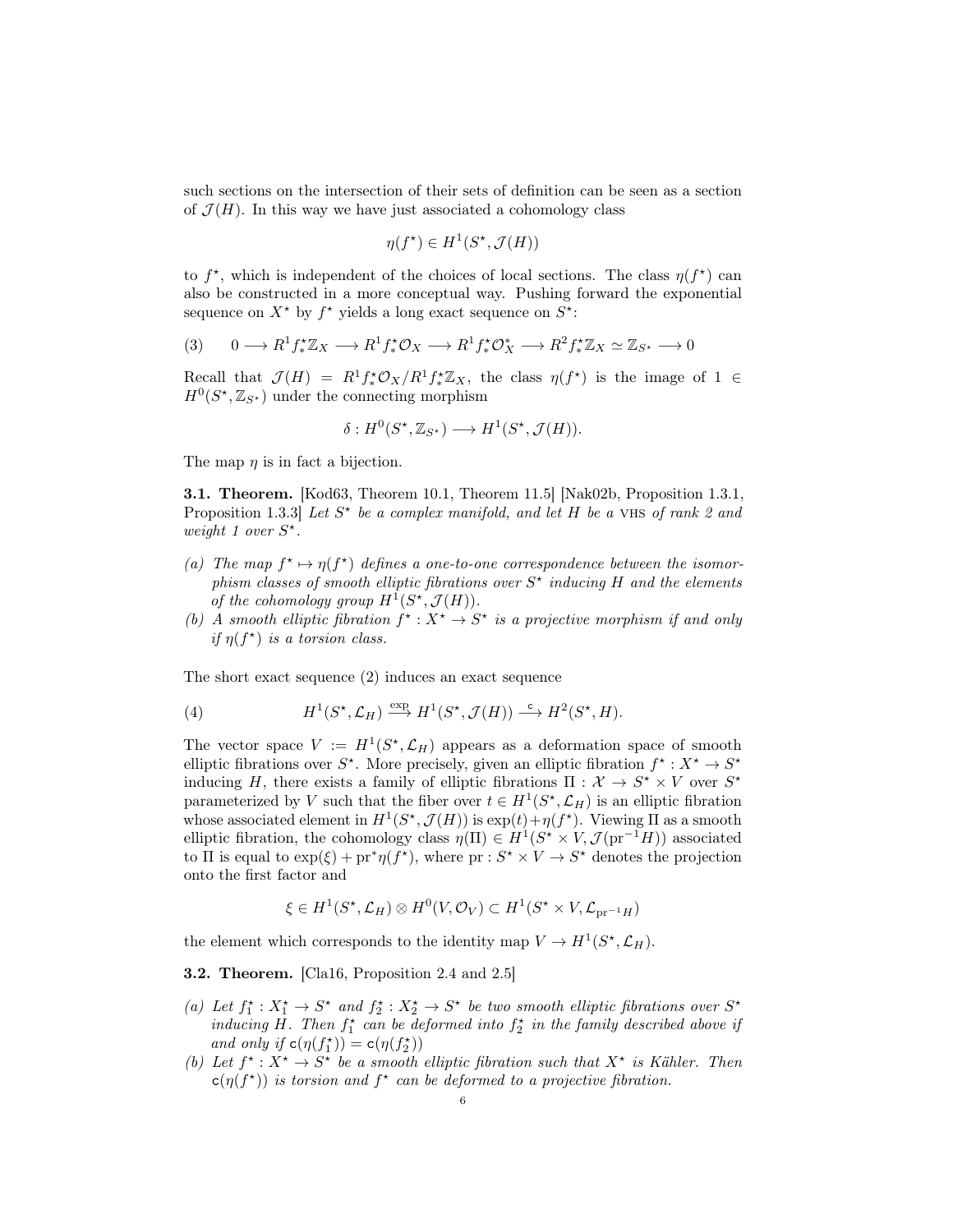such sections on the intersection of their sets of definition can be seen as a section of  $\mathcal{J}(H)$ . In this way we have just associated a cohomology class

$$
\eta(f^{\star}) \in H^1(S^{\star}, \mathcal{J}(H))
$$

to  $f^*$ , which is independent of the choices of local sections. The class  $\eta(f^*)$  can also be constructed in a more conceptual way. Pushing forward the exponential sequence on  $X^*$  by  $f^*$  yields a long exact sequence on  $S^*$ :

$$
(3) \qquad 0 \longrightarrow R^1 f_*^{\star} \mathbb{Z}_X \longrightarrow R^1 f_*^{\star} \mathcal{O}_X \longrightarrow R^1 f_*^{\star} \mathcal{O}_X^{\star} \longrightarrow R^2 f_*^{\star} \mathbb{Z}_X \simeq \mathbb{Z}_{S^{\star}} \longrightarrow 0
$$

Recall that  $\mathcal{J}(H) = R^1 f^* \mathcal{O}_X/R^1 f^*_* \mathbb{Z}_X$ , the class  $\eta(f^*)$  is the image of 1  $\in$  $H^0(S^*, \mathbb{Z}_{S^*})$  under the connecting morphism

$$
\delta: H^0(S^\star, \mathbb{Z}_{S^\star}) \longrightarrow H^1(S^\star, \mathcal{J}(H)).
$$

The map  $\eta$  is in fact a bijection.

3.1. Theorem. [Kod63, Theorem 10.1, Theorem 11.5] [Nak02b, Proposition 1.3.1, Proposition 1.3.3) Let  $S^*$  be a complex manifold, and let H be a VHS of rank 2 and weight 1 over  $S^*$ .

- (a) The map  $f^* \mapsto \eta(f^*)$  defines a one-to-one correspondence between the isomorphism classes of smooth elliptic fibrations over  $S^*$  inducing H and the elements of the cohomology group  $H^1(S^*, \mathcal{J}(H)).$
- (b) A smooth elliptic fibration  $f^* : X^* \to S^*$  is a projective morphism if and only if  $\eta(f^*)$  is a torsion class.

The short exact sequence (2) induces an exact sequence

(4) 
$$
H^1(S^*, \mathcal{L}_H) \xrightarrow{\exp} H^1(S^*, \mathcal{J}(H)) \xrightarrow{\mathsf{c}} H^2(S^*, H).
$$

The vector space  $V := H^1(S^*, \mathcal{L}_H)$  appears as a deformation space of smooth elliptic fibrations over  $S^*$ . More precisely, given an elliptic fibration  $f^* : X^* \to S^*$ inducing H, there exists a family of elliptic fibrations  $\Pi : \mathcal{X} \to S^* \times V$  over  $S^*$ parameterized by V such that the fiber over  $t \in H^1(S^*, \mathcal{L}_H)$  is an elliptic fibration whose associated element in  $H^1(S^*, \mathcal{J}(H))$  is  $\exp(t) + \eta(f^*)$ . Viewing  $\Pi$  as a smooth elliptic fibration, the cohomology class  $\eta(\Pi) \in H^1(S^* \times V, \mathcal{J}(\text{pr}^{-1}H))$  associated to  $\Pi$  is equal to  $\exp(\xi) + pr^* \eta(f^*)$ , where  $pr : S^* \times V \to S^*$  denotes the projection onto the first factor and

$$
\xi \in H^1(S^\star, \mathcal{L}_H) \otimes H^0(V, \mathcal{O}_V) \subset H^1(S^\star \times V, \mathcal{L}_{pr^{-1}H})
$$

the element which corresponds to the identity map  $V \to H^1(S^*, \mathcal{L}_H)$ .

3.2. Theorem. [Cla16, Proposition 2.4 and 2.5]

- (a) Let  $f_1^* : X_1^* \to S^*$  and  $f_2^* : X_2^* \to S^*$  be two smooth elliptic fibrations over  $S^*$ inducing H. Then  $f_1^*$  can be deformed into  $f_2^*$  in the family described above if and only if  $c(\eta(f_1^{\star})) = c(\eta(f_2^{\star}))$
- (b) Let  $f^*: X^* \to S^*$  be a smooth elliptic fibration such that  $X^*$  is Kähler. Then  $c(\eta(f^*))$  is torsion and  $f^*$  can be deformed to a projective fibration.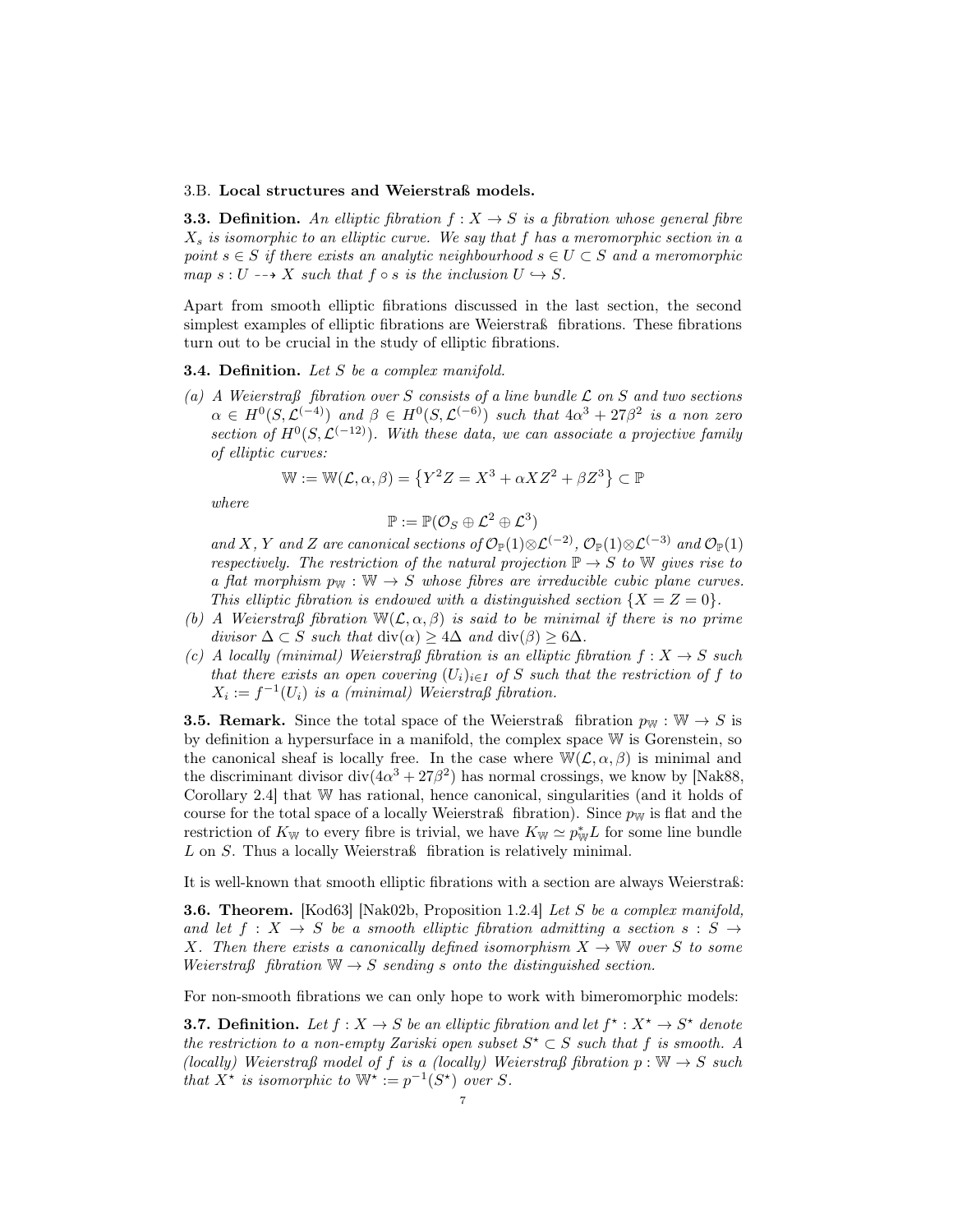#### 3.B. Local structures and Weierstraß models.

**3.3. Definition.** An elliptic fibration  $f: X \rightarrow S$  is a fibration whose general fibre  $X_s$  is isomorphic to an elliptic curve. We say that f has a meromorphic section in a point  $s \in S$  if there exists an analytic neighbourhood  $s \in U \subset S$  and a meromorphic map  $s: U \dashrightarrow X$  such that  $f \circ s$  is the inclusion  $U \hookrightarrow S$ .

Apart from smooth elliptic fibrations discussed in the last section, the second simplest examples of elliptic fibrations are Weierstraß fibrations. These fibrations turn out to be crucial in the study of elliptic fibrations.

### **3.4. Definition.** Let S be a complex manifold.

(a) A Weierstraß fibration over S consists of a line bundle  $\mathcal L$  on S and two sections  $\alpha \in H^0(S, \mathcal{L}^{(-4)})$  and  $\beta \in H^0(S, \mathcal{L}^{(-6)})$  such that  $4\alpha^3 + 27\beta^2$  is a non zero section of  $H^0(S, \mathcal{L}^{(-12)})$ . With these data, we can associate a projective family of elliptic curves:

$$
\mathbb{W} := \mathbb{W}(\mathcal{L}, \alpha, \beta) = \left\{ Y^2 Z = X^3 + \alpha X Z^2 + \beta Z^3 \right\} \subset \mathbb{P}
$$

where

$$
\mathbb{P}:=\mathbb{P}(\mathcal{O}_S\oplus \mathcal{L}^2\oplus \mathcal{L}^3)
$$

and X, Y and Z are canonical sections of  $\mathcal{O}_{\mathbb{P}}(1)\otimes \mathcal{L}^{(-2)}$ ,  $\mathcal{O}_{\mathbb{P}}(1)\otimes \mathcal{L}^{(-3)}$  and  $\mathcal{O}_{\mathbb{P}}(1)$ respectively. The restriction of the natural projection  $\mathbb{P} \to S$  to W gives rise to a flat morphism  $p_W : W \to S$  whose fibres are irreducible cubic plane curves. This elliptic fibration is endowed with a distinguished section  $\{X = Z = 0\}$ .

- (b) A Weierstraß fibration  $W(L, \alpha, \beta)$  is said to be minimal if there is no prime divisor  $\Delta \subset S$  such that  $\text{div}(\alpha) \geq 4\Delta$  and  $\text{div}(\beta) > 6\Delta$ .
- (c) A locally (minimal) Weierstraß fibration is an elliptic fibration  $f: X \to S$  such that there exists an open covering  $(U_i)_{i\in I}$  of S such that the restriction of f to  $X_i := f^{-1}(U_i)$  is a (minimal) Weierstraß fibration.

**3.5. Remark.** Since the total space of the Weierstraß fibration  $p_w : W \to S$  is by definition a hypersurface in a manifold, the complex space W is Gorenstein, so the canonical sheaf is locally free. In the case where  $\mathbb{W}(\mathcal{L}, \alpha, \beta)$  is minimal and the discriminant divisor div $(4\alpha^3 + 27\beta^2)$  has normal crossings, we know by [Nak88, Corollary 2.4] that W has rational, hence canonical, singularities (and it holds of course for the total space of a locally Weierstraß fibration). Since  $p_W$  is flat and the restriction of  $K_{\mathbb{W}}$  to every fibre is trivial, we have  $K_{\mathbb{W}} \simeq p_{\mathbb{W}}^* L$  for some line bundle L on S. Thus a locally Weierstraß fibration is relatively minimal.

It is well-known that smooth elliptic fibrations with a section are always Weierstraß:

**3.6. Theorem.** [Kod63] [Nak02b, Proposition 1.2.4] Let S be a complex manifold, and let  $f : X \to S$  be a smooth elliptic fibration admitting a section  $s : S \to S$ X. Then there exists a canonically defined isomorphism  $X \to \mathbb{W}$  over S to some Weierstraß fibration  $\mathbb{W} \to S$  sending s onto the distinguished section.

For non-smooth fibrations we can only hope to work with bimeromorphic models:

**3.7. Definition.** Let  $f : X \to S$  be an elliptic fibration and let  $f^* : X^* \to S^*$  denote the restriction to a non-empty Zariski open subset  $S^* \subset S$  such that f is smooth. A (locally) Weierstraß model of f is a (locally) Weierstraß fibration  $p : \mathbb{W} \to S$  such that  $X^*$  is isomorphic to  $\mathbb{W}^* := p^{-1}(S^*)$  over S.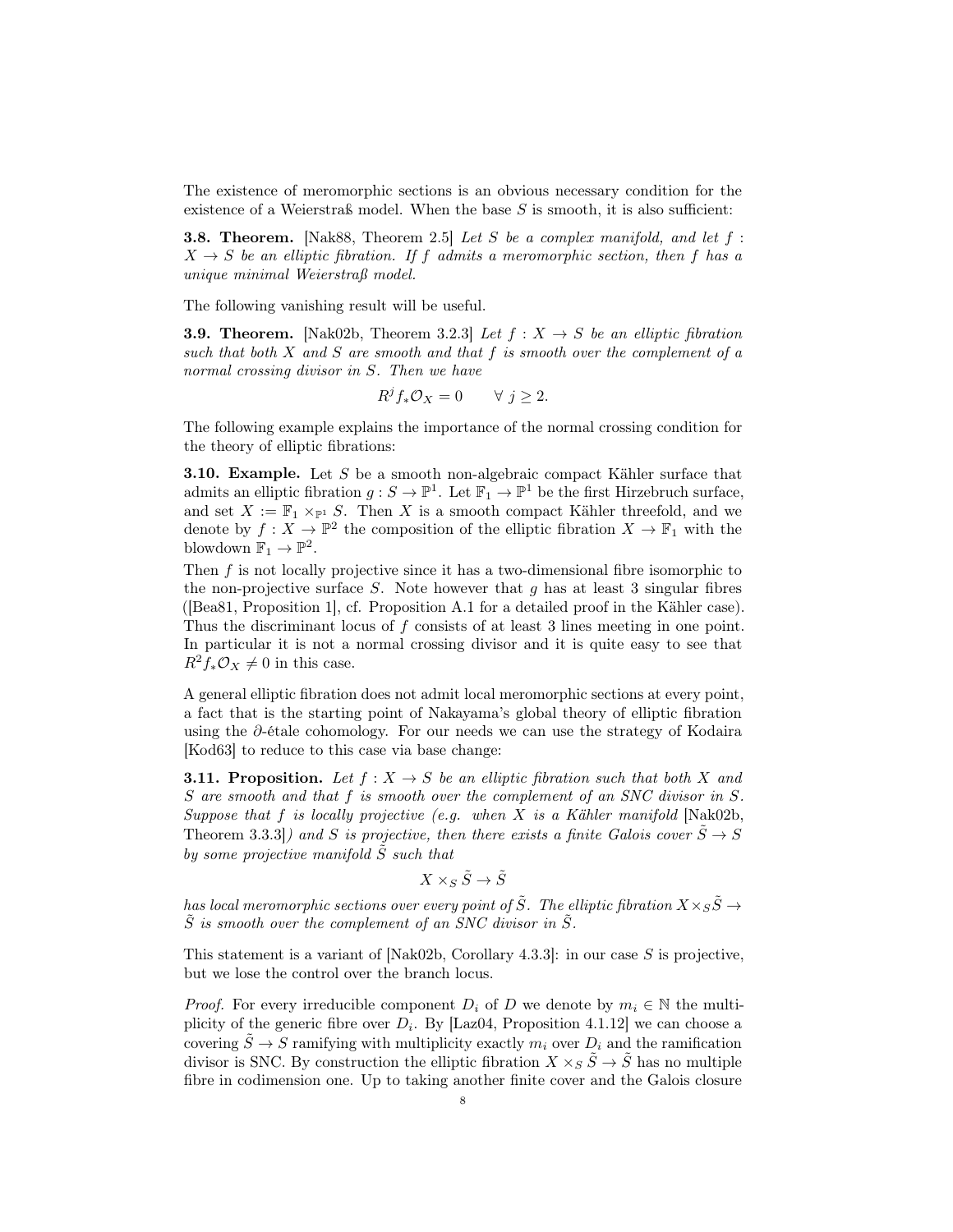The existence of meromorphic sections is an obvious necessary condition for the existence of a Weierstraß model. When the base  $S$  is smooth, it is also sufficient:

**3.8. Theorem.** [Nak88, Theorem 2.5] Let S be a complex manifold, and let  $f$ :  $X \rightarrow S$  be an elliptic fibration. If f admits a meromorphic section, then f has a unique minimal Weierstraß model.

The following vanishing result will be useful.

**3.9. Theorem.** [Nak02b, Theorem 3.2.3] Let  $f : X \rightarrow S$  be an elliptic fibration such that both  $X$  and  $S$  are smooth and that  $f$  is smooth over the complement of a normal crossing divisor in S. Then we have

$$
R^j f_* \mathcal{O}_X = 0 \qquad \forall \ j \ge 2.
$$

The following example explains the importance of the normal crossing condition for the theory of elliptic fibrations:

3.10. Example. Let S be a smooth non-algebraic compact Kähler surface that admits an elliptic fibration  $g: S \to \mathbb{P}^1$ . Let  $\mathbb{F}_1 \to \mathbb{P}^1$  be the first Hirzebruch surface, and set  $X := \mathbb{F}_1 \times_{\mathbb{P}^1} S$ . Then X is a smooth compact Kähler threefold, and we denote by  $f: X \to \mathbb{P}^2$  the composition of the elliptic fibration  $X \to \mathbb{F}_1$  with the blowdown  $\mathbb{F}_1 \to \mathbb{P}^2$ .

Then f is not locally projective since it has a two-dimensional fibre isomorphic to the non-projective surface  $S$ . Note however that  $g$  has at least 3 singular fibres ([Bea81, Proposition 1], cf. Proposition A.1 for a detailed proof in the Kähler case). Thus the discriminant locus of f consists of at least 3 lines meeting in one point. In particular it is not a normal crossing divisor and it is quite easy to see that  $R^2f_*\mathcal{O}_X\neq 0$  in this case.

A general elliptic fibration does not admit local meromorphic sections at every point, a fact that is the starting point of Nakayama's global theory of elliptic fibration using the ∂-étale cohomology. For our needs we can use the strategy of Kodaira [Kod63] to reduce to this case via base change:

**3.11. Proposition.** Let  $f: X \to S$  be an elliptic fibration such that both X and S are smooth and that f is smooth over the complement of an SNC divisor in S. Suppose that  $f$  is locally projective (e.g. when  $X$  is a Kähler manifold [Nak02b, Theorem 3.3.3]) and S is projective, then there exists a finite Galois cover  $\tilde{S} \to S$ by some projective manifold  $\tilde{S}$  such that

$$
X\times_S\tilde{S}\to \tilde{S}
$$

has local meromorphic sections over every point of  $\tilde{S}$ . The elliptic fibration  $X \times_S \tilde{S} \rightarrow$  $\tilde{S}$  is smooth over the complement of an SNC divisor in  $\tilde{S}$ .

This statement is a variant of [Nak02b, Corollary 4.3.3]: in our case S is projective, but we lose the control over the branch locus.

*Proof.* For every irreducible component  $D_i$  of D we denote by  $m_i \in \mathbb{N}$  the multiplicity of the generic fibre over  $D_i$ . By [Laz04, Proposition 4.1.12] we can choose a covering  $\tilde{S} \to S$  ramifying with multiplicity exactly  $m_i$  over  $D_i$  and the ramification divisor is SNC. By construction the elliptic fibration  $X \times_S \tilde{S} \to \tilde{S}$  has no multiple fibre in codimension one. Up to taking another finite cover and the Galois closure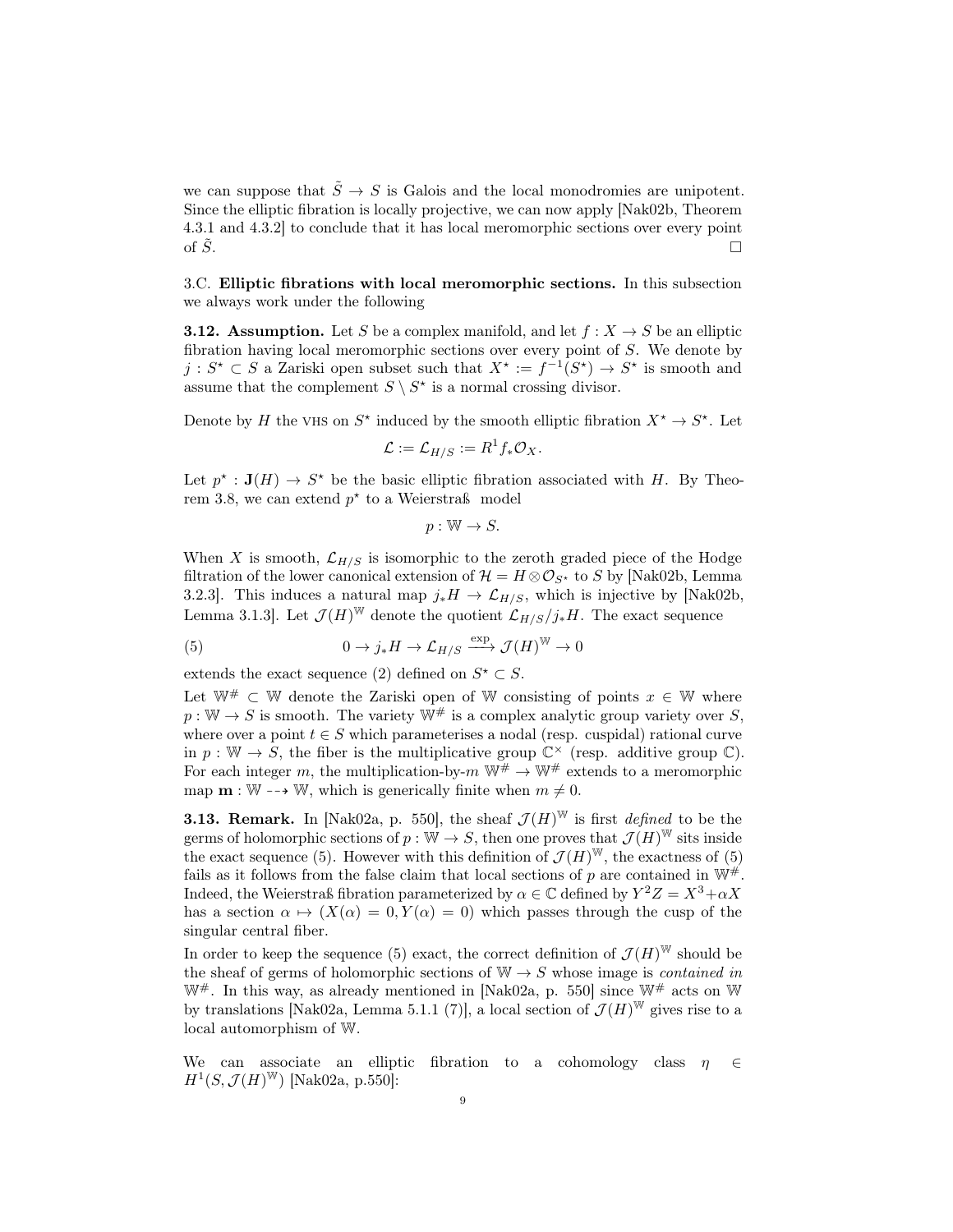we can suppose that  $\tilde{S} \to S$  is Galois and the local monodromies are unipotent. Since the elliptic fibration is locally projective, we can now apply [Nak02b, Theorem 4.3.1 and 4.3.2] to conclude that it has local meromorphic sections over every point of  $\tilde{S}$ .

3.C. Elliptic fibrations with local meromorphic sections. In this subsection we always work under the following

**3.12. Assumption.** Let S be a complex manifold, and let  $f : X \to S$  be an elliptic fibration having local meromorphic sections over every point of S. We denote by  $j: S^* \subset S$  a Zariski open subset such that  $X^* := f^{-1}(S^*) \to S^*$  is smooth and assume that the complement  $S \setminus S^*$  is a normal crossing divisor.

Denote by H the VHS on  $S^*$  induced by the smooth elliptic fibration  $X^* \to S^*$ . Let

$$
\mathcal{L} := \mathcal{L}_{H/S} := R^1 f_* \mathcal{O}_X.
$$

Let  $p^* : \mathbf{J}(H) \to S^*$  be the basic elliptic fibration associated with H. By Theorem 3.8, we can extend  $p^*$  to a Weierstraß model

 $p: \mathbb{W} \to S.$ 

When X is smooth,  $\mathcal{L}_{H/S}$  is isomorphic to the zeroth graded piece of the Hodge filtration of the lower canonical extension of  $\mathcal{H} = H \otimes \mathcal{O}_{S^*}$  to S by [Nak02b, Lemma 3.2.3]. This induces a natural map  $j_*H \to \mathcal{L}_{H/S}$ , which is injective by [Nak02b, Lemma 3.1.3]. Let  $\mathcal{J}(H)^{\mathbb{W}}$  denote the quotient  $\mathcal{L}_{H/S}/j_*H$ . The exact sequence

(5) 
$$
0 \to j_*H \to \mathcal{L}_{H/S} \xrightarrow{\exp} \mathcal{J}(H)^{\mathbb{W}} \to 0
$$

extends the exact sequence (2) defined on  $S^* \subset S$ .

Let  $\mathbb{W}^{\#} \subset \mathbb{W}$  denote the Zariski open of W consisting of points  $x \in \mathbb{W}$  where  $p: \mathbb{W} \to S$  is smooth. The variety  $\mathbb{W}^{\#}$  is a complex analytic group variety over S, where over a point  $t \in S$  which parameterises a nodal (resp. cuspidal) rational curve in  $p: \mathbb{W} \to S$ , the fiber is the multiplicative group  $\mathbb{C}^{\times}$  (resp. additive group  $\mathbb{C}$ ). For each integer m, the multiplication-by-m  $\mathbb{W}^{\#} \to \mathbb{W}^{\#}$  extends to a meromorphic map  $\mathbf{m} : \mathbb{W} \dashrightarrow \mathbb{W}$ , which is generically finite when  $m \neq 0$ .

**3.13. Remark.** In [Nak02a, p. 550], the sheaf  $\mathcal{J}(H)^{\mathbb{W}}$  is first *defined* to be the germs of holomorphic sections of  $p : \mathbb{W} \to S$ , then one proves that  $\mathcal{J}(H)^{\mathbb{W}}$  sits inside the exact sequence (5). However with this definition of  $\mathcal{J}(H)^{\mathbb{W}}$ , the exactness of (5) fails as it follows from the false claim that local sections of p are contained in  $\mathbb{W}^{\#}$ . Indeed, the Weierstraß fibration parameterized by  $\alpha \in \mathbb{C}$  defined by  $Y^2 Z = X^3 + \alpha X$ has a section  $\alpha \mapsto (X(\alpha) = 0, Y(\alpha) = 0)$  which passes through the cusp of the singular central fiber.

In order to keep the sequence (5) exact, the correct definition of  $\mathcal{J}(H)^{\mathbb{W}}$  should be the sheaf of germs of holomorphic sections of  $W \to S$  whose image is *contained in*  $W^{\#}$ . In this way, as already mentioned in [Nak02a, p. 550] since  $W^{\#}$  acts on W by translations [Nak02a, Lemma 5.1.1 (7)], a local section of  $\mathcal{J}(H)^{\mathbb{W}}$  gives rise to a local automorphism of W.

We can associate an elliptic fibration to a cohomology class  $\eta \in \mathbb{R}$  $H^1(S, \mathcal{J}(H)^{\mathbb{W}})$  [Nak02a, p.550]: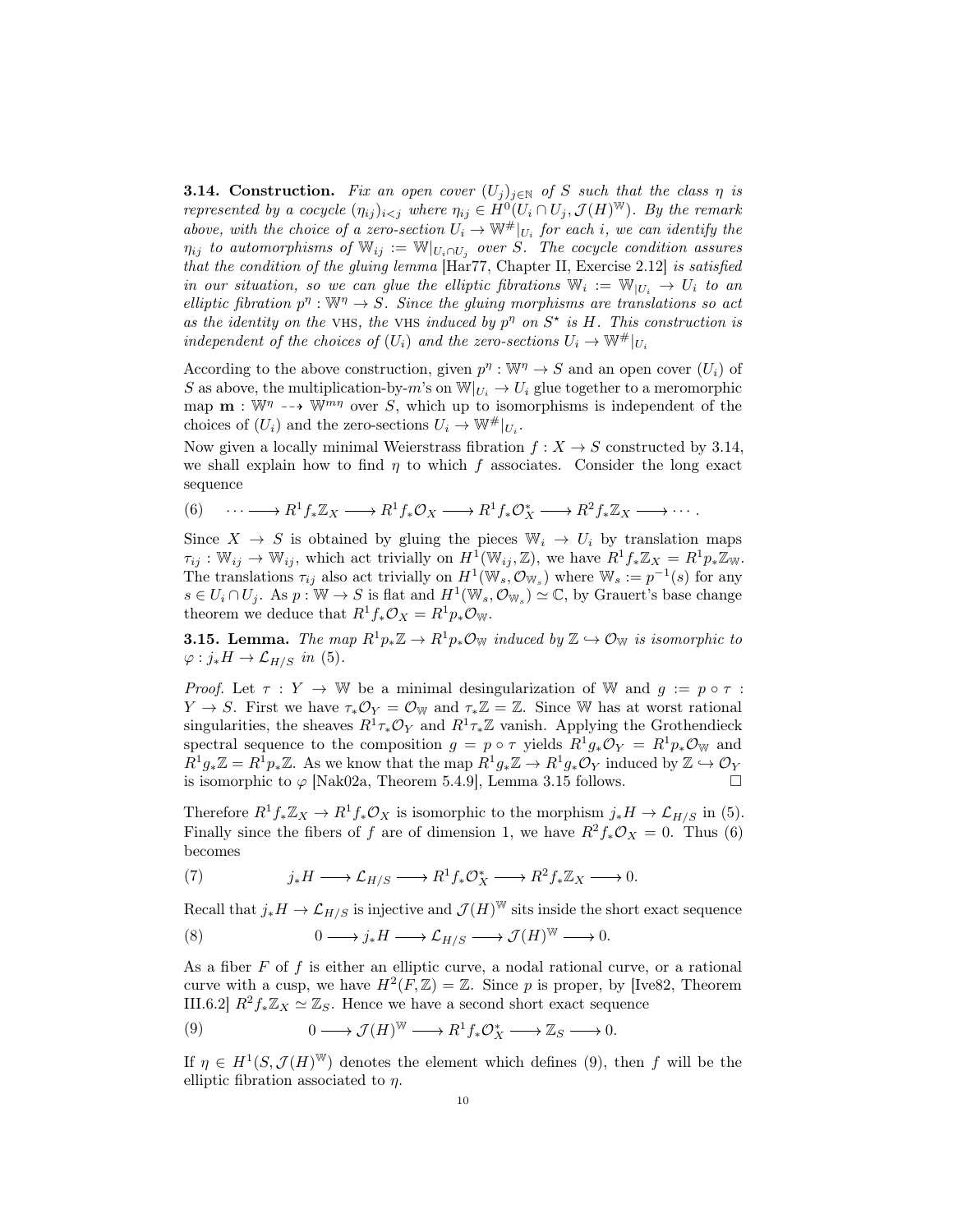**3.14. Construction.** Fix an open cover  $(U_j)_{j\in\mathbb{N}}$  of S such that the class  $\eta$  is represented by a cocycle  $(\eta_{ij})_{i < j}$  where  $\eta_{ij} \in H^0(U_i \cap U_j, \mathcal{J}(H)^{\mathbb{W}})$ . By the remark above, with the choice of a zero-section  $U_i \to \mathbb{W}^{\#}|_{U_i}$  for each i, we can identify the  $\eta_{ij}$  to automorphisms of  $\mathbb{W}_{ij} := \mathbb{W}|_{U_i \cap U_j}$  over S. The cocycle condition assures that the condition of the gluing lemma  $[\text{Har77}, \text{Chapter II}, \text{ Exercise 2.12}]$  is satisfied in our situation, so we can glue the elliptic fibrations  $\mathbb{W}_i := \mathbb{W}_{|U_i} \to U_i$  to an elliptic fibration  $p^{\eta}: \mathbb{W}^{\eta} \to S$ . Since the gluing morphisms are translations so act as the identity on the VHS, the VHS induced by  $p^{\eta}$  on  $S^*$  is H. This construction is independent of the choices of  $(U_i)$  and the zero-sections  $U_i \to \mathbb{W}^{\#}|_{U_i}$ 

According to the above construction, given  $p^{\eta}: \mathbb{W}^{\eta} \to S$  and an open cover  $(U_i)$  of S as above, the multiplication-by-m's on  $\mathbb{W}|_{U_i} \to U_i$  glue together to a meromorphic map  $\mathbf{m} : \mathbb{W}^n \dashrightarrow \mathbb{W}^{mn}$  over S, which up to isomorphisms is independent of the choices of  $(U_i)$  and the zero-sections  $U_i \to \mathbb{W}^*|_{U_i}$ .

Now given a locally minimal Weierstrass fibration  $f: X \to S$  constructed by 3.14, we shall explain how to find  $\eta$  to which f associates. Consider the long exact sequence

(6) 
$$
\cdots \longrightarrow R^1 f_* \mathbb{Z}_X \longrightarrow R^1 f_* \mathcal{O}_X \longrightarrow R^1 f_* \mathcal{O}_X^* \longrightarrow R^2 f_* \mathbb{Z}_X \longrightarrow \cdots
$$

Since  $X \to S$  is obtained by gluing the pieces  $\mathbb{W}_i \to U_i$  by translation maps  $\tau_{ij}: \mathbb{W}_{ij} \to \mathbb{W}_{ij}$ , which act trivially on  $H^1(\mathbb{W}_{ij}, \mathbb{Z})$ , we have  $R^1f_*\mathbb{Z}_X = R^1p_*\mathbb{Z}_W$ . The translations  $\tau_{ij}$  also act trivially on  $H^1(\mathbb{W}_s, \mathcal{O}_{\mathbb{W}_s})$  where  $\mathbb{W}_s := p^{-1}(s)$  for any  $s \in U_i \cap U_j$ . As  $p: \mathbb{W} \to S$  is flat and  $H^1(\mathbb{W}_s, \mathcal{O}_{\mathbb{W}_s}) \simeq \mathbb{C}$ , by Grauert's base change theorem we deduce that  $R^1f_*\mathcal{O}_X = R^1p_*\mathcal{O}_W$ .

**3.15. Lemma.** The map  $R^1p_*\mathbb{Z} \to R^1p_*\mathbb{O}_W$  induced by  $\mathbb{Z} \to \mathbb{O}_W$  is isomorphic to  $\varphi : j_*H \to \mathcal{L}_{H/S}$  in (5).

*Proof.* Let  $\tau : Y \to \mathbb{W}$  be a minimal desingularization of W and  $q := p \circ \tau$ :  $Y \to S$ . First we have  $\tau_* \mathcal{O}_Y = \mathcal{O}_{\mathbb{W}}$  and  $\tau_* \mathbb{Z} = \mathbb{Z}$ . Since W has at worst rational singularities, the sheaves  $R^1\tau_*\mathcal{O}_Y$  and  $R^1\tau_*\mathbb{Z}$  vanish. Applying the Grothendieck spectral sequence to the composition  $g = p \circ \tau$  yields  $R^1 g_* \mathcal{O}_Y = R^1 p_* \mathcal{O}_W$  and  $R^1g_*\mathbb{Z} = R^1p_*\mathbb{Z}$ . As we know that the map  $R^1g_*\mathbb{Z} \to R^1g_*\mathcal{O}_Y$  induced by  $\mathbb{Z} \hookrightarrow \mathcal{O}_Y$ is isomorphic to  $\varphi$  [Nak02a, Theorem 5.4.9], Lemma 3.15 follows.

Therefore  $R^1f_*\mathbb{Z}_X \to R^1f_*\mathcal{O}_X$  is isomorphic to the morphism  $j_*H \to \mathcal{L}_{H/S}$  in (5). Finally since the fibers of f are of dimension 1, we have  $R^2f_*\mathcal{O}_X = 0$ . Thus (6) becomes

(7) 
$$
j_* H \longrightarrow \mathcal{L}_{H/S} \longrightarrow R^1 f_* \mathcal{O}_X^* \longrightarrow R^2 f_* \mathbb{Z}_X \longrightarrow 0.
$$

Recall that  $j_* H \to \mathcal{L}_{H/S}$  is injective and  $\mathcal{J}(H)^{\mathbb{W}}$  sits inside the short exact sequence

(8) 
$$
0 \longrightarrow j_*H \longrightarrow \mathcal{L}_{H/S} \longrightarrow \mathcal{J}(H)^{\mathbb{W}} \longrightarrow 0.
$$

As a fiber  $F$  of  $f$  is either an elliptic curve, a nodal rational curve, or a rational curve with a cusp, we have  $H^2(F, \mathbb{Z}) = \mathbb{Z}$ . Since p is proper, by [Ive82, Theorem III.6.2]  $R^2f_*\mathbb{Z}_X \simeq \mathbb{Z}_S$ . Hence we have a second short exact sequence

(9) 
$$
0 \longrightarrow \mathcal{J}(H)^{\mathbb{W}} \longrightarrow R^{1} f_{*} \mathcal{O}_{X}^{*} \longrightarrow \mathbb{Z}_{S} \longrightarrow 0.
$$

If  $\eta \in H^1(S, \mathcal{J}(H)^W)$  denotes the element which defines (9), then f will be the elliptic fibration associated to  $\eta$ .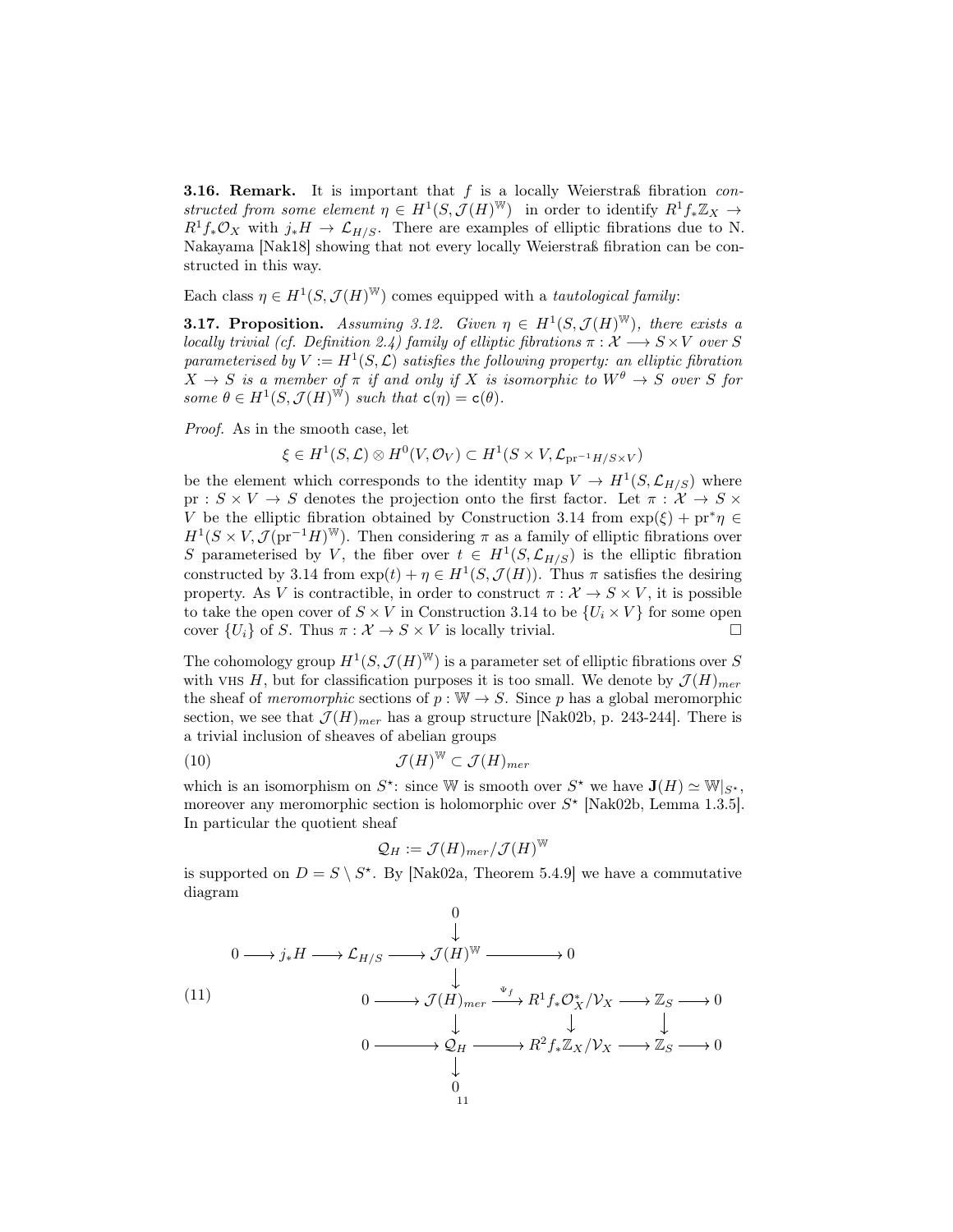**3.16. Remark.** It is important that  $f$  is a locally Weierstraß fibration constructed from some element  $\eta \in H^1(S, \mathcal{J}(H)^W)$  in order to identify  $R^1f_*\mathbb{Z}_X \to$  $R^1f_*\mathcal{O}_X$  with  $j_*H \to \mathcal{L}_{H/S}$ . There are examples of elliptic fibrations due to N. Nakayama [Nak18] showing that not every locally Weierstraß fibration can be constructed in this way.

Each class  $\eta \in H^1(S, \mathcal{J}(H)^W)$  comes equipped with a *tautological family*:

**3.17. Proposition.** Assuming 3.12. Given  $\eta \in H^1(S, \mathcal{J}(H)^W)$ , there exists a locally trivial (cf. Definition 2.4) family of elliptic fibrations  $\pi : \mathcal{X} \longrightarrow S \times V$  over S parameterised by  $V := H^1(S, \mathcal{L})$  satisfies the following property: an elliptic fibration  $X \to S$  is a member of  $\pi$  if and only if X is isomorphic to  $W^{\theta} \to S$  over S for some  $\theta \in H^1(S, \mathcal{J}(H)^{\mathbb{W}})$  such that  $c(\eta) = c(\theta)$ .

Proof. As in the smooth case, let

$$
\xi \in H^1(S, \mathcal{L}) \otimes H^0(V, \mathcal{O}_V) \subset H^1(S \times V, \mathcal{L}_{pr^{-1}H/S \times V})
$$

be the element which corresponds to the identity map  $V \to H^1(S, \mathcal{L}_{H/S})$  where pr :  $S \times V \to S$  denotes the projection onto the first factor. Let  $\pi : \mathcal{X} \to S \times$ V be the elliptic fibration obtained by Construction 3.14 from  $\exp(\xi) + \mathrm{pr}^*\eta \in$  $H^1(S \times V, \mathcal{J}(\text{pr}^{-1}H)^W)$ . Then considering  $\pi$  as a family of elliptic fibrations over S parameterised by V, the fiber over  $t \in H^1(S, \mathcal{L}_{H/S})$  is the elliptic fibration constructed by 3.14 from  $\exp(t) + \eta \in H^1(S, \mathcal{J}(H))$ . Thus  $\pi$  satisfies the desiring property. As V is contractible, in order to construct  $\pi : \mathcal{X} \to S \times V$ , it is possible to take the open cover of  $S \times V$  in Construction 3.14 to be  $\{U_i \times V\}$  for some open cover  $\{U_i\}$  of S. Thus  $\pi : \mathcal{X} \to S \times V$  is locally trivial.

The cohomology group  $H^1(S, \mathcal{J}(H)^W)$  is a parameter set of elliptic fibrations over S with VHS H, but for classification purposes it is too small. We denote by  $\mathcal{J}(H)_{mer}$ the sheaf of *meromorphic* sections of  $p : \mathbb{W} \to S$ . Since p has a global meromorphic section, we see that  $\mathcal{J}(H)_{mer}$  has a group structure [Nak02b, p. 243-244]. There is a trivial inclusion of sheaves of abelian groups

(10) 
$$
\mathcal{J}(H)^{\mathbb{W}} \subset \mathcal{J}(H)_{mer}
$$

which is an isomorphism on  $S^*$ : since W is smooth over  $S^*$  we have  $\mathbf{J}(H) \simeq \mathbb{W}|_{S^*}$ , moreover any meromorphic section is holomorphic over  $S^*$  [Nak02b, Lemma 1.3.5]. In particular the quotient sheaf

$$
\mathcal{Q}_H:=\mathcal{J}(H)_{mer}/\mathcal{J}(H)^{\mathbb{W}}
$$

is supported on  $D = S \setminus S^*$ . By [Nak02a, Theorem 5.4.9] we have a commutative diagram

(11) 0 0 j∗H LH/S J (H) <sup>W</sup> 0 0 J (H)mer R<sup>1</sup>f∗O<sup>∗</sup> <sup>X</sup>/V<sup>X</sup> Z<sup>S</sup> 0 0 Q<sup>H</sup> R<sup>2</sup>f∗ZX/V<sup>X</sup> Z<sup>S</sup> 0 0 Ψf 11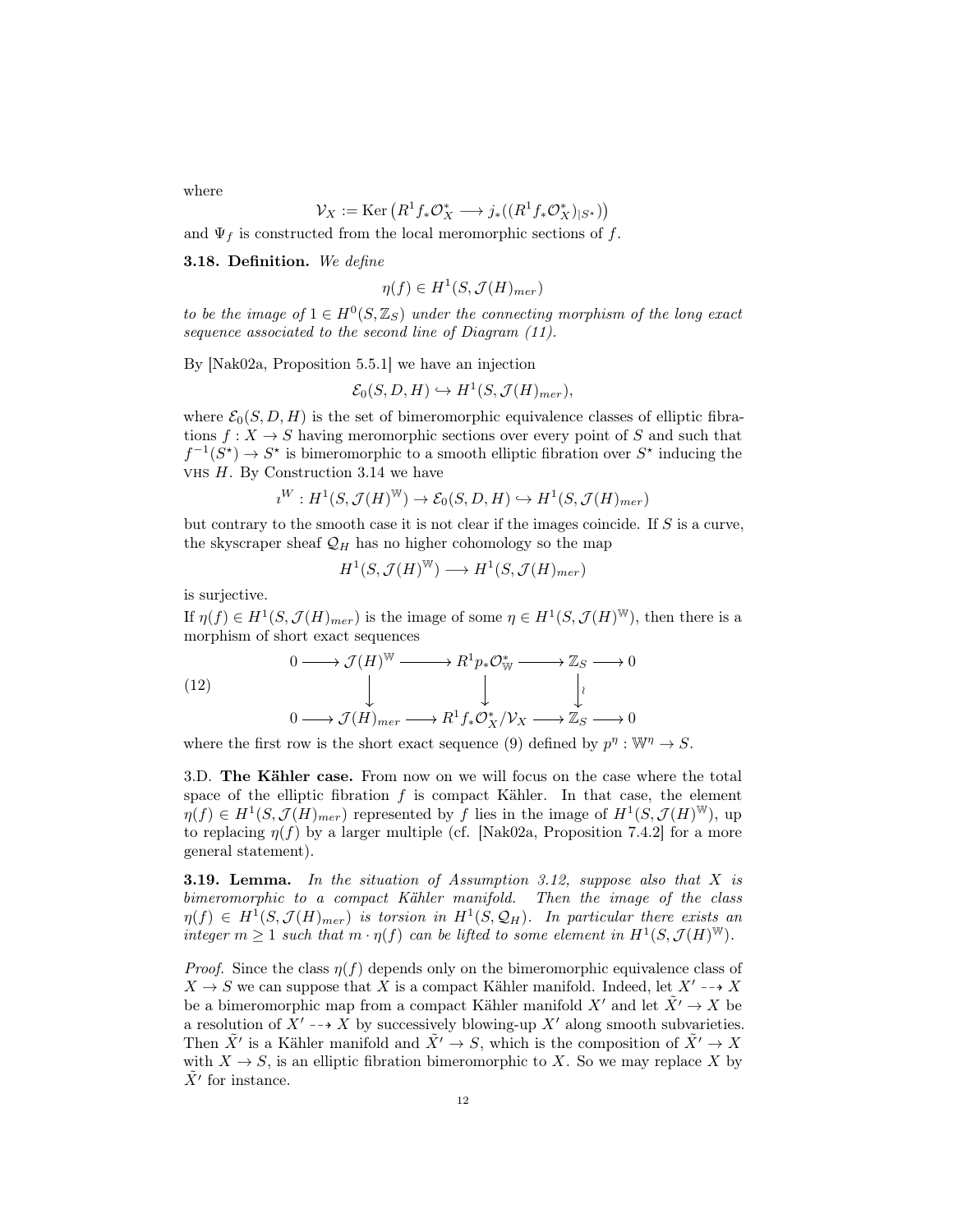where

$$
\mathcal{V}_X := \text{Ker}\left(R^1 f_* \mathcal{O}_X^* \longrightarrow j_*((R^1 f_* \mathcal{O}_X^*)_{|S^*})\right)
$$

and  $\Psi_f$  is constructed from the local meromorphic sections of f.

**3.18. Definition.** We define

$$
\eta(f) \in H^1(S, \mathcal{J}(H)_{mer})
$$

to be the image of  $1 \in H^0(S, \mathbb{Z}_S)$  under the connecting morphism of the long exact sequence associated to the second line of Diagram  $(11)$ .

By [Nak02a, Proposition 5.5.1] we have an injection

$$
\mathcal{E}_0(S, D, H) \hookrightarrow H^1(S, \mathcal{J}(H)_{mer}),
$$

where  $\mathcal{E}_0(S, D, H)$  is the set of bimeromorphic equivalence classes of elliptic fibrations  $f: X \to S$  having meromorphic sections over every point of S and such that  $f^{-1}(S^*) \to S^*$  is bimeromorphic to a smooth elliptic fibration over  $S^*$  inducing the VHS  $H$ . By Construction 3.14 we have

$$
\imath^W : H^1(S,\mathcal{J}(H)^{\mathbb{W}}) \to \mathcal{E}_0(S,D,H) \hookrightarrow H^1(S,\mathcal{J}(H)_{mer})
$$

but contrary to the smooth case it is not clear if the images coincide. If  $S$  is a curve, the skyscraper sheaf  $\mathcal{Q}_H$  has no higher cohomology so the map

$$
H^1(S,\mathcal{J}(H)^{\mathbb{W}})\longrightarrow H^1(S,\mathcal{J}(H)_{mer})
$$

is surjective.

If  $\eta(f) \in H^1(S, \mathcal{J}(H)_{mer})$  is the image of some  $\eta \in H^1(S, \mathcal{J}(H)^W)$ , then there is a morphism of short exact sequences

(12)  
\n
$$
0 \longrightarrow \mathcal{J}(H)^{\mathbb{W}} \longrightarrow R^{1}p_{*}\mathcal{O}_{\mathbb{W}}^{*} \longrightarrow \mathbb{Z}_{S} \longrightarrow 0
$$
\n
$$
\downarrow \qquad \qquad \downarrow \qquad \qquad \downarrow \qquad \qquad \downarrow
$$
\n
$$
0 \longrightarrow \mathcal{J}(H)_{mer} \longrightarrow R^{1}f_{*}\mathcal{O}_{X}^{*}/\mathcal{V}_{X} \longrightarrow \mathbb{Z}_{S} \longrightarrow 0
$$

where the first row is the short exact sequence (9) defined by  $p^{\eta}: \mathbb{W}^{\eta} \to S$ .

3.D. The Kähler case. From now on we will focus on the case where the total space of the elliptic fibration  $f$  is compact Kähler. In that case, the element  $\eta(f) \in H^1(S, \mathcal{J}(H)_{mer})$  represented by f lies in the image of  $H^1(S, \mathcal{J}(H)^W)$ , up to replacing  $\eta(f)$  by a larger multiple (cf. [Nak02a, Proposition 7.4.2] for a more general statement).

**3.19. Lemma.** In the situation of Assumption 3.12, suppose also that  $X$  is bimeromorphic to a compact Kähler manifold. Then the image of the class  $\eta(f) \in H^1(S, \mathcal{J}(H)_{mer})$  is torsion in  $H^1(S, \mathcal{Q}_H)$ . In particular there exists an integer  $m \geq 1$  such that  $m \cdot \eta(f)$  can be lifted to some element in  $H^1(S, \mathcal{J}(H)^W)$ .

*Proof.* Since the class  $\eta(f)$  depends only on the bimeromorphic equivalence class of  $X \to S$  we can suppose that X is a compact Kähler manifold. Indeed, let  $X' \dashrightarrow X$ be a bimeromorphic map from a compact Kähler manifold X' and let  $\tilde{X}' \to X$  be a resolution of  $X' \rightarrow X$  by successively blowing-up X' along smooth subvarieties. Then  $\tilde{X}'$  is a Kähler manifold and  $\tilde{X}' \to S$ , which is the composition of  $\tilde{X}' \to X$ with  $X \to S$ , is an elliptic fibration bimeromorphic to X. So we may replace X by  $\tilde{X}'$  for instance.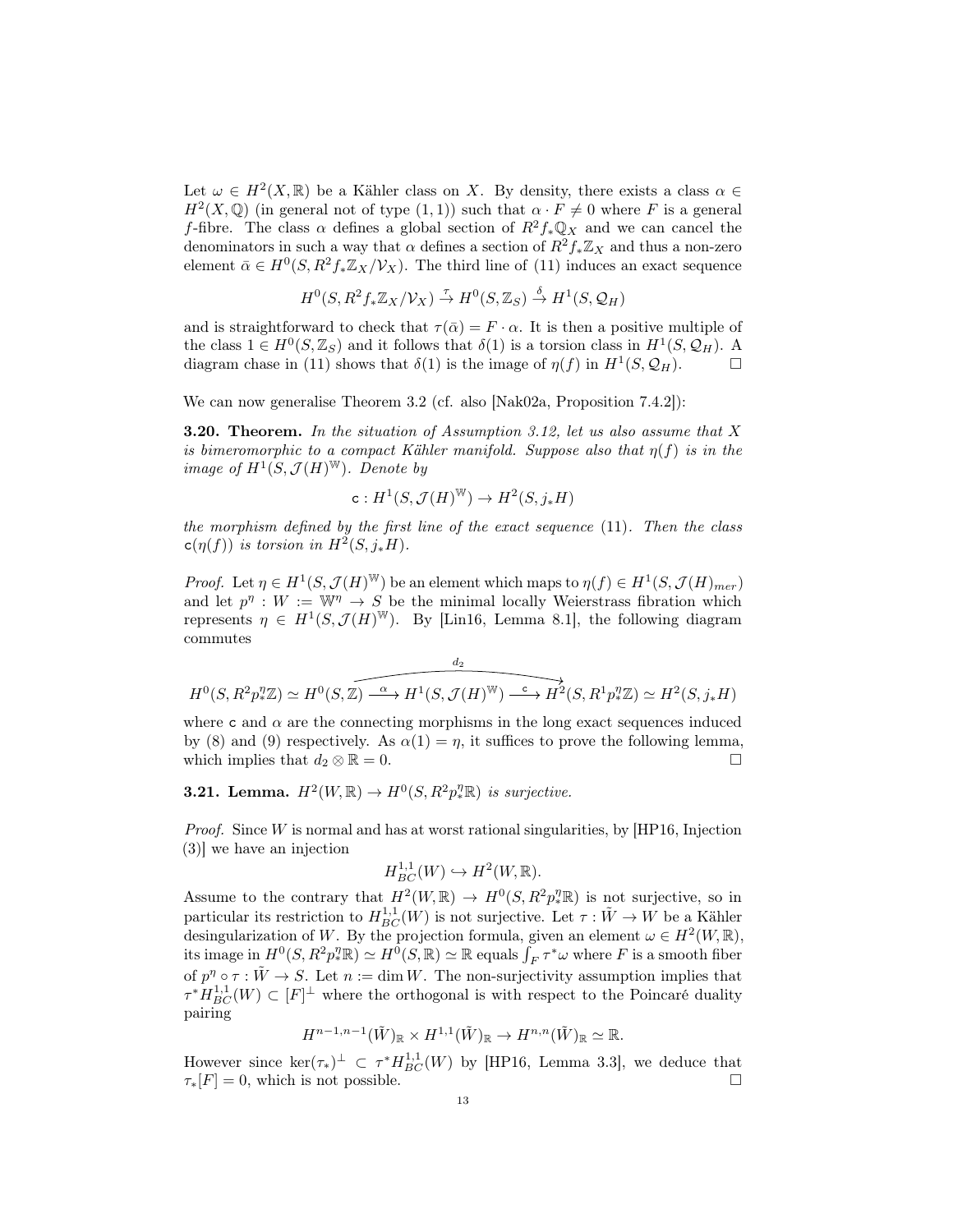Let  $\omega \in H^2(X,\mathbb{R})$  be a Kähler class on X. By density, there exists a class  $\alpha \in$  $H^2(X, \mathbb{Q})$  (in general not of type  $(1, 1)$ ) such that  $\alpha \cdot F \neq 0$  where F is a general f-fibre. The class  $\alpha$  defines a global section of  $R^2f_*\mathbb{Q}_X$  and we can cancel the denominators in such a way that  $\alpha$  defines a section of  $R^2 f_* \mathbb{Z}_X$  and thus a non-zero element  $\bar{\alpha} \in H^0(S, R^2f_*\mathbb{Z}_X/\mathcal{V}_X)$ . The third line of (11) induces an exact sequence

$$
H^0(S, R^2f_*\mathbb{Z}_X/\mathcal{V}_X) \stackrel{\tau}{\to} H^0(S, \mathbb{Z}_S) \stackrel{\delta}{\to} H^1(S, \mathcal{Q}_H)
$$

and is straightforward to check that  $\tau(\bar{\alpha}) = F \cdot \alpha$ . It is then a positive multiple of the class  $1 \in H^0(S, \mathbb{Z}_S)$  and it follows that  $\delta(1)$  is a torsion class in  $H^1(S, \mathcal{Q}_H)$ . A diagram chase in (11) shows that  $\delta(1)$  is the image of  $\eta(f)$  in  $H^1(S, \mathcal{Q}_H)$ .

We can now generalise Theorem 3.2 (cf. also [Nak02a, Proposition 7.4.2]):

**3.20. Theorem.** In the situation of Assumption 3.12, let us also assume that X is bimeromorphic to a compact Kähler manifold. Suppose also that  $\eta(f)$  is in the image of  $H^1(S, \mathcal{J}(H)^W)$ . Denote by

$$
\mathtt{c}:H^1(S,\mathcal{J}(H)^{\mathbb{W}})\rightarrow H^2(S,j_*H)
$$

the morphism defined by the first line of the exact sequence (11). Then the class  $c(\eta(f))$  is torsion in  $H^2(S, j_*H)$ .

*Proof.* Let  $\eta \in H^1(S, \mathcal{J}(H)^W)$  be an element which maps to  $\eta(f) \in H^1(S, \mathcal{J}(H)_{mer})$ and let  $p^n: W := \mathbb{W}^n \to S$  be the minimal locally Weierstrass fibration which represents  $\eta \in H^1(S, \mathcal{J}(H)^W)$ . By [Lin16, Lemma 8.1], the following diagram commutes

$$
H^0(S, R^2 p_*^{\eta} \mathbb{Z}) \simeq H^0(S, \mathbb{Z}) \xrightarrow{\alpha} H^1(S, \mathcal{J}(H)^{\mathbb{W}}) \xrightarrow{\mathbb{C}} H^2(S, R^1 p_*^{\eta} \mathbb{Z}) \simeq H^2(S, j_* H)
$$

where c and  $\alpha$  are the connecting morphisms in the long exact sequences induced by (8) and (9) respectively. As  $\alpha(1) = \eta$ , it suffices to prove the following lemma, which implies that  $d_2 \otimes \mathbb{R} = 0$ .

# **3.21.** Lemma.  $H^2(W,\mathbb{R}) \to H^0(S,R^2p_*^{\eta} \mathbb{R})$  is surjective.

*Proof.* Since  $W$  is normal and has at worst rational singularities, by [HP16, Injection (3)] we have an injection

$$
H_{BC}^{1,1}(W) \hookrightarrow H^2(W,\mathbb{R}).
$$

Assume to the contrary that  $H^2(W,\mathbb{R}) \to H^0(S,R^2p_*^2\mathbb{R})$  is not surjective, so in particular its restriction to  $H_{BC}^{1,1}(W)$  is not surjective. Let  $\tau : \tilde{W} \to W$  be a Kähler desingularization of W. By the projection formula, given an element  $\omega \in H^2(W, \mathbb{R})$ , its image in  $H^0(S, R^2p_*^{\eta} \mathbb{R}) \simeq H^0(S, \mathbb{R}) \simeq \mathbb{R}$  equals  $\int_F \tau^* \omega$  where F is a smooth fiber of  $p^{\eta} \circ \tau : \tilde{W} \to S$ . Let  $n := \dim W$ . The non-surjectivity assumption implies that  $\tau^* H_{BC}^{1,1}(W) \subset [F]^\perp$  where the orthogonal is with respect to the Poincaré duality pairing

$$
H^{n-1,n-1}(\tilde{W})_{\mathbb{R}} \times H^{1,1}(\tilde{W})_{\mathbb{R}} \to H^{n,n}(\tilde{W})_{\mathbb{R}} \simeq \mathbb{R}.
$$

However since  $\ker(\tau_*)^{\perp} \subset \tau^* H_{BC}^{1,1}(W)$  by [HP16, Lemma 3.3], we deduce that  $\tau_*[F] = 0$ , which is not possible.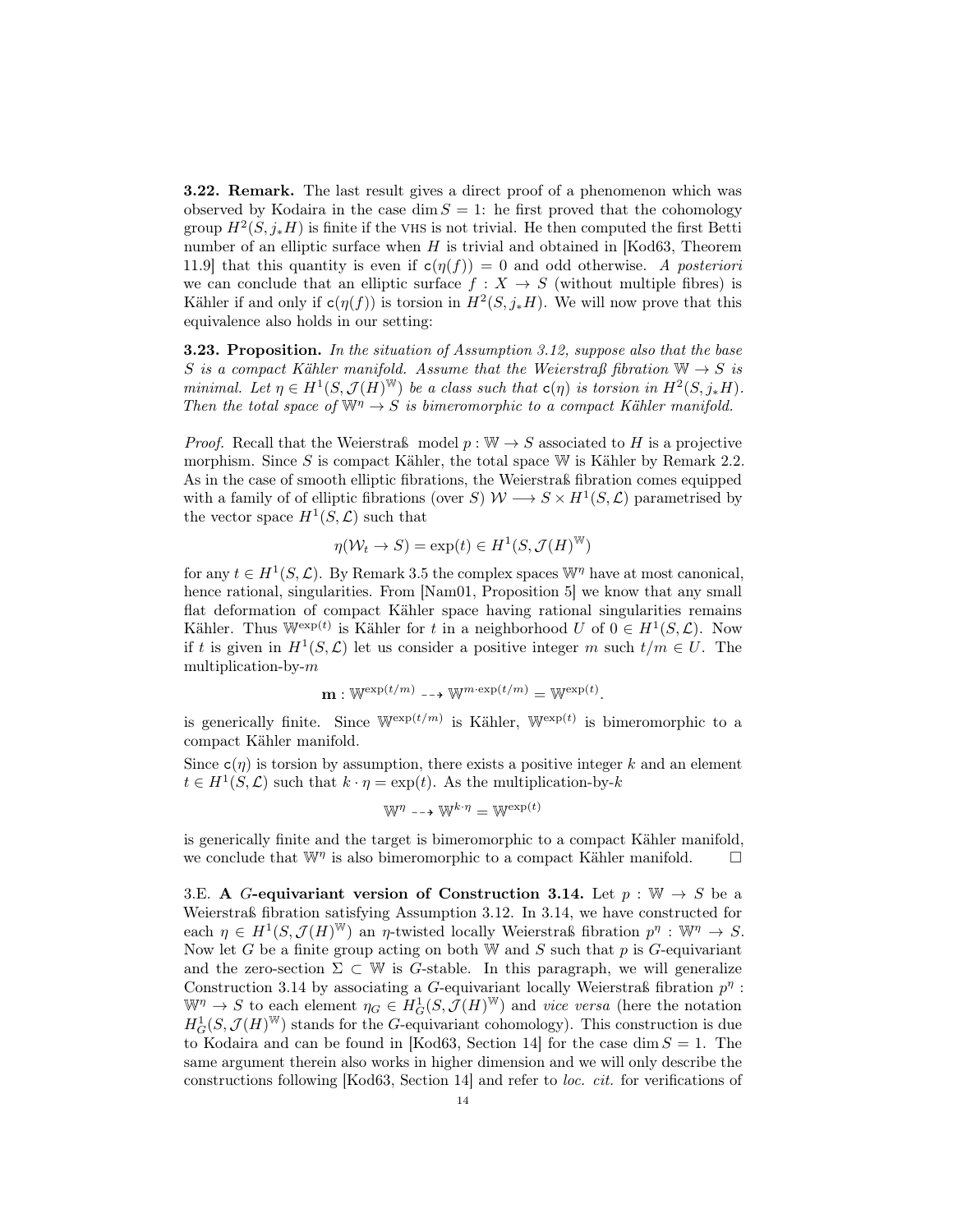3.22. Remark. The last result gives a direct proof of a phenomenon which was observed by Kodaira in the case dim  $S = 1$ : he first proved that the cohomology group  $H^2(S, j_*H)$  is finite if the VHS is not trivial. He then computed the first Betti number of an elliptic surface when  $H$  is trivial and obtained in [Kod63, Theorem 11.9] that this quantity is even if  $c(\eta(f)) = 0$  and odd otherwise. A posteriori we can conclude that an elliptic surface  $f : X \to S$  (without multiple fibres) is Kähler if and only if  $c(\eta(f))$  is torsion in  $H^2(S, j_*H)$ . We will now prove that this equivalence also holds in our setting:

**3.23. Proposition.** In the situation of Assumption 3.12, suppose also that the base S is a compact Kähler manifold. Assume that the Weierstraß fibration  $\mathbb{W} \to S$  is minimal. Let  $\eta \in H^1(S, \mathcal{J}(H)^W)$  be a class such that  $c(\eta)$  is torsion in  $H^2(S, j_*H)$ . Then the total space of  $\mathbb{W}^{\eta} \to S$  is bimeromorphic to a compact Kähler manifold.

*Proof.* Recall that the Weierstraß model  $p : \mathbb{W} \to S$  associated to H is a projective morphism. Since  $S$  is compact Kähler, the total space  $W$  is Kähler by Remark 2.2. As in the case of smooth elliptic fibrations, the Weierstraß fibration comes equipped with a family of of elliptic fibrations (over S)  $W \longrightarrow S \times H^1(S, \mathcal{L})$  parametrised by the vector space  $H^1(S, \mathcal{L})$  such that

$$
\eta(\mathcal{W}_t \to S) = \exp(t) \in H^1(S, \mathcal{J}(H)^{\mathbb{W}})
$$

for any  $t \in H^1(S, \mathcal{L})$ . By Remark 3.5 the complex spaces  $\mathbb{W}^{\eta}$  have at most canonical, hence rational, singularities. From [Nam01, Proposition 5] we know that any small flat deformation of compact Kähler space having rational singularities remains Kähler. Thus  $\mathbb{W}^{\exp(t)}$  is Kähler for t in a neighborhood U of  $0 \in H^1(S, \mathcal{L})$ . Now if t is given in  $H^1(S, \mathcal{L})$  let us consider a positive integer m such  $t/m \in U$ . The multiplication-by-m

$$
\mathbf{m} : \mathbb{W}^{\exp(t/m)} \dashrightarrow \mathbb{W}^{m \cdot \exp(t/m)} = \mathbb{W}^{\exp(t)}.
$$

is generically finite. Since  $\mathbb{W}^{\exp(t/m)}$  is Kähler,  $\mathbb{W}^{\exp(t)}$  is bimeromorphic to a compact Kähler manifold.

Since  $c(\eta)$  is torsion by assumption, there exists a positive integer k and an element  $t \in H^1(S, \mathcal{L})$  such that  $k \cdot \eta = \exp(t)$ . As the multiplication-by-k

$$
\mathbb{W}^\eta\dashrightarrow\mathbb{W}^{k\cdot\eta}=\mathbb{W}^{\exp(t)}
$$

is generically finite and the target is bimeromorphic to a compact Kähler manifold, we conclude that  $\mathbb{W}^{\eta}$  is also bimeromorphic to a compact Kähler manifold.  $\square$ 

3.E. A G-equivariant version of Construction 3.14. Let  $p : \mathbb{W} \to S$  be a Weierstraß fibration satisfying Assumption 3.12. In 3.14, we have constructed for each  $\eta \in H^1(S, \mathcal{J}(H)^W)$  an  $\eta$ -twisted locally Weierstraß fibration  $p^{\eta}: W^{\eta} \to S$ . Now let G be a finite group acting on both W and S such that  $p$  is G-equivariant and the zero-section  $\Sigma \subset \mathbb{W}$  is G-stable. In this paragraph, we will generalize Construction 3.14 by associating a G-equivariant locally Weierstraß fibration  $p^{\eta}$ :  $\mathbb{W}^{\eta} \to S$  to each element  $\eta_G \in H^1_G(S, \mathcal{J}(H)^{\mathbb{W}})$  and vice versa (here the notation  $H_G^1(S,\mathcal{J}(H)^W)$  stands for the G-equivariant cohomology). This construction is due to Kodaira and can be found in [Kod63, Section 14] for the case dim  $S = 1$ . The same argument therein also works in higher dimension and we will only describe the constructions following [Kod63, Section 14] and refer to loc. cit. for verifications of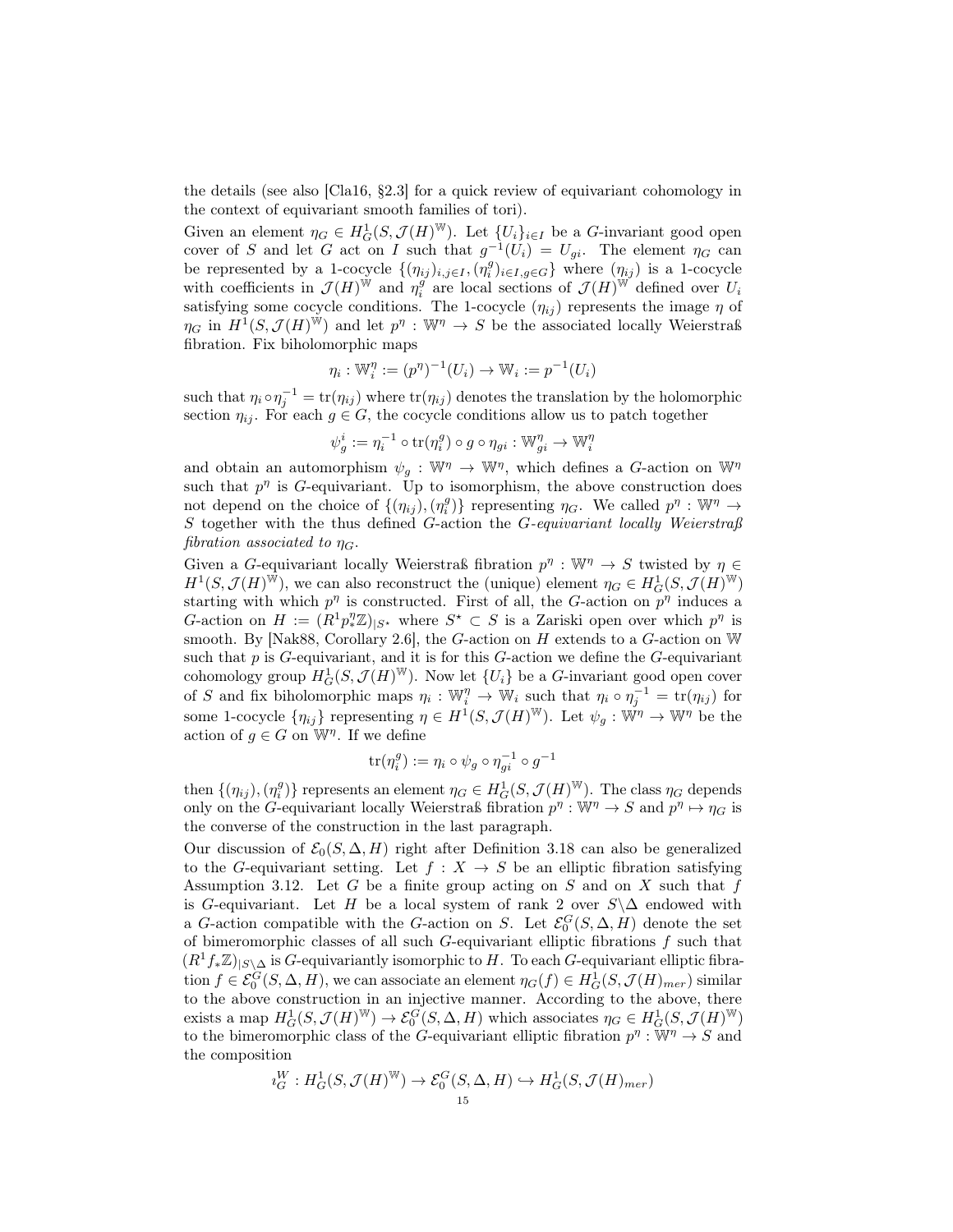the details (see also [Cla16, §2.3] for a quick review of equivariant cohomology in the context of equivariant smooth families of tori).

Given an element  $\eta_G \in H_G^1(S, \mathcal{J}(H)^{\mathbb{W}})$ . Let  $\{U_i\}_{i \in I}$  be a *G*-invariant good open cover of S and let G act on I such that  $g^{-1}(U_i) = U_{gi}$ . The element  $\eta_G$  can be represented by a 1-cocycle  $\{(\eta_{ij})_{i,j\in I},(\eta_i^g)_{i\in I,g\in G}\}$  where  $(\eta_{ij})$  is a 1-cocycle with coefficients in  $\mathcal{J}(H)^{\dot{W}}$  and  $\eta_i^g$  are local sections of  $\mathcal{J}(H)^{\dot{W}}$  defined over  $U_i$ satisfying some cocycle conditions. The 1-cocycle  $(\eta_{ij})$  represents the image  $\eta$  of  $\eta_G$  in  $H^1(S, \mathcal{J}(H)^W)$  and let  $p^{\eta}: W^{\eta} \to S$  be the associated locally Weierstraß fibration. Fix biholomorphic maps

$$
\eta_i : \mathbb{W}_i^{\eta} := (p^{\eta})^{-1}(U_i) \to \mathbb{W}_i := p^{-1}(U_i)
$$

such that  $\eta_i \circ \eta_j^{-1} = \text{tr}(\eta_{ij})$  where  $\text{tr}(\eta_{ij})$  denotes the translation by the holomorphic section  $\eta_{ij}$ . For each  $g \in G$ , the cocycle conditions allow us to patch together

$$
\psi_g^i := \eta_i^{-1} \circ \operatorname{tr}(\eta_i^g) \circ g \circ \eta_{gi} : \mathbb{W}_{gi}^{\eta} \to \mathbb{W}_i^{\eta}
$$

and obtain an automorphism  $\psi_g : \mathbb{W}^{\eta} \to \mathbb{W}^{\eta}$ , which defines a G-action on  $\mathbb{W}^{\eta}$ such that  $p^{\eta}$  is G-equivariant. Up to isomorphism, the above construction does not depend on the choice of  $\{(\eta_{ij}),(\eta_i^g)\}\)$  representing  $\eta_G$ . We called  $p^{\eta}:\mathbb{W}^{\eta}\to\mathbb{W}^{\eta}$ S together with the thus defined G-action the G-equivariant locally Weierstraß fibration associated to  $\eta_G$ .

Given a G-equivariant locally Weierstraß fibration  $p^{\eta}: \mathbb{W}^{\eta} \to S$  twisted by  $\eta \in$  $H^1(S, \mathcal{J}(H)^{\overline{W}})$ , we can also reconstruct the (unique) element  $\eta_G \in H^1_G(S, \mathcal{J}(H)^{\overline{W}})$ starting with which  $p^{\eta}$  is constructed. First of all, the G-action on  $p^{\eta}$  induces a G-action on  $H := (R^1 p_*^{\eta} \mathbb{Z})_{|S^*}$  where  $S^* \subset S$  is a Zariski open over which  $p^{\eta}$  is smooth. By [Nak88, Corollary 2.6], the G-action on H extends to a G-action on  $W$ such that  $p$  is  $G$ -equivariant, and it is for this  $G$ -action we define the  $G$ -equivariant cohomology group  $H_G^1(S, \mathcal{J}(H)^W)$ . Now let  $\{U_i\}$  be a G-invariant good open cover of S and fix biholomorphic maps  $\eta_i : \mathbb{W}_i^n \to \mathbb{W}_i$  such that  $\eta_i \circ \eta_j^{-1} = \text{tr}(\eta_{ij})$  for some 1-cocycle  $\{\eta_{ij}\}\$  representing  $\eta \in H^1(S, \mathcal{J}(H)^{\mathbb{W}})$ . Let  $\psi_g: \mathbb{W}^{\eta} \to \mathbb{W}^{\eta}$  be the action of  $g \in G$  on  $\mathbb{W}^{\eta}$ . If we define

$$
\text{tr}(\eta_i^g) := \eta_i \circ \psi_g \circ \eta_{gi}^{-1} \circ g^{-1}
$$

then  $\{(\eta_{ij}),(\eta_i^g)\}\)$  represents an element  $\eta_G \in H_G^1(S,\mathcal{J}(H)^W)$ . The class  $\eta_G$  depends only on the G-equivariant locally Weierstraß fibration  $p^{\eta}: \mathbb{W}^{\eta} \to S$  and  $p^{\eta} \mapsto \eta_G$  is the converse of the construction in the last paragraph.

Our discussion of  $\mathcal{E}_0(S, \Delta, H)$  right after Definition 3.18 can also be generalized to the G-equivariant setting. Let  $f : X \to S$  be an elliptic fibration satisfying Assumption 3.12. Let G be a finite group acting on S and on X such that f is G-equivariant. Let H be a local system of rank 2 over  $S\Delta$  endowed with a G-action compatible with the G-action on S. Let  $\mathcal{E}_0^G(S, \Delta, H)$  denote the set of bimeromorphic classes of all such  $G$ -equivariant elliptic fibrations  $f$  such that  $(R<sup>1</sup>f_*\mathbb{Z})_{|S\setminus \Delta}$  is G-equivariantly isomorphic to H. To each G-equivariant elliptic fibration  $f \in \mathcal{E}_0^G(S, \Delta, H)$ , we can associate an element  $\eta_G(f) \in H_G^1(S, \mathcal{J}(H)_{mer})$  similar to the above construction in an injective manner. According to the above, there exists a map  $H^1_G(S, \mathcal{J}(H)^W) \to \mathcal{E}_0^G(S, \Delta, H)$  which associates  $\eta_G \in H^1_G(S, \mathcal{J}(H)^W)$ to the bimeromorphic class of the G-equivariant elliptic fibration  $p^{\eta}: \mathbb{W}^{\eta} \to S$  and the composition

$$
\imath_G^W: H^1_G(S,\mathcal{J}(H)^{\mathbb{W}}) \to \mathcal{E}_0^G(S,\Delta,H) \hookrightarrow H^1_G(S,\mathcal{J}(H)_{mer})
$$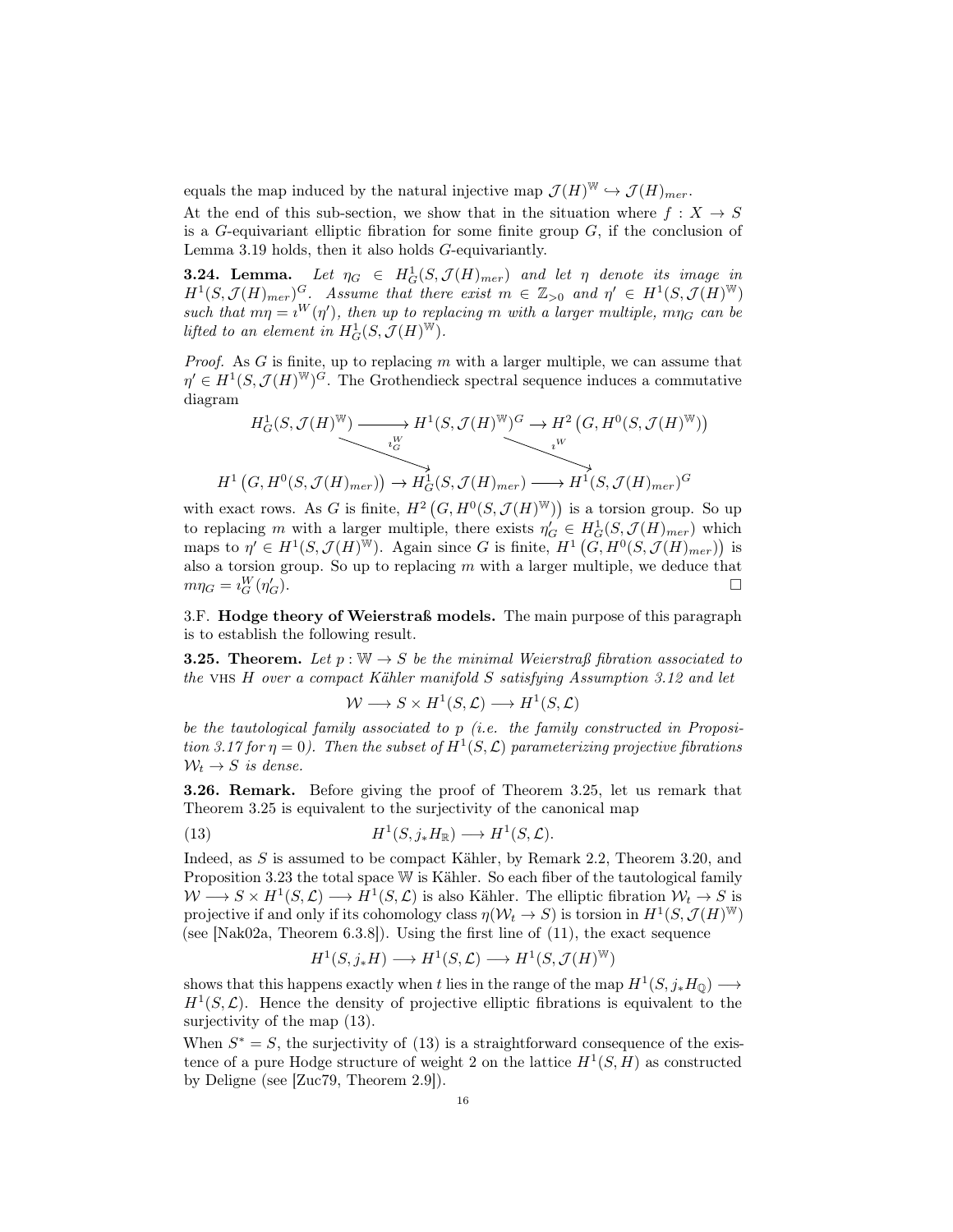equals the map induced by the natural injective map  $\mathcal{J}(H)^{\mathbb{W}} \hookrightarrow \mathcal{J}(H)_{mer}$ .

At the end of this sub-section, we show that in the situation where  $f: X \to S$ is a  $G$ -equivariant elliptic fibration for some finite group  $G$ , if the conclusion of Lemma 3.19 holds, then it also holds G-equivariantly.

**3.24. Lemma.** Let  $\eta_G$   $\in H^1_G(S, \mathcal{J}(H)_{mer})$  and let  $\eta$  denote its image in  $H^1(S,\mathcal{J}(H)_{mer})^G$ . Assume that there exist  $m \in \mathbb{Z}_{>0}$  and  $\eta' \in H^1(S,\mathcal{J}(H)^W)$ such that  $m\eta = i^W(\eta')$ , then up to replacing m with a larger multiple,  $m\eta_G$  can be lifted to an element in  $H_G^1(S, \mathcal{J}(H)^W)$ .

*Proof.* As  $G$  is finite, up to replacing  $m$  with a larger multiple, we can assume that  $\eta' \in H^1(S, \mathcal{J}(H)^{\mathbb{W}})^G$ . The Grothendieck spectral sequence induces a commutative diagram

$$
H_G^1(S, \mathcal{J}(H)^{\mathbb{W}}) \longrightarrow H^1(S, \mathcal{J}(H)^{\mathbb{W}})^G \longrightarrow H^2\left(G, H^0(S, \mathcal{J}(H)^{\mathbb{W}})\right)
$$
  

$$
H^1\left(G, H^0(S, \mathcal{J}(H)_{mer})\right) \longrightarrow H_G^1(S, \mathcal{J}(H)_{mer}) \longrightarrow H^1(S, \mathcal{J}(H)_{mer})^G
$$

with exact rows. As G is finite,  $H^2(G, H^0(S, \mathcal{J}(H)^W))$  is a torsion group. So up to replacing m with a larger multiple, there exists  $\eta'_G \in H_G^1(S, \mathcal{J}(H)_{mer})$  which maps to  $\eta' \in H^1(S, \mathcal{J}(H)^{\overline{W}})$ . Again since G is finite,  $H^1(G, H^0(S, \mathcal{J}(H)_{mer}))$  is also a torsion group. So up to replacing  $m$  with a larger multiple, we deduce that  $m\eta_G = \imath_G^W(\eta'_G)$  $\Box$ 

3.F. Hodge theory of Weierstraß models. The main purpose of this paragraph is to establish the following result.

**3.25. Theorem.** Let  $p : \mathbb{W} \to S$  be the minimal Weierstraß fibration associated to the VHS  $H$  over a compact Kähler manifold  $S$  satisfying Assumption 3.12 and let

$$
W \longrightarrow S \times H^1(S, \mathcal{L}) \longrightarrow H^1(S, \mathcal{L})
$$

be the tautological family associated to p (i.e. the family constructed in Proposition 3.17 for  $\eta = 0$ ). Then the subset of  $H^1(S, \mathcal{L})$  parameterizing projective fibrations  $W_t \rightarrow S$  is dense.

3.26. Remark. Before giving the proof of Theorem 3.25, let us remark that Theorem 3.25 is equivalent to the surjectivity of the canonical map

(13) 
$$
H^1(S, j_*H_{\mathbb{R}}) \longrightarrow H^1(S, \mathcal{L}).
$$

Indeed, as S is assumed to be compact Kähler, by Remark 2.2, Theorem 3.20, and Proposition 3.23 the total space W is Kähler. So each fiber of the tautological family  $W \longrightarrow S \times H^1(S, \mathcal{L}) \longrightarrow H^1(S, \mathcal{L})$  is also Kähler. The elliptic fibration  $\mathcal{W}_t \to S$  is projective if and only if its cohomology class  $\eta(\mathcal{W}_t \to S)$  is torsion in  $H^1(S, \mathcal{J}(H)^W)$ (see [Nak02a, Theorem 6.3.8]). Using the first line of (11), the exact sequence

$$
H^1(S, j_*H) \longrightarrow H^1(S, \mathcal{L}) \longrightarrow H^1(S, \mathcal{J}(H)^{\mathbb{W}})
$$

shows that this happens exactly when t lies in the range of the map  $H^1(S, j_*H_Q) \longrightarrow$  $H<sup>1</sup>(S, \mathcal{L})$ . Hence the density of projective elliptic fibrations is equivalent to the surjectivity of the map (13).

When  $S^* = S$ , the surjectivity of (13) is a straightforward consequence of the existence of a pure Hodge structure of weight 2 on the lattice  $H^1(S,H)$  as constructed by Deligne (see [Zuc79, Theorem 2.9]).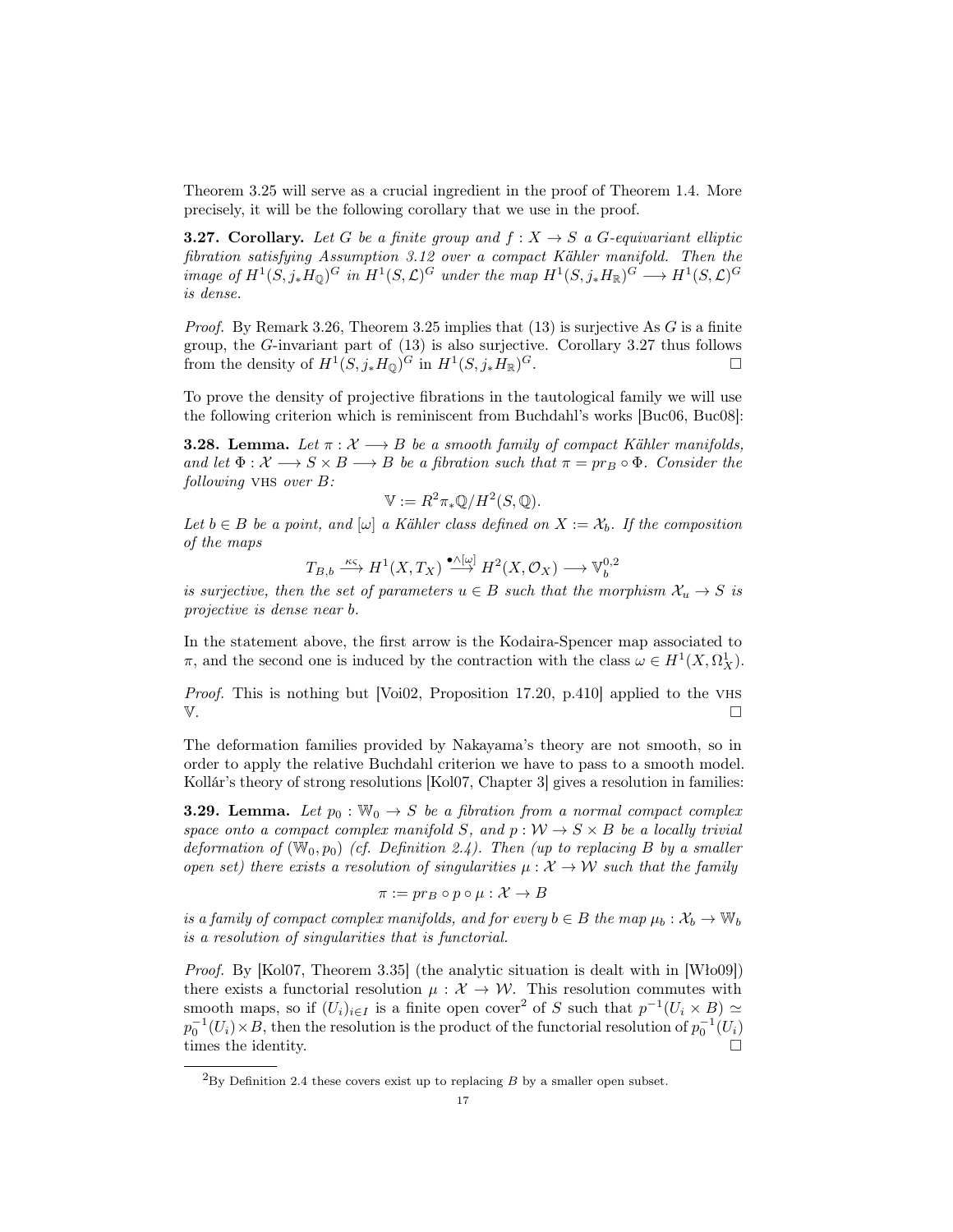Theorem 3.25 will serve as a crucial ingredient in the proof of Theorem 1.4. More precisely, it will be the following corollary that we use in the proof.

**3.27. Corollary.** Let G be a finite group and  $f: X \to S$  a G-equivariant elliptic fibration satisfying Assumption 3.12 over a compact Kähler manifold. Then the image of  $H^1(S, j_*H_{\mathbb{Q}})^G$  in  $H^1(S, \mathcal{L})^G$  under the map  $H^1(S, j_*H_{\mathbb{R}})^G \longrightarrow H^1(S, \mathcal{L})^G$ is dense.

*Proof.* By Remark 3.26, Theorem 3.25 implies that  $(13)$  is surjective As G is a finite group, the G-invariant part of (13) is also surjective. Corollary 3.27 thus follows from the density of  $H^1(S, j_*H_{\mathbb{Q}})^G$  in  $H^1(S, j_*H_{\mathbb{R}})$  $G$ .

To prove the density of projective fibrations in the tautological family we will use the following criterion which is reminiscent from Buchdahl's works [Buc06, Buc08]:

**3.28. Lemma.** Let  $\pi : \mathcal{X} \longrightarrow B$  be a smooth family of compact Kähler manifolds, and let  $\Phi: \mathcal{X} \longrightarrow S \times B \longrightarrow B$  be a fibration such that  $\pi = pr_B \circ \Phi$ . Consider the following VHS over  $B$ :

$$
\mathbb{V} := R^2 \pi_* \mathbb{Q}/H^2(S, \mathbb{Q}).
$$

Let  $b \in B$  be a point, and  $[\omega]$  a Kähler class defined on  $X := \mathcal{X}_b$ . If the composition of the maps

$$
T_{B,b} \xrightarrow{\kappa \varsigma} H^1(X,T_X) \xrightarrow{\bullet \wedge [\omega]} H^2(X,\mathcal{O}_X) \longrightarrow \mathbb{V}^{0,2}_b
$$

is surjective, then the set of parameters  $u \in B$  such that the morphism  $\mathcal{X}_u \to S$  is projective is dense near b.

In the statement above, the first arrow is the Kodaira-Spencer map associated to  $\pi$ , and the second one is induced by the contraction with the class  $\omega \in H^1(X, \Omega_X^1)$ .

Proof. This is nothing but [Voi02, Proposition 17.20, p.410] applied to the VHS  $V.$ 

The deformation families provided by Nakayama's theory are not smooth, so in order to apply the relative Buchdahl criterion we have to pass to a smooth model. Kollár's theory of strong resolutions [Kol07, Chapter 3] gives a resolution in families:

**3.29. Lemma.** Let  $p_0 : W_0 \to S$  be a fibration from a normal compact complex space onto a compact complex manifold S, and  $p: W \to S \times B$  be a locally trivial deformation of  $(W_0, p_0)$  (cf. Definition 2.4). Then (up to replacing B by a smaller open set) there exists a resolution of singularities  $\mu : \mathcal{X} \to \mathcal{W}$  such that the family

$$
\pi := pr_B \circ p \circ \mu : \mathcal{X} \to B
$$

is a family of compact complex manifolds, and for every  $b \in B$  the map  $\mu_b : \mathcal{X}_b \to \mathbb{W}_b$ is a resolution of singularities that is functorial.

Proof. By [Kol07, Theorem 3.35] (the analytic situation is dealt with in [Wło09]) there exists a functorial resolution  $\mu : \mathcal{X} \to \mathcal{W}$ . This resolution commutes with smooth maps, so if  $(U_i)_{i\in I}$  is a finite open cover<sup>2</sup> of S such that  $p^{-1}(U_i \times B) \simeq$  $p_0^{-1}(U_i) \times B$ , then the resolution is the product of the functorial resolution of  $p_0^{-1}(U_i)$ times the identity.

 ${}^{2}_{2}$ By Definition 2.4 these covers exist up to replacing B by a smaller open subset.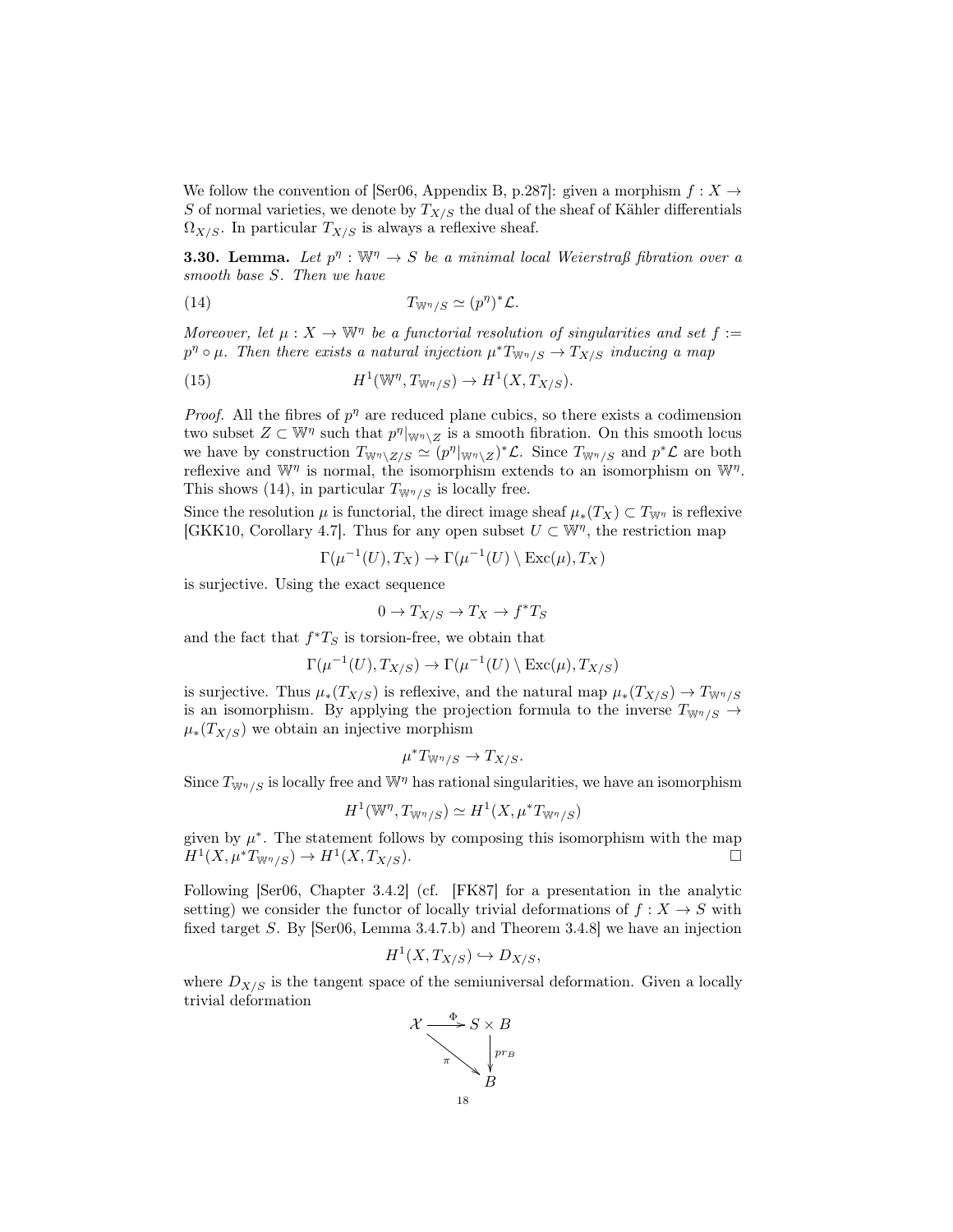We follow the convention of [Ser06, Appendix B, p.287]: given a morphism  $f: X \rightarrow$ S of normal varieties, we denote by  $T_{X/S}$  the dual of the sheaf of Kähler differentials  $\Omega_{X/S}$ . In particular  $T_{X/S}$  is always a reflexive sheaf.

**3.30. Lemma.** Let  $p^{\eta}: \mathbb{W}^{\eta} \to S$  be a minimal local Weierstraß fibration over a smooth base S. Then we have

(14) 
$$
T_{\mathbb{W}^{\eta}/S} \simeq (p^{\eta})^* \mathcal{L}.
$$

Moreover, let  $\mu: X \to \mathbb{W}^n$  be a functorial resolution of singularities and set  $f :=$  $p^{\eta} \circ \mu$ . Then there exists a natural injection  $\mu^* T_{W^{\eta}/S} \to T_{X/S}$  inducing a map

(15) 
$$
H^1(\mathbb{W}^\eta, T_{\mathbb{W}^\eta/S}) \to H^1(X, T_{X/S}).
$$

*Proof.* All the fibres of  $p<sup>\eta</sup>$  are reduced plane cubics, so there exists a codimension two subset  $Z \subset \mathbb{W}^n$  such that  $p^n|_{\mathbb{W}^n \setminus Z}$  is a smooth fibration. On this smooth locus we have by construction  $T_{\mathbb{W}^{\eta}\setminus Z/S} \simeq (p^{\eta}|_{\mathbb{W}^{\eta}\setminus Z})^*\mathcal{L}$ . Since  $T_{\mathbb{W}^{\eta}/S}$  and  $p^*\mathcal{L}$  are both reflexive and  $\mathbb{W}^{\eta}$  is normal, the isomorphism extends to an isomorphism on  $\mathbb{W}^{\eta}$ . This shows (14), in particular  $T_{\mathbb{W}^{\eta}/S}$  is locally free.

Since the resolution  $\mu$  is functorial, the direct image sheaf  $\mu_*(T_X) \subset T_{\mathbb{W}^{\eta}}$  is reflexive [GKK10, Corollary 4.7]. Thus for any open subset  $U \subset \mathbb{W}^{\eta}$ , the restriction map

$$
\Gamma(\mu^{-1}(U),T_X) \to \Gamma(\mu^{-1}(U) \setminus \text{Exc}(\mu),T_X)
$$

is surjective. Using the exact sequence

$$
0 \to T_{X/S} \to T_X \to f^*T_S
$$

and the fact that  $f^*T_S$  is torsion-free, we obtain that

$$
\Gamma(\mu^{-1}(U), T_{X/S}) \to \Gamma(\mu^{-1}(U) \setminus \text{Exc}(\mu), T_{X/S})
$$

is surjective. Thus  $\mu_*(T_{X/S})$  is reflexive, and the natural map  $\mu_*(T_{X/S}) \to T_{W\eta/S}$ is an isomorphism. By applying the projection formula to the inverse  $T_{W\eta/S} \rightarrow$  $\mu_*(T_{X/S})$  we obtain an injective morphism

$$
\mu^* T_{\mathbb{W}^{\eta}/S} \to T_{X/S}.
$$

Since  $T_{W^{\eta}/S}$  is locally free and  $W^{\eta}$  has rational singularities, we have an isomorphism

$$
H^1(\mathbb{W}^\eta, T_{\mathbb{W}^\eta/S}) \simeq H^1(X, \mu^*T_{\mathbb{W}^\eta/S})
$$

given by  $\mu^*$ . The statement follows by composing this isomorphism with the map  $H^1(X, \mu^*T_{\mathbb{W}^{\eta}/S}) \to H^1(X, T_{X/S}).$ 

Following [Ser06, Chapter 3.4.2] (cf. [FK87] for a presentation in the analytic setting) we consider the functor of locally trivial deformations of  $f: X \to S$  with fixed target S. By [Ser06, Lemma 3.4.7.b) and Theorem 3.4.8] we have an injection

$$
H^1(X, T_{X/S}) \hookrightarrow D_{X/S},
$$

where  $D_{X/S}$  is the tangent space of the semiuniversal deformation. Given a locally trivial deformation

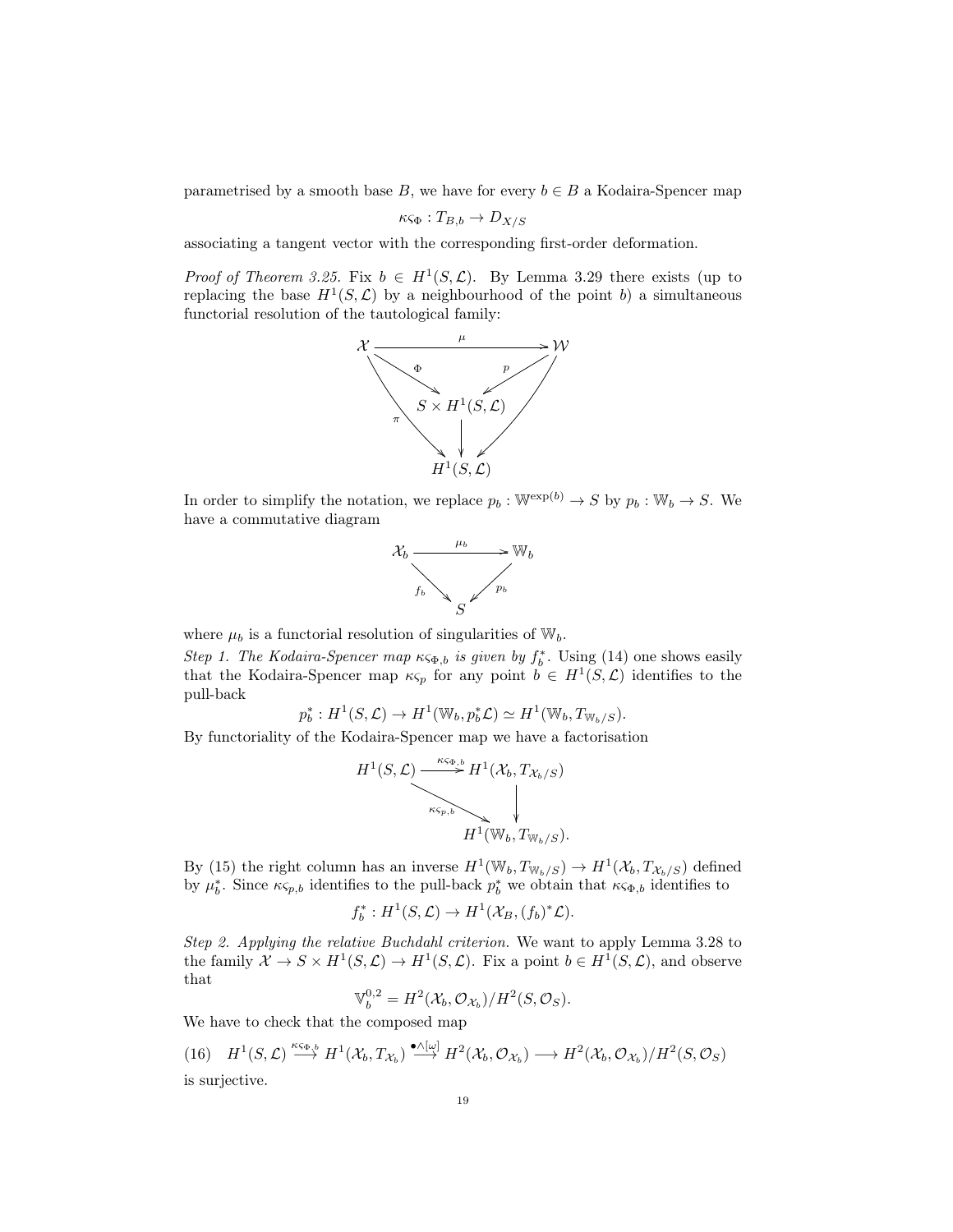parametrised by a smooth base B, we have for every  $b \in B$  a Kodaira-Spencer map

$$
\kappa \varsigma_{\Phi}: T_{B,b} \to D_{X/S}
$$

associating a tangent vector with the corresponding first-order deformation.

*Proof of Theorem 3.25.* Fix  $b \in H^1(S, \mathcal{L})$ . By Lemma 3.29 there exists (up to replacing the base  $H^1(S, \mathcal{L})$  by a neighbourhood of the point b) a simultaneous functorial resolution of the tautological family:



In order to simplify the notation, we replace  $p_b : \mathbb{W}^{\exp(b)} \to S$  by  $p_b : \mathbb{W}_b \to S$ . We have a commutative diagram



where  $\mu_b$  is a functorial resolution of singularities of  $\mathbb{W}_b$ .

Step 1. The Kodaira-Spencer map  $\kappa \varsigma_{\Phi,b}$  is given by  $f_b^*$ . Using (14) one shows easily that the Kodaira-Spencer map  $\kappa_{\mathcal{S}_p}$  for any point  $b \in H^1(S, \mathcal{L})$  identifies to the pull-back

$$
p_b^*: H^1(S, \mathcal{L}) \to H^1(\mathbb{W}_b, p_b^* \mathcal{L}) \simeq H^1(\mathbb{W}_b, T_{\mathbb{W}_b/S}).
$$

By functoriality of the Kodaira-Spencer map we have a factorisation

$$
H^1(S, \mathcal{L}) \xrightarrow{\kappa_{\varsigma_{\Phi,b}}} H^1(\mathcal{X}_b, T_{\mathcal{X}_b/S})
$$
\n
$$
\downarrow
$$
\n
$$
H^1(\mathbb{W}_b, T_{\mathbb{W}_b/S}).
$$

By (15) the right column has an inverse  $H^1(\mathbb{W}_b, T_{\mathbb{W}_b/S}) \to H^1(\mathcal{X}_b, T_{\mathcal{X}_b/S})$  defined by  $\mu_b^*$ . Since  $\kappa_{\varsigma_{p,b}}$  identifies to the pull-back  $p_b^*$  we obtain that  $\kappa_{\varsigma_{\Phi,b}}$  identifies to

$$
f_b^*: H^1(S, \mathcal{L}) \to H^1(\mathcal{X}_B, (f_b)^*\mathcal{L}).
$$

Step 2. Applying the relative Buchdahl criterion. We want to apply Lemma 3.28 to the family  $\mathcal{X} \to S \times H^1(S, \mathcal{L}) \to H^1(S, \mathcal{L})$ . Fix a point  $b \in H^1(S, \mathcal{L})$ , and observe that

$$
\mathbb{V}_b^{0,2} = H^2(\mathcal{X}_b, \mathcal{O}_{\mathcal{X}_b})/H^2(S, \mathcal{O}_S).
$$

We have to check that the composed map

 $(16)$   $H^1(S, \mathcal{L}) \stackrel{\kappa_{\mathsf{S}\Phi,b}}{\longrightarrow} H^1(\mathcal{X}_b, T_{\mathcal{X}_b}) \stackrel{\bullet \wedge [\omega]}{\longrightarrow} H^2(\mathcal{X}_b, \mathcal{O}_{\mathcal{X}_b}) \longrightarrow H^2(\mathcal{X}_b, \mathcal{O}_{\mathcal{X}_b})/H^2(S, \mathcal{O}_{S})$ is surjective.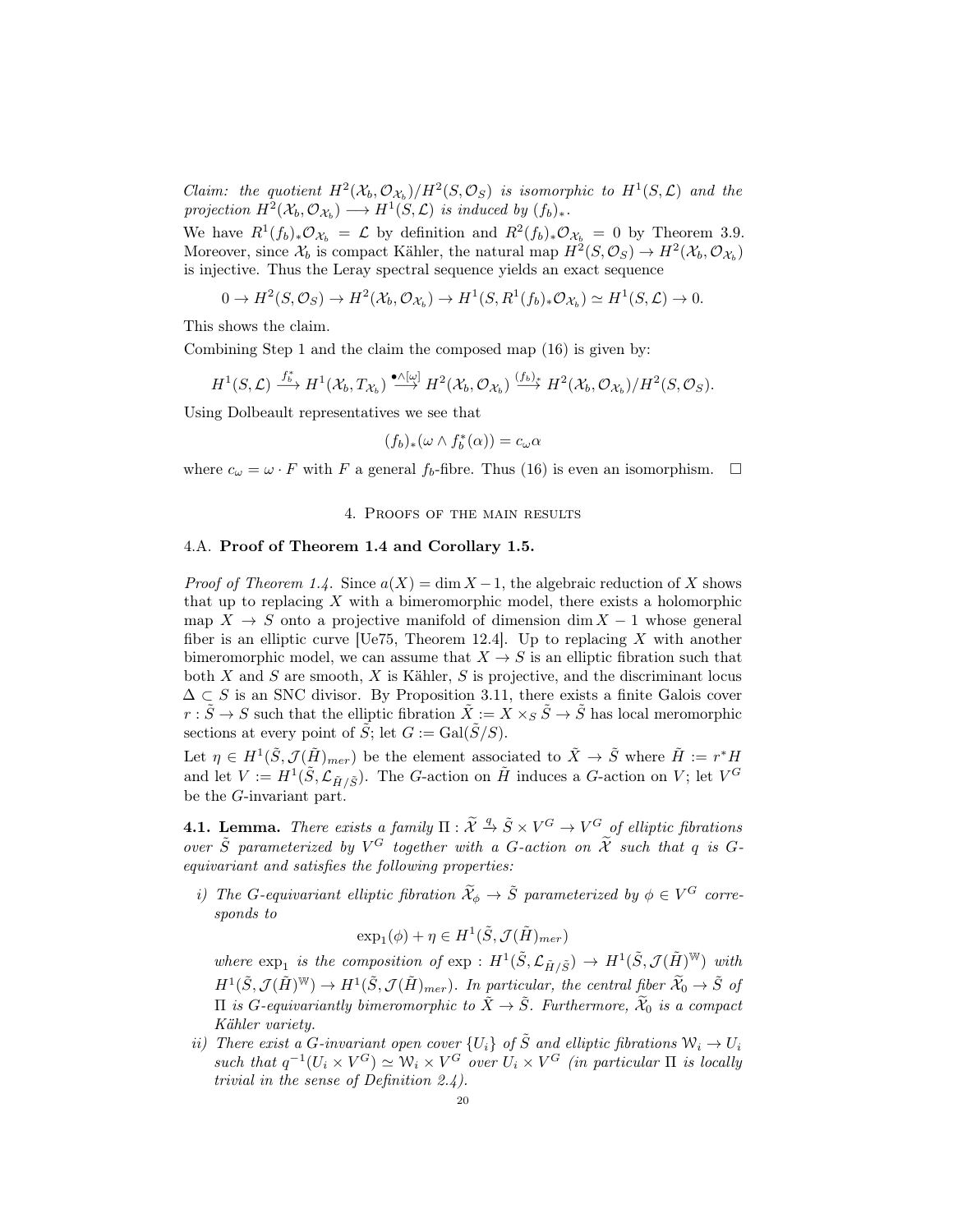Claim: the quotient  $H^2(\mathcal{X}_b, \mathcal{O}_{\mathcal{X}_b})/H^2(S, \mathcal{O}_S)$  is isomorphic to  $H^1(S, \mathcal{L})$  and the projection  $H^2(\mathcal{X}_b, \mathcal{O}_{\mathcal{X}_b}) \longrightarrow H^1(S, \mathcal{L})$  is induced by  $(f_b)_*.$ 

We have  $R^1(f_b)_*\mathcal{O}_{\mathcal{X}_b} = \mathcal{L}$  by definition and  $R^2(f_b)_*\mathcal{O}_{\mathcal{X}_b} = 0$  by Theorem 3.9. Moreover, since  $\mathcal{X}_b$  is compact Kähler, the natural map  $H^2(S, \mathcal{O}_S) \to H^2(\mathcal{X}_b, \mathcal{O}_{\mathcal{X}_b})$ is injective. Thus the Leray spectral sequence yields an exact sequence

$$
0 \to H^2(S, \mathcal{O}_S) \to H^2(\mathcal{X}_b, \mathcal{O}_{\mathcal{X}_b}) \to H^1(S, R^1(f_b)_* \mathcal{O}_{\mathcal{X}_b}) \simeq H^1(S, \mathcal{L}) \to 0.
$$

This shows the claim.

Combining Step 1 and the claim the composed map (16) is given by:

$$
H^1(S, \mathcal{L}) \xrightarrow{f_b^*} H^1(\mathcal{X}_b, T_{\mathcal{X}_b}) \xrightarrow{\bullet \wedge [\omega]} H^2(\mathcal{X}_b, \mathcal{O}_{\mathcal{X}_b}) \xrightarrow{(f_b)_*} H^2(\mathcal{X}_b, \mathcal{O}_{\mathcal{X}_b})/H^2(S, \mathcal{O}_S).
$$

Using Dolbeault representatives we see that

$$
(f_b)_*(\omega \wedge f_b^*(\alpha)) = c_\omega \alpha
$$

where  $c_{\omega} = \omega \cdot F$  with F a general  $f_b$ -fibre. Thus (16) is even an isomorphism.  $\Box$ 

## 4. Proofs of the main results

## 4.A. Proof of Theorem 1.4 and Corollary 1.5.

*Proof of Theorem 1.4.* Since  $a(X) = \dim X - 1$ , the algebraic reduction of X shows that up to replacing  $X$  with a bimeromorphic model, there exists a holomorphic map  $X \to S$  onto a projective manifold of dimension dim  $X - 1$  whose general fiber is an elliptic curve [Ue75, Theorem 12.4]. Up to replacing X with another bimeromorphic model, we can assume that  $X \to S$  is an elliptic fibration such that both  $X$  and  $S$  are smooth,  $X$  is Kähler,  $S$  is projective, and the discriminant locus  $\Delta \subset S$  is an SNC divisor. By Proposition 3.11, there exists a finite Galois cover  $r : \tilde{S} \to S$  such that the elliptic fibration  $\tilde{X} := X \times_S \tilde{S} \to \tilde{S}$  has local meromorphic sections at every point of  $\tilde{S}$ ; let  $G := \text{Gal}(\tilde{S}/S)$ .

Let  $\eta \in H^1(\tilde{S}, \mathcal{J}(\tilde{H})_{mer})$  be the element associated to  $\tilde{X} \to \tilde{S}$  where  $\tilde{H} := r^*H$ and let  $V := H^1(\tilde{S}, \mathcal{L}_{\tilde{H}/\tilde{S}})$ . The G-action on  $\tilde{H}$  induces a G-action on V; let  $V^G$ be the  $G$ -invariant part.

**4.1. Lemma.** There exists a family  $\Pi : \widetilde{\mathcal{X}} \stackrel{q}{\to} \widetilde{S} \times V^G \to V^G$  of elliptic fibrations over  $\tilde{S}$  parameterized by  $V^G$  together with a G-action on  $\tilde{\mathcal{X}}$  such that q is Gequivariant and satisfies the following properties:

i) The G-equivariant elliptic fibration  $\widetilde{\mathcal{X}}_{\phi} \to \widetilde{S}$  parameterized by  $\phi \in V^G$  corresponds to

 $\exp_1(\phi) + \eta \in H^1(\tilde{S}, \mathcal{J}(\tilde{H})_{mer})$ 

where  $\exp_1$  is the composition of  $\exp: H^1(\tilde{S}, \mathcal{L}_{\tilde{H}/\tilde{S}}) \to H^1(\tilde{S}, \mathcal{J}(\tilde{H})^{\mathbb{W}})$  with  $H^1(\tilde{S}, \mathcal{J}(\tilde{H})^{\mathbb{W}}) \to H^1(\tilde{S}, \mathcal{J}(\tilde{H})_{mer})$ . In particular, the central fiber  $\widetilde{\mathcal{X}}_0 \to \tilde{S}$  of II is *G*-equivariantly bimeromorphic to  $\tilde{X}$  →  $\tilde{S}$ . Furthermore,  $\tilde{X}_0$  is a compact Kähler variety.

ii) There exist a G-invariant open cover  $\{U_i\}$  of  $\tilde{S}$  and elliptic fibrations  $\mathcal{W}_i \to U_i$ such that  $q^{-1}(U_i \times V^G) \simeq W_i \times V^G$  over  $U_i \times V^G$  (in particular  $\Pi$  is locally trivial in the sense of Definition 2.4).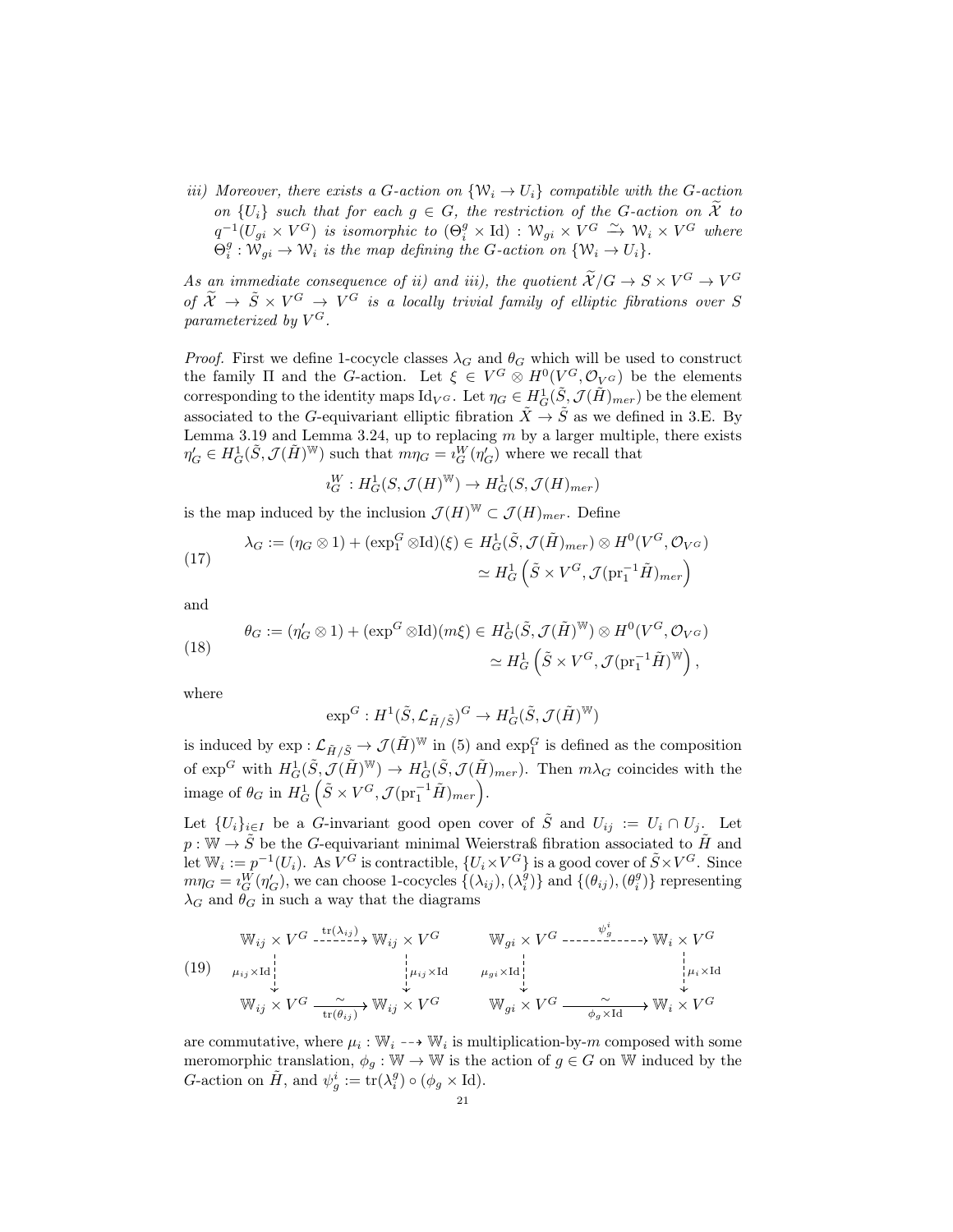iii) Moreover, there exists a G-action on  $\{W_i \to U_i\}$  compatible with the G-action on  $\{U_i\}$  such that for each  $g \in G$ , the restriction of the G-action on  $\widetilde{\mathcal{X}}$  to  $q^{-1}(U_{gi} \times V^G)$  is isomorphic to  $(\Theta_i^g \times \text{Id}) : \mathcal{W}_{gi} \times V^G \xrightarrow{\sim} \mathcal{W}_i \times V^G$  where  $\Theta_i^g: \mathcal{W}_{gi} \to \mathcal{W}_i$  is the map defining the G-action on  $\{W_i \to U_i\}$ .

As an immediate consequence of ii) and iii), the quotient  $\widetilde{\mathcal{X}}/G \to S \times V^G \to V^G$ of  $\tilde{\mathcal{X}} \to \tilde{S} \times V^G \to V^G$  is a locally trivial family of elliptic fibrations over S parameterized by  $V^G$ .

*Proof.* First we define 1-cocycle classes  $\lambda_G$  and  $\theta_G$  which will be used to construct the family  $\Pi$  and the G-action. Let  $\xi \in V^G \otimes H^0(V^G, \mathcal{O}_{V^G})$  be the elements corresponding to the identity maps  $\mathrm{Id}_{V^G}$ . Let  $\eta_G \in H^1_G(\tilde{S}, \mathcal{J}(\tilde{H})_{mer})$  be the element associated to the G-equivariant elliptic fibration  $\tilde{X} \to \tilde{S}$  as we defined in 3.E. By Lemma 3.19 and Lemma 3.24, up to replacing  $m$  by a larger multiple, there exists  $\eta'_G \in H^1_G(\tilde{S}, \mathcal{J}(\tilde{H})^{\mathbb{W}})$  such that  $m\eta_G = i_G^W(\eta'_G)$  where we recall that

$$
\imath_G^W : H^1_G(S,\mathcal{J}(H)^{\mathbb{W}}) \to H^1_G(S,\mathcal{J}(H)_{mer})
$$

is the map induced by the inclusion  $\mathcal{J}(H)^{\mathbb{W}} \subset \mathcal{J}(H)_{mer}$ . Define

(17) 
$$
\lambda_G := (\eta_G \otimes 1) + (\exp_1^G \otimes \mathrm{Id})(\xi) \in H_G^1(\tilde{S}, \mathcal{J}(\tilde{H})_{mer}) \otimes H^0(V^G, \mathcal{O}_{V^G})
$$

$$
\simeq H_G^1(\tilde{S} \times V^G, \mathcal{J}(\mathrm{pr}_1^{-1}\tilde{H})_{mer})
$$

and

(18) 
$$
\theta_G := (\eta'_G \otimes 1) + (\exp^G \otimes \mathrm{Id})(m\xi) \in H^1_G(\tilde{S}, \mathcal{J}(\tilde{H})^{\mathbb{W}}) \otimes H^0(V^G, \mathcal{O}_{V^G})
$$

$$
\simeq H^1_G\left(\tilde{S} \times V^G, \mathcal{J}(\mathrm{pr}_1^{-1}\tilde{H})^{\mathbb{W}}\right),
$$

where

$$
\exp^G: H^1(\tilde{S}, \mathcal{L}_{\tilde{H}/\tilde{S}})^G \to H^1_G(\tilde{S}, \mathcal{J}(\tilde{H})^\mathbb{W})
$$

is induced by  $\exp: \mathcal{L}_{\tilde{H}/\tilde{S}} \to \mathcal{J}(\tilde{H})^{\mathbb{W}}$  in (5) and  $\exp_1^G$  is defined as the composition of  $\exp^G$  with  $H_G^1(\tilde{S}, \mathcal{J}(\tilde{H})^{\mathbb{W}}) \to H_G^1(\tilde{S}, \mathcal{J}(\tilde{H})_{mer})$ . Then  $m\lambda_G$  coincides with the image of  $\theta_G$  in  $H_G^1(\tilde{S} \times V^G, \mathcal{J}(\text{pr}_1^{-1}\tilde{H})_{mer}).$ 

Let  $\{U_i\}_{i\in I}$  be a G-invariant good open cover of  $\tilde{S}$  and  $U_{ij} := U_i \cap U_j$ . Let  $p: \mathbb{W} \to \tilde{S}$  be the G-equivariant minimal Weierstraß fibration associated to  $\tilde{H}$  and Let  $\mathbb{W}_i := p^{-1}(U_i)$ . As  $V^G$  is contractible,  $\{U_i \times V^G\}$  is a good cover of  $\tilde{S} \times V^G$ . Since  $m\eta_G = i_G^{\tilde{W}}(\eta'_G)$ , we can choose 1-cocycles  $\{(\lambda_{ij}),(\lambda_i^g)\}\$  and  $\{(\theta_{ij}),(\theta_i^g)\}\$  representing  $\lambda_G$  and  $\theta_G$  in such a way that the diagrams

$$
(19) \quad \begin{array}{ccc}\n\mathbb{W}_{ij} \times V^G & \mathbb{W}_{ij} \times V^G & \mathbb{W}_{gi} \times V^G & \cdots & \mathbb{W}_i \times V^G \\
\downarrow & \downarrow & \downarrow & \downarrow & \cdots \\
\mathbb{W}_{ij} \times V^G & \mathbb{W}_{ij} \times V^G & \mathbb{W}_{ij} \times V^G & \mathbb{W}_{gi} \times V^G & \cdots & \mathbb{W}_i \times V^G \\
\downarrow & \downarrow & \downarrow & \cdots & \downarrow & \cdots \\
\mathbb{W}_{ij} \times V^G & \mathbb{W}_{ij} \times V^G & \mathbb{W}_{gi} \times V^G & \mathbb{W}_{gi} \times V^G & \mathbb{W}_i \times V^G\n\end{array}
$$

are commutative, where  $\mu_i : \mathbb{W}_i \dashrightarrow \mathbb{W}_i$  is multiplication-by-m composed with some meromorphic translation,  $\phi_g : \mathbb{W} \to \mathbb{W}$  is the action of  $g \in G$  on W induced by the G-action on  $\tilde{H}$ , and  $\psi_g^i := \text{tr}(\lambda_i^g) \circ (\phi_g \times \text{Id}).$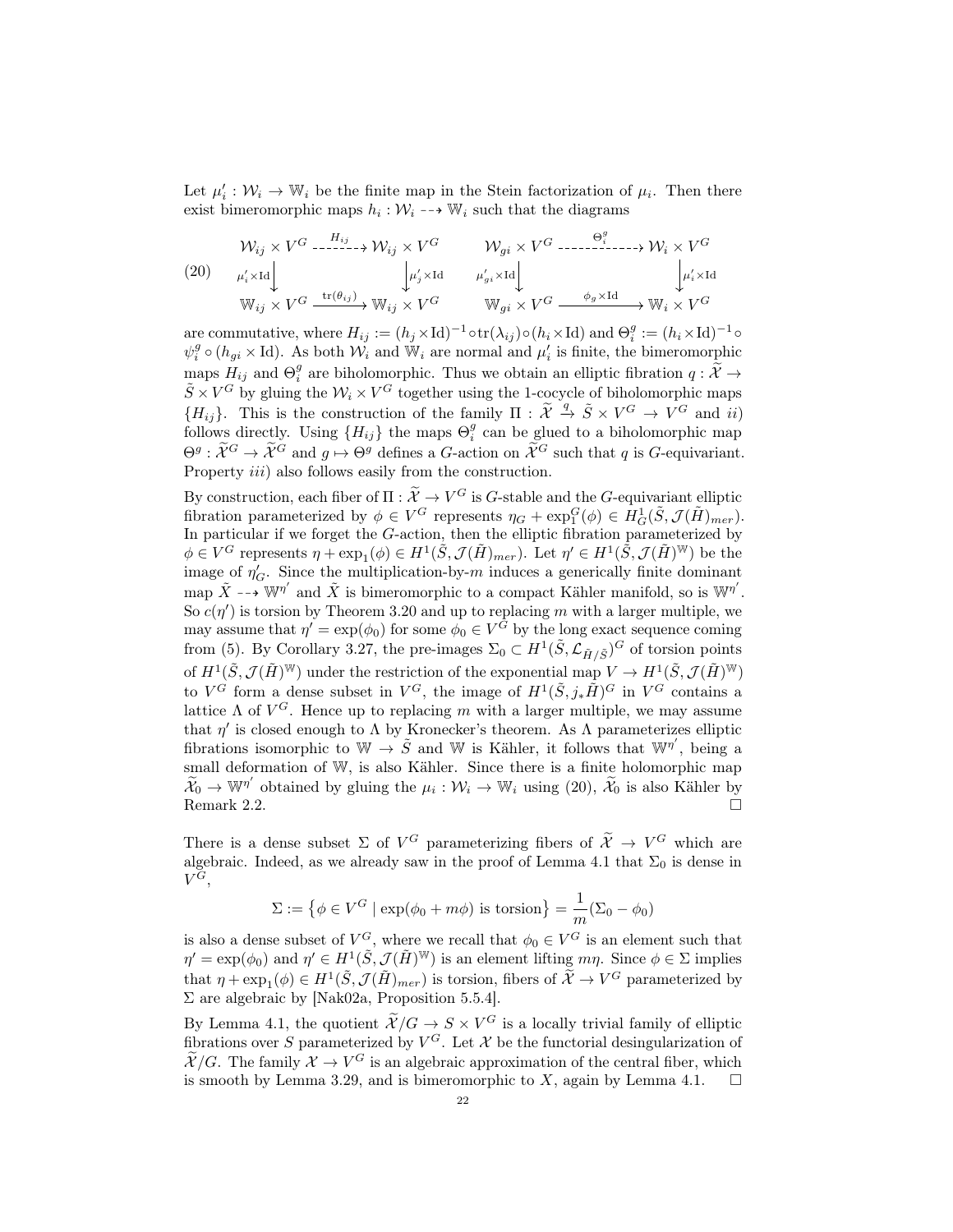Let  $\mu'_i : \mathcal{W}_i \to \mathbb{W}_i$  be the finite map in the Stein factorization of  $\mu_i$ . Then there exist bimeromorphic maps  $h_i: \mathcal{W}_i \dashrightarrow \mathbb{W}_i$  such that the diagrams

$$
\mathcal{W}_{ij} \times V^G \xrightarrow{\qquad H_{ij} \qquad H_{ij} \times V^G} \qquad \mathcal{W}_{gi} \times V^G \xrightarrow{\qquad \Theta_i^g \qquad \qquad } \mathcal{W}_i \times V^G
$$
\n
$$
(20) \qquad \mu_i' \times \text{Id} \qquad \downarrow \qquad \downarrow \qquad \mu_j' \times \text{Id} \qquad \mu_{gi}' \times \text{Id} \qquad \downarrow \qquad \downarrow \qquad \downarrow \mu_i' \times \text{Id}
$$
\n
$$
\mathbb{W}_{ij} \times V^G \xrightarrow{\text{tr}(\theta_{ij})} \mathbb{W}_{ij} \times V^G \qquad \mathbb{W}_{gi} \times V^G \xrightarrow{\qquad \phi_g \times \text{Id}} \mathbb{W}_i \times V^G
$$

are commutative, where  $H_{ij} := (h_j \times \mathrm{Id})^{-1} \circ \mathrm{tr}(\lambda_{ij}) \circ (h_i \times \mathrm{Id})$  and  $\Theta_i^g := (h_i \times \mathrm{Id})^{-1} \circ$  $\psi_i^g \circ (h_{gi} \times \text{Id})$ . As both  $\mathcal{W}_i$  and  $\mathbb{W}_i$  are normal and  $\mu'_i$  is finite, the bimeromorphic maps  $H_{ij}$  and  $\Theta_i^g$  are biholomorphic. Thus we obtain an elliptic fibration  $q : \widetilde{\mathcal{X}} \to \widetilde{\mathcal{Z}}$  $\tilde{S} \times V^G$  by gluing the  $\mathcal{W}_i \times V^G$  together using the 1-cocycle of biholomorphic maps  $\{H_{ij}\}\$ . This is the construction of the family  $\Pi : \tilde{\mathcal{X}} \stackrel{q}{\to} \tilde{\mathcal{S}} \times V^G \to V^G$  and ii) follows directly. Using  ${H_{ij}}$  the maps  $\Theta_i^g$  can be glued to a biholomorphic map  $\Theta^g: \widetilde{\mathcal{X}}^G \to \widetilde{\mathcal{X}}^G$  and  $g \mapsto \Theta^g$  defines a G-action on  $\widetilde{\mathcal{X}}^G$  such that q is G-equivariant. Property *iii*) also follows easily from the construction.

By construction, each fiber of  $\Pi : \widetilde{\mathcal{X}} \to V^G$  is G-stable and the G-equivariant elliptic fibration parameterized by  $\phi \in V^G$  represents  $\eta_G + \exp_1^G(\phi) \in H_G^1(\tilde{S}, \mathcal{J}(\tilde{H})_{mer}).$ In particular if we forget the  $G$ -action, then the elliptic fibration parameterized by  $\phi \in V^G$  represents  $\eta + \exp_1(\phi) \in H^1(\tilde{S}, \mathcal{J}(\tilde{H})_{mer})$ . Let  $\eta' \in H^1(\tilde{S}, \mathcal{J}(\tilde{H})^W)$  be the image of  $\eta'_G$ . Since the multiplication-by-m induces a generically finite dominant map  $\tilde{X} \dashrightarrow W^{\eta'}$  and  $\tilde{X}$  is bimeromorphic to a compact Kähler manifold, so is  $W^{\eta'}$ . So  $c(\eta')$  is torsion by Theorem 3.20 and up to replacing m with a larger multiple, we may assume that  $\eta' = \exp(\phi_0)$  for some  $\phi_0 \in V^G$  by the long exact sequence coming from (5). By Corollary 3.27, the pre-images  $\Sigma_0 \subset H^1(\tilde{S}, \mathcal{L}_{\tilde{H}/\tilde{S}})^G$  of torsion points of  $H^1(\tilde{S}, \mathcal{J}(\tilde{H})^{\mathbb{W}})$  under the restriction of the exponential map  $V \to H^1(\tilde{S}, \mathcal{J}(\tilde{H})^{\mathbb{W}})$ to  $V^G$  form a dense subset in  $V^G$ , the image of  $H^1(\tilde{S}, j_*\tilde{H})^G$  in  $V^G$  contains a lattice  $\Lambda$  of  $V^G$ . Hence up to replacing m with a larger multiple, we may assume that  $\eta'$  is closed enough to  $\Lambda$  by Kronecker's theorem. As  $\Lambda$  parameterizes elliptic fibrations isomorphic to  $\mathbb{W} \to \tilde{S}$  and  $\mathbb{W}$  is Kähler, it follows that  $\mathbb{W}^{\eta'}$ , being a small deformation of W, is also Kähler. Since there is a finite holomorphic map  $\widetilde{\mathcal{X}}_0 \to \mathbb{W}^{\eta'}$  obtained by gluing the  $\mu_i : \mathcal{W}_i \to \mathbb{W}_i$  using (20),  $\widetilde{\mathcal{X}}_0$  is also Kähler by Remark 2.2.

There is a dense subset  $\Sigma$  of  $V^G$  parameterizing fibers of  $\widetilde{\mathcal{X}} \to V^G$  which are algebraic. Indeed, as we already saw in the proof of Lemma 4.1 that  $\Sigma_0$  is dense in  $V^G,$ 

$$
\Sigma := \left\{ \phi \in V^G \mid \exp(\phi_0 + m\phi) \text{ is torsion} \right\} = \frac{1}{m} (\Sigma_0 - \phi_0)
$$

is also a dense subset of  $V^G$ , where we recall that  $\phi_0 \in V^G$  is an element such that  $\eta' = \exp(\phi_0)$  and  $\eta' \in H^1(\tilde{S}, \mathcal{J}(\tilde{H})^W)$  is an element lifting  $m\eta$ . Since  $\phi \in \Sigma$  implies that  $\eta + \exp_1(\phi) \in H^1(\tilde{S}, \mathcal{J}(\tilde{H})_{mer})$  is torsion, fibers of  $\tilde{\mathcal{X}} \to V^G$  parameterized by  $\Sigma$  are algebraic by [Nak02a, Proposition 5.5.4].

By Lemma 4.1, the quotient  $\tilde{\mathcal{X}}/G \to S \times V^G$  is a locally trivial family of elliptic fibrations over S parameterized by  $V^G$ . Let X be the functorial desingularization of  $\widetilde{\mathcal{X}}/G$ . The family  $\mathcal{X} \to V^G$  is an algebraic approximation of the central fiber, which is smooth by Lemma 3.29, and is bimeromorphic to X, again by Lemma 4.1.  $\square$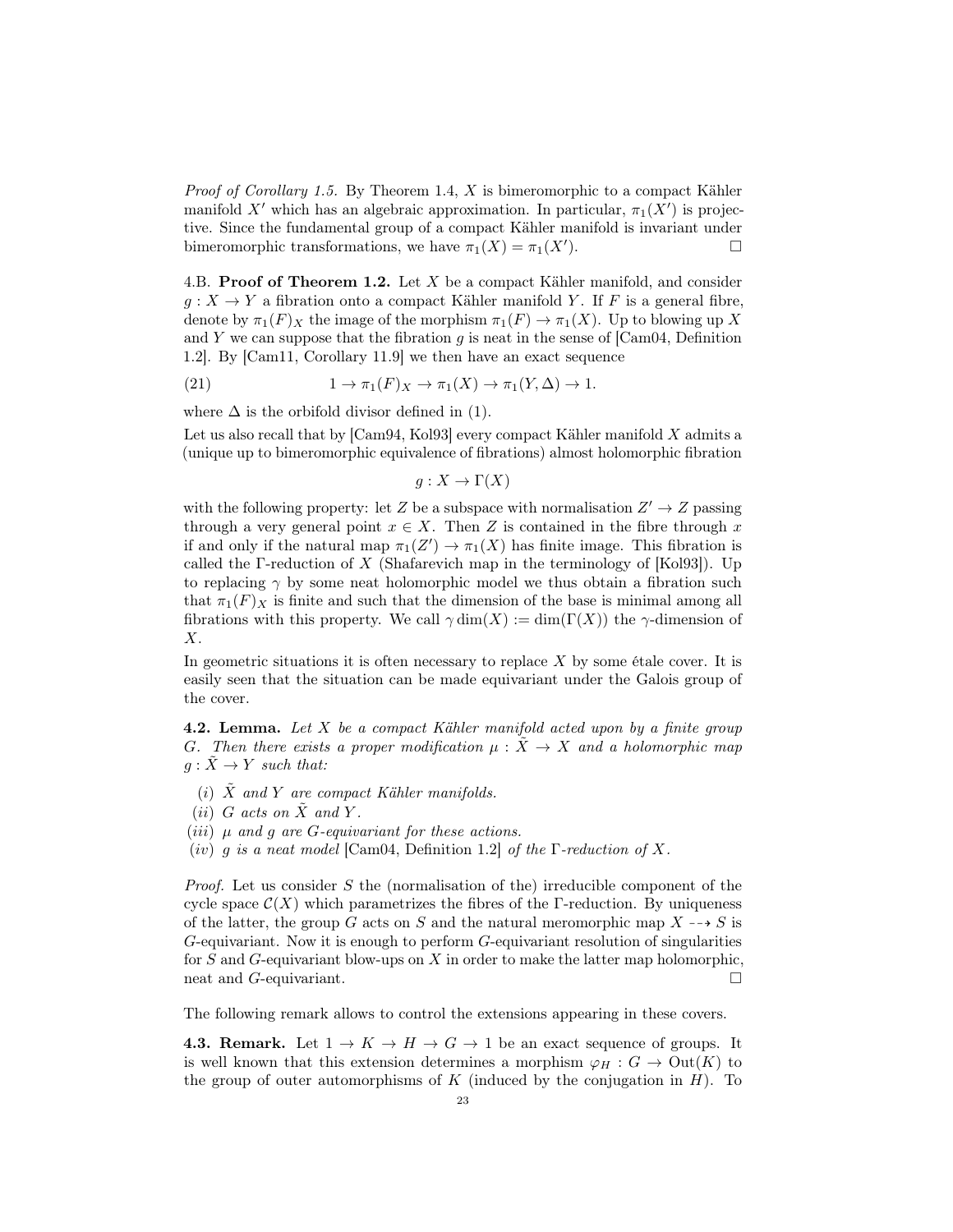*Proof of Corollary 1.5.* By Theorem 1.4, X is bimeromorphic to a compact Kähler manifold X' which has an algebraic approximation. In particular,  $\pi_1(X')$  is projective. Since the fundamental group of a compact Kähler manifold is invariant under bimeromorphic transformations, we have  $\pi_1(X) = \pi_1(X')$ . ).  $\qquad \qquad \Box$ 

4.B. Proof of Theorem 1.2. Let  $X$  be a compact Kähler manifold, and consider  $g: X \to Y$  a fibration onto a compact Kähler manifold Y. If F is a general fibre, denote by  $\pi_1(F)_X$  the image of the morphism  $\pi_1(F) \to \pi_1(X)$ . Up to blowing up X and Y we can suppose that the fibration g is neat in the sense of  $[Cam04, Definition$ 1.2]. By [Cam11, Corollary 11.9] we then have an exact sequence

(21) 
$$
1 \to \pi_1(F)_X \to \pi_1(X) \to \pi_1(Y, \Delta) \to 1.
$$

where  $\Delta$  is the orbifold divisor defined in (1).

Let us also recall that by  $[Cam94, Kol93]$  every compact Kähler manifold X admits a (unique up to bimeromorphic equivalence of fibrations) almost holomorphic fibration

 $g: X \to \Gamma(X)$ 

with the following property: let Z be a subspace with normalisation  $Z' \to Z$  passing through a very general point  $x \in X$ . Then Z is contained in the fibre through x if and only if the natural map  $\pi_1(Z') \to \pi_1(X)$  has finite image. This fibration is called the Γ-reduction of  $X$  (Shafarevich map in the terminology of [Kol93]). Up to replacing  $\gamma$  by some neat holomorphic model we thus obtain a fibration such that  $\pi_1(F)_X$  is finite and such that the dimension of the base is minimal among all fibrations with this property. We call  $\gamma \dim(X) := \dim(\Gamma(X))$  the  $\gamma$ -dimension of  $X$ .

In geometric situations it is often necessary to replace  $X$  by some étale cover. It is easily seen that the situation can be made equivariant under the Galois group of the cover.

**4.2. Lemma.** Let  $X$  be a compact Kähler manifold acted upon by a finite group G. Then there exists a proper modification  $\mu : \tilde{X} \to X$  and a holomorphic map  $q: \tilde{X} \to Y$  such that:

- (i)  $\tilde{X}$  and Y are compact Kähler manifolds.
- (ii) G acts on  $\tilde{X}$  and Y.
- (*iii*)  $\mu$  and  $q$  are G-equivariant for these actions.
- (iv) q is a neat model [Cam04, Definition 1.2] of the  $\Gamma$ -reduction of X.

*Proof.* Let us consider S the (normalisation of the) irreducible component of the cycle space  $\mathcal{C}(X)$  which parametrizes the fibres of the Γ-reduction. By uniqueness of the latter, the group G acts on S and the natural meromorphic map  $X \rightarrow S$  is G-equivariant. Now it is enough to perform G-equivariant resolution of singularities for  $S$  and  $G$ -equivariant blow-ups on  $X$  in order to make the latter map holomorphic, neat and *G*-equivariant.

The following remark allows to control the extensions appearing in these covers.

**4.3. Remark.** Let  $1 \to K \to H \to G \to 1$  be an exact sequence of groups. It is well known that this extension determines a morphism  $\varphi_H : G \to \text{Out}(K)$  to the group of outer automorphisms of K (induced by the conjugation in  $H$ ). To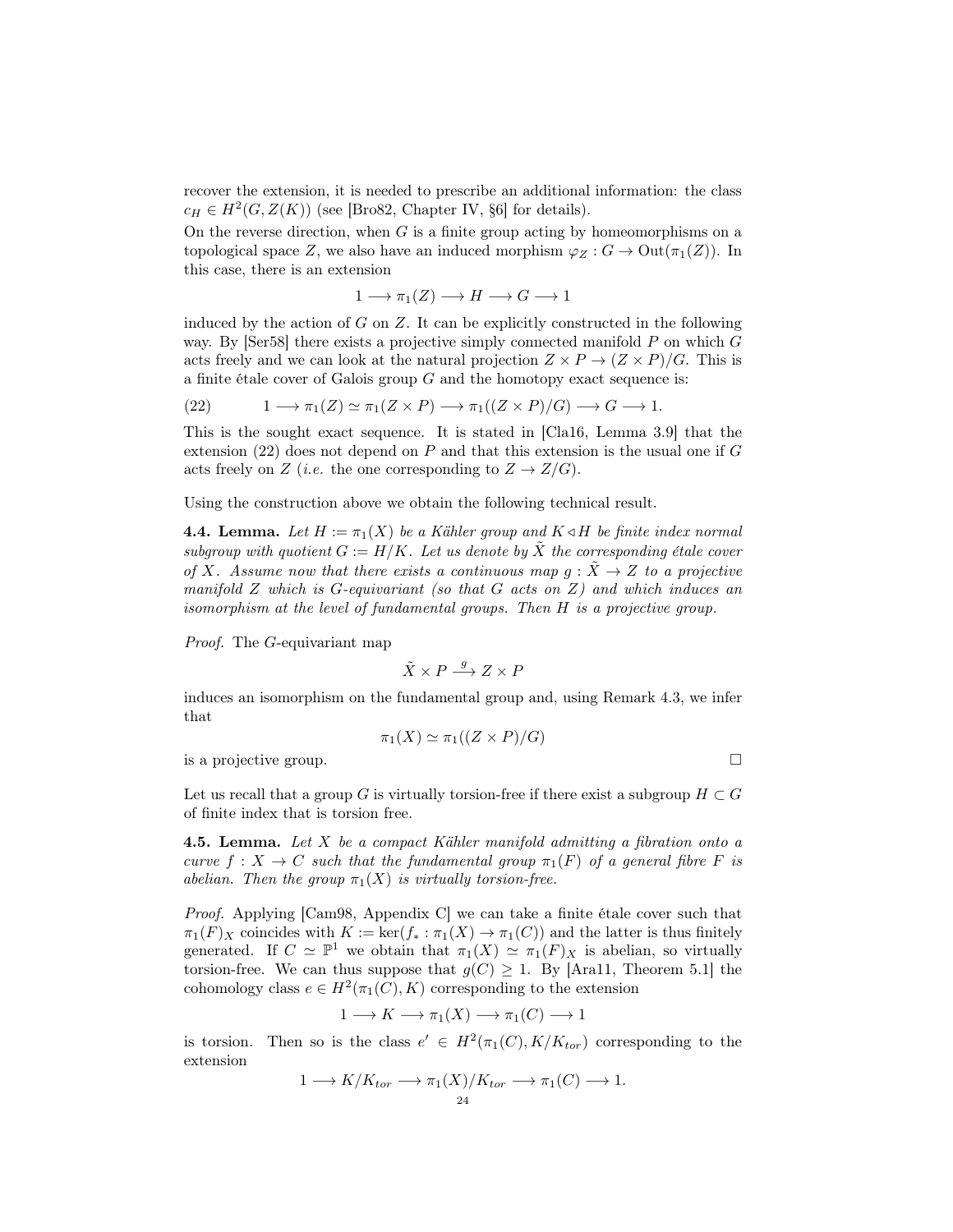recover the extension, it is needed to prescribe an additional information: the class  $c_H \in H^2(G, Z(K))$  (see [Bro82, Chapter IV, §6] for details).

On the reverse direction, when  $G$  is a finite group acting by homeomorphisms on a topological space Z, we also have an induced morphism  $\varphi_Z : G \to \text{Out}(\pi_1(Z))$ . In this case, there is an extension

$$
1 \longrightarrow \pi_1(Z) \longrightarrow H \longrightarrow G \longrightarrow 1
$$

induced by the action of  $G$  on  $Z$ . It can be explicitly constructed in the following way. By  $\left[ \text{Ser58} \right]$  there exists a projective simply connected manifold P on which G acts freely and we can look at the natural projection  $Z \times P \rightarrow (Z \times P)/G$ . This is a finite étale cover of Galois group  $G$  and the homotopy exact sequence is:

(22) 
$$
1 \longrightarrow \pi_1(Z) \simeq \pi_1(Z \times P) \longrightarrow \pi_1((Z \times P)/G) \longrightarrow G \longrightarrow 1.
$$

This is the sought exact sequence. It is stated in [Cla16, Lemma 3.9] that the extension (22) does not depend on  $P$  and that this extension is the usual one if  $G$ acts freely on Z (*i.e.* the one corresponding to  $Z \to Z/G$ ).

Using the construction above we obtain the following technical result.

**4.4. Lemma.** Let  $H := \pi_1(X)$  be a Kähler group and  $K \triangleleft H$  be finite index normal subgroup with quotient  $G := H/K$ . Let us denote by  $\tilde{X}$  the corresponding étale cover of X. Assume now that there exists a continuous map  $g: \tilde{X} \to Z$  to a projective manifold  $Z$  which is  $G$ -equivariant (so that  $G$  acts on  $Z$ ) and which induces an isomorphism at the level of fundamental groups. Then H is a projective group.

Proof. The G-equivariant map

$$
\tilde{X} \times P \stackrel{g}{\longrightarrow} Z \times P
$$

induces an isomorphism on the fundamental group and, using Remark 4.3, we infer that

$$
\pi_1(X) \simeq \pi_1((Z \times P)/G)
$$

is a projective group.

Let us recall that a group G is virtually torsion-free if there exist a subgroup  $H \subset G$ of finite index that is torsion free.

**4.5. Lemma.** Let X be a compact Kähler manifold admitting a fibration onto a curve  $f: X \to C$  such that the fundamental group  $\pi_1(F)$  of a general fibre F is abelian. Then the group  $\pi_1(X)$  is virtually torsion-free.

Proof. Applying [Cam98, Appendix C] we can take a finite étale cover such that  $\pi_1(F)_X$  coincides with  $K := \ker(f_* : \pi_1(X) \to \pi_1(C))$  and the latter is thus finitely generated. If  $C \simeq \mathbb{P}^1$  we obtain that  $\pi_1(X) \simeq \pi_1(F)_X$  is abelian, so virtually torsion-free. We can thus suppose that  $g(C) \geq 1$ . By [Ara11, Theorem 5.1] the cohomology class  $e \in H^2(\pi_1(C), K)$  corresponding to the extension

$$
1 \longrightarrow K \longrightarrow \pi_1(X) \longrightarrow \pi_1(C) \longrightarrow 1
$$

is torsion. Then so is the class  $e' \in H^2(\pi_1(C), K/K_{tor})$  corresponding to the extension

$$
1 \longrightarrow K/K_{tor} \longrightarrow \pi_1(X)/K_{tor} \longrightarrow \pi_1(C) \longrightarrow 1.
$$
  
<sub>24</sub>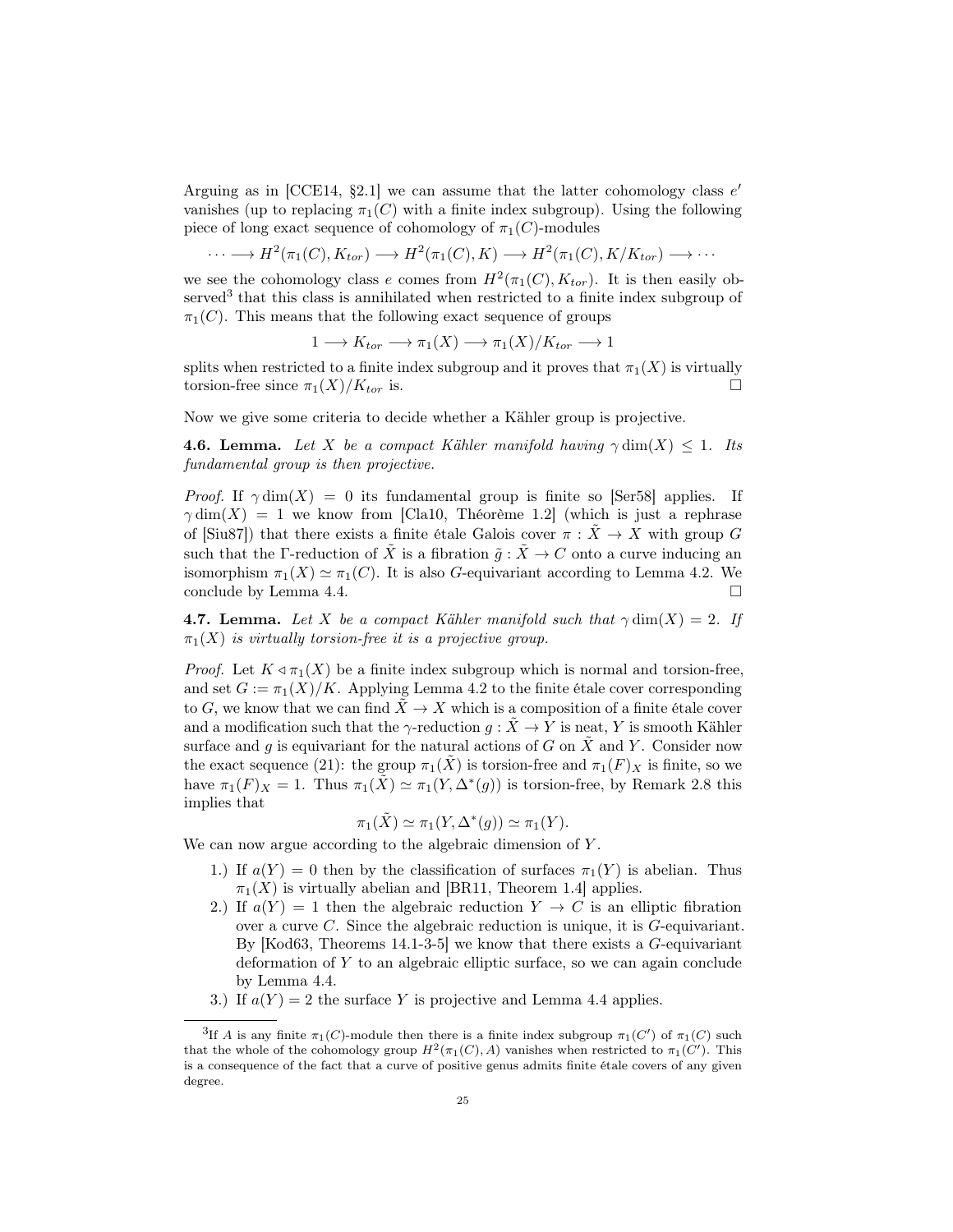Arguing as in [CCE14,  $\S2.1$ ] we can assume that the latter cohomology class  $e'$ vanishes (up to replacing  $\pi_1(C)$  with a finite index subgroup). Using the following piece of long exact sequence of cohomology of  $\pi_1(C)$ -modules

$$
\cdots \longrightarrow H^2(\pi_1(C), K_{tor}) \longrightarrow H^2(\pi_1(C), K) \longrightarrow H^2(\pi_1(C), K/K_{tor}) \longrightarrow \cdots
$$

we see the cohomology class e comes from  $H^2(\pi_1(C), K_{tor})$ . It is then easily observed<sup>3</sup> that this class is annihilated when restricted to a finite index subgroup of  $\pi_1(C)$ . This means that the following exact sequence of groups

$$
1 \longrightarrow K_{tor} \longrightarrow \pi_1(X) \longrightarrow \pi_1(X)/K_{tor} \longrightarrow 1
$$

splits when restricted to a finite index subgroup and it proves that  $\pi_1(X)$  is virtually torsion-free since  $\pi_1(X)/K_{tor}$  is.

Now we give some criteria to decide whether a Kähler group is projective.

**4.6. Lemma.** Let X be a compact Kähler manifold having  $\gamma \dim(X) \leq 1$ . Its fundamental group is then projective.

*Proof.* If  $\gamma \dim(X) = 0$  its fundamental group is finite so [Ser58] applies. If  $\gamma$  dim(X) = 1 we know from [Cla10, Théorème 1.2] (which is just a rephrase of [Siu87]) that there exists a finite étale Galois cover  $\pi : \tilde{X} \to X$  with group G such that the Γ-reduction of  $\tilde{X}$  is a fibration  $\tilde{q}: \tilde{X} \to C$  onto a curve inducing an isomorphism  $\pi_1(X) \simeq \pi_1(C)$ . It is also G-equivariant according to Lemma 4.2. We conclude by Lemma 4.4.

**4.7. Lemma.** Let X be a compact Kähler manifold such that  $\gamma \dim(X) = 2$ . If  $\pi_1(X)$  is virtually torsion-free it is a projective group.

*Proof.* Let  $K \triangleleft \pi_1(X)$  be a finite index subgroup which is normal and torsion-free, and set  $G := \pi_1(X)/K$ . Applying Lemma 4.2 to the finite étale cover corresponding to G, we know that we can find  $\ddot{X} \rightarrow X$  which is a composition of a finite étale cover and a modification such that the  $\gamma$ -reduction  $g: \tilde{X} \to Y$  is neat, Y is smooth Kähler surface and g is equivariant for the natural actions of G on  $\tilde{X}$  and Y. Consider now the exact sequence (21): the group  $\pi_1(X)$  is torsion-free and  $\pi_1(F)_X$  is finite, so we have  $\pi_1(F)_X = 1$ . Thus  $\pi_1(\tilde{X}) \simeq \pi_1(Y, \Delta^*(g))$  is torsion-free, by Remark 2.8 this implies that

$$
\pi_1(\tilde{X}) \simeq \pi_1(Y, \Delta^*(g)) \simeq \pi_1(Y).
$$

We can now argue according to the algebraic dimension of Y.

- 1.) If  $a(Y) = 0$  then by the classification of surfaces  $\pi_1(Y)$  is abelian. Thus  $\pi_1(X)$  is virtually abelian and [BR11, Theorem 1.4] applies.
- 2.) If  $a(Y) = 1$  then the algebraic reduction  $Y \rightarrow C$  is an elliptic fibration over a curve  $C$ . Since the algebraic reduction is unique, it is  $G$ -equivariant. By  $[Kod63, Theorems 14.1-3-5]$  we know that there exists a G-equivariant deformation of Y to an algebraic elliptic surface, so we can again conclude by Lemma 4.4.
- 3.) If  $a(Y) = 2$  the surface Y is projective and Lemma 4.4 applies.

<sup>&</sup>lt;sup>3</sup>If A is any finite  $\pi_1(C)$ -module then there is a finite index subgroup  $\pi_1(C')$  of  $\pi_1(C)$  such that the whole of the cohomology group  $H^2(\pi_1(C), A)$  vanishes when restricted to  $\pi_1(C')$ . This is a consequence of the fact that a curve of positive genus admits finite étale covers of any given degree.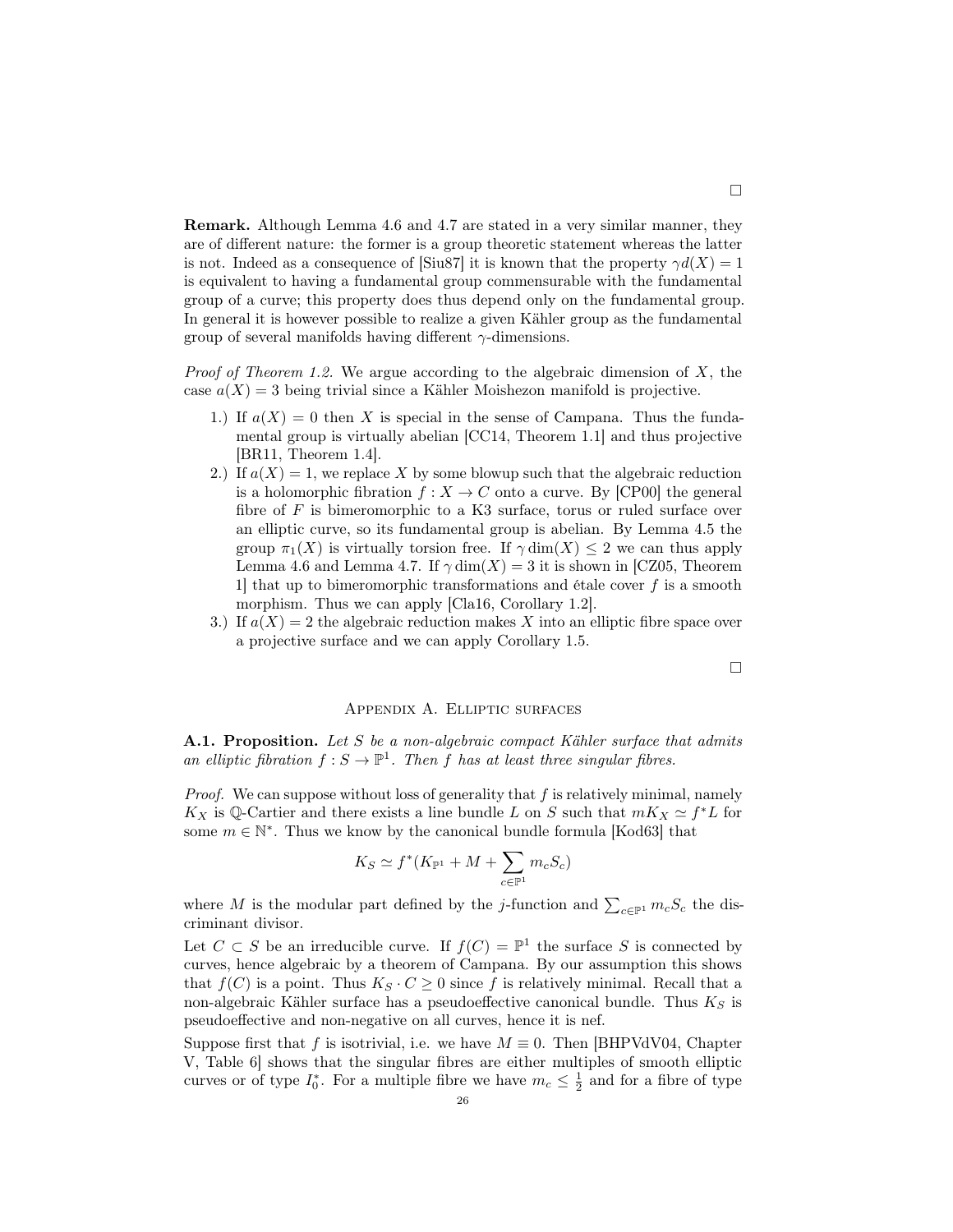Remark. Although Lemma 4.6 and 4.7 are stated in a very similar manner, they are of different nature: the former is a group theoretic statement whereas the latter is not. Indeed as a consequence of [Siu87] it is known that the property  $\gamma d(X) = 1$ is equivalent to having a fundamental group commensurable with the fundamental group of a curve; this property does thus depend only on the fundamental group. In general it is however possible to realize a given Kähler group as the fundamental group of several manifolds having different  $\gamma$ -dimensions.

*Proof of Theorem 1.2.* We argue according to the algebraic dimension of  $X$ , the case  $a(X) = 3$  being trivial since a Kähler Moishezon manifold is projective.

- 1.) If  $a(X) = 0$  then X is special in the sense of Campana. Thus the fundamental group is virtually abelian [CC14, Theorem 1.1] and thus projective [BR11, Theorem 1.4].
- 2.) If  $a(X) = 1$ , we replace X by some blowup such that the algebraic reduction is a holomorphic fibration  $f: X \to C$  onto a curve. By [CP00] the general fibre of  $F$  is bimeromorphic to a K3 surface, torus or ruled surface over an elliptic curve, so its fundamental group is abelian. By Lemma 4.5 the group  $\pi_1(X)$  is virtually torsion free. If  $\gamma \dim(X) \leq 2$  we can thus apply Lemma 4.6 and Lemma 4.7. If  $\gamma \dim(X) = 3$  it is shown in [CZ05, Theorem 1 that up to bimeromorphic transformations and étale cover  $f$  is a smooth morphism. Thus we can apply  $|Cla16$ , Corollary 1.2.
- 3.) If  $a(X) = 2$  the algebraic reduction makes X into an elliptic fibre space over a projective surface and we can apply Corollary 1.5.

 $\Box$ 

## Appendix A. Elliptic surfaces

**A.1. Proposition.** Let S be a non-algebraic compact Kähler surface that admits an elliptic fibration  $f : S \to \mathbb{P}^1$ . Then f has at least three singular fibres.

*Proof.* We can suppose without loss of generality that  $f$  is relatively minimal, namely  $K_X$  is Q-Cartier and there exists a line bundle L on S such that  $mK_X \simeq f^*L$  for some  $m \in \mathbb{N}^*$ . Thus we know by the canonical bundle formula [Kod63] that

$$
K_S \simeq f^*(K_{\mathbb{P}^1} + M + \sum_{c \in \mathbb{P}^1} m_c S_c)
$$

where M is the modular part defined by the j-function and  $\sum_{c \in \mathbb{P}^1} m_c S_c$  the discriminant divisor.

Let  $C \subset S$  be an irreducible curve. If  $f(C) = \mathbb{P}^1$  the surface S is connected by curves, hence algebraic by a theorem of Campana. By our assumption this shows that  $f(C)$  is a point. Thus  $K_S \cdot C \geq 0$  since f is relatively minimal. Recall that a non-algebraic Kähler surface has a pseudoeffective canonical bundle. Thus  $K_S$  is pseudoeffective and non-negative on all curves, hence it is nef.

Suppose first that f is isotrivial, i.e. we have  $M \equiv 0$ . Then [BHPVdV04, Chapter V, Table 6] shows that the singular fibres are either multiples of smooth elliptic curves or of type  $I_0^*$ . For a multiple fibre we have  $m_c \leq \frac{1}{2}$  and for a fibre of type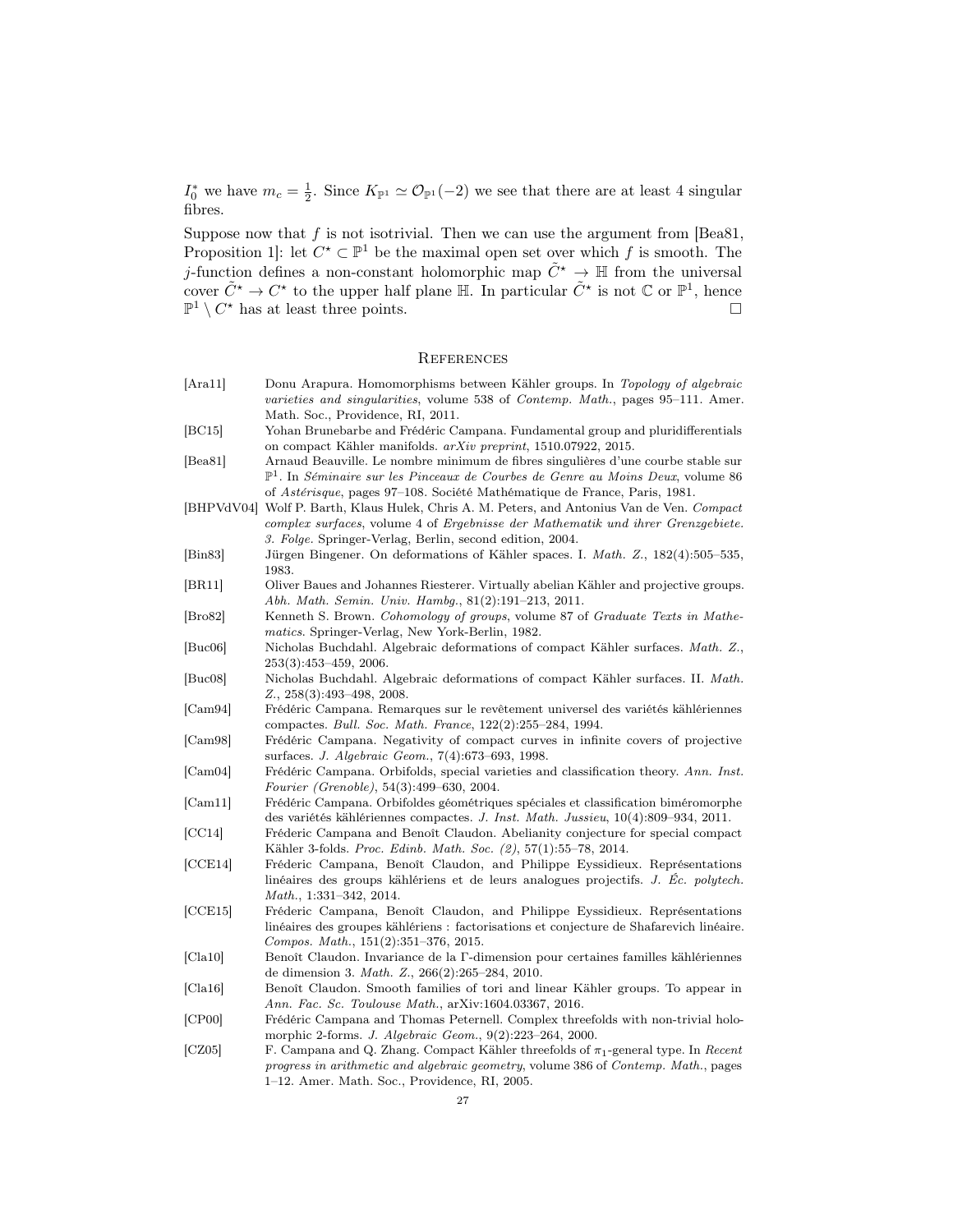$I_0^*$  we have  $m_c = \frac{1}{2}$ . Since  $K_{\mathbb{P}^1} \simeq \mathcal{O}_{\mathbb{P}^1}(-2)$  we see that there are at least 4 singular fibres.

Suppose now that f is not isotrivial. Then we can use the argument from  $[Bea81]$ , Proposition 1: let  $C^* \subset \mathbb{P}^1$  be the maximal open set over which f is smooth. The *j*-function defines a non-constant holomorphic map  $\tilde{C}^* \to \mathbb{H}$  from the universal cover  $\tilde{C}^* \to C^*$  to the upper half plane  $\mathbb{H}$ . In particular  $\tilde{C}^*$  is not  $\mathbb{C}$  or  $\mathbb{P}^1$ , hence  $\mathbb{P}^1 \setminus C^*$  has at least three points.

### **REFERENCES**

[Ara11] Donu Arapura. Homomorphisms between Kähler groups. In Topology of algebraic varieties and singularities, volume 538 of Contemp. Math., pages 95–111. Amer. Math. Soc., Providence, RI, 2011. [BC15] Yohan Brunebarbe and Frédéric Campana. Fundamental group and pluridifferentials on compact Kähler manifolds. arXiv preprint, 1510.07922, 2015. [Bea81] Arnaud Beauville. Le nombre minimum de fibres singulières d'une courbe stable sur  $\mathbb{P}^1$ . In Séminaire sur les Pinceaux de Courbes de Genre au Moins Deux, volume 86 of Astérisque, pages 97–108. Société Mathématique de France, Paris, 1981. [BHPVdV04] Wolf P. Barth, Klaus Hulek, Chris A. M. Peters, and Antonius Van de Ven. Compact complex surfaces, volume 4 of Ergebnisse der Mathematik und ihrer Grenzgebiete. 3. Folge. Springer-Verlag, Berlin, second edition, 2004. [Bin83] Jürgen Bingener. On deformations of Kähler spaces. I. Math. Z., 182(4):505–535, 1983. [BR11] Oliver Baues and Johannes Riesterer. Virtually abelian Kähler and projective groups. Abh. Math. Semin. Univ. Hambg., 81(2):191–213, 2011. [Bro82] Kenneth S. Brown. Cohomology of groups, volume 87 of Graduate Texts in Mathematics. Springer-Verlag, New York-Berlin, 1982. [Buc06] Nicholas Buchdahl. Algebraic deformations of compact Kähler surfaces. Math. Z., 253(3):453–459, 2006. [Buc08] Nicholas Buchdahl. Algebraic deformations of compact Kähler surfaces. II. Math. Z., 258(3):493–498, 2008. [Cam94] Frédéric Campana. Remarques sur le revêtement universel des variétés kählériennes compactes. Bull. Soc. Math. France, 122(2):255–284, 1994. [Cam98] Frédéric Campana. Negativity of compact curves in infinite covers of projective surfaces. J. Algebraic Geom., 7(4):673–693, 1998. [Cam04] Frédéric Campana. Orbifolds, special varieties and classification theory. Ann. Inst. Fourier (Grenoble), 54(3):499–630, 2004. [Cam11] Frédéric Campana. Orbifoldes géométriques spéciales et classification biméromorphe des variétés kählériennes compactes. J. Inst. Math. Jussieu, 10(4):809–934, 2011. [CC14] Fréderic Campana and Benoît Claudon. Abelianity conjecture for special compact Kähler 3-folds. Proc. Edinb. Math. Soc. (2), 57(1):55–78, 2014. [CCE14] Fréderic Campana, Benoît Claudon, and Philippe Eyssidieux. Représentations linéaires des groups kählériens et de leurs analogues projectifs. J. Éc. polytech. Math., 1:331–342, 2014. [CCE15] Fréderic Campana, Benoît Claudon, and Philippe Eyssidieux. Représentations linéaires des groupes kählériens : factorisations et conjecture de Shafarevich linéaire. Compos. Math., 151(2):351–376, 2015. [Cla10] Benoît Claudon. Invariance de la Γ-dimension pour certaines familles kählériennes de dimension 3. Math. Z., 266(2):265–284, 2010. [Cla16] Benoît Claudon. Smooth families of tori and linear Kähler groups. To appear in Ann. Fac. Sc. Toulouse Math., arXiv:1604.03367, 2016. [CP00] Frédéric Campana and Thomas Peternell. Complex threefolds with non-trivial holomorphic 2-forms. J. Algebraic Geom., 9(2):223–264, 2000. [CZ05] F. Campana and Q. Zhang. Compact Kähler threefolds of  $\pi_1$ -general type. In Recent progress in arithmetic and algebraic geometry, volume 386 of Contemp. Math., pages

1–12. Amer. Math. Soc., Providence, RI, 2005.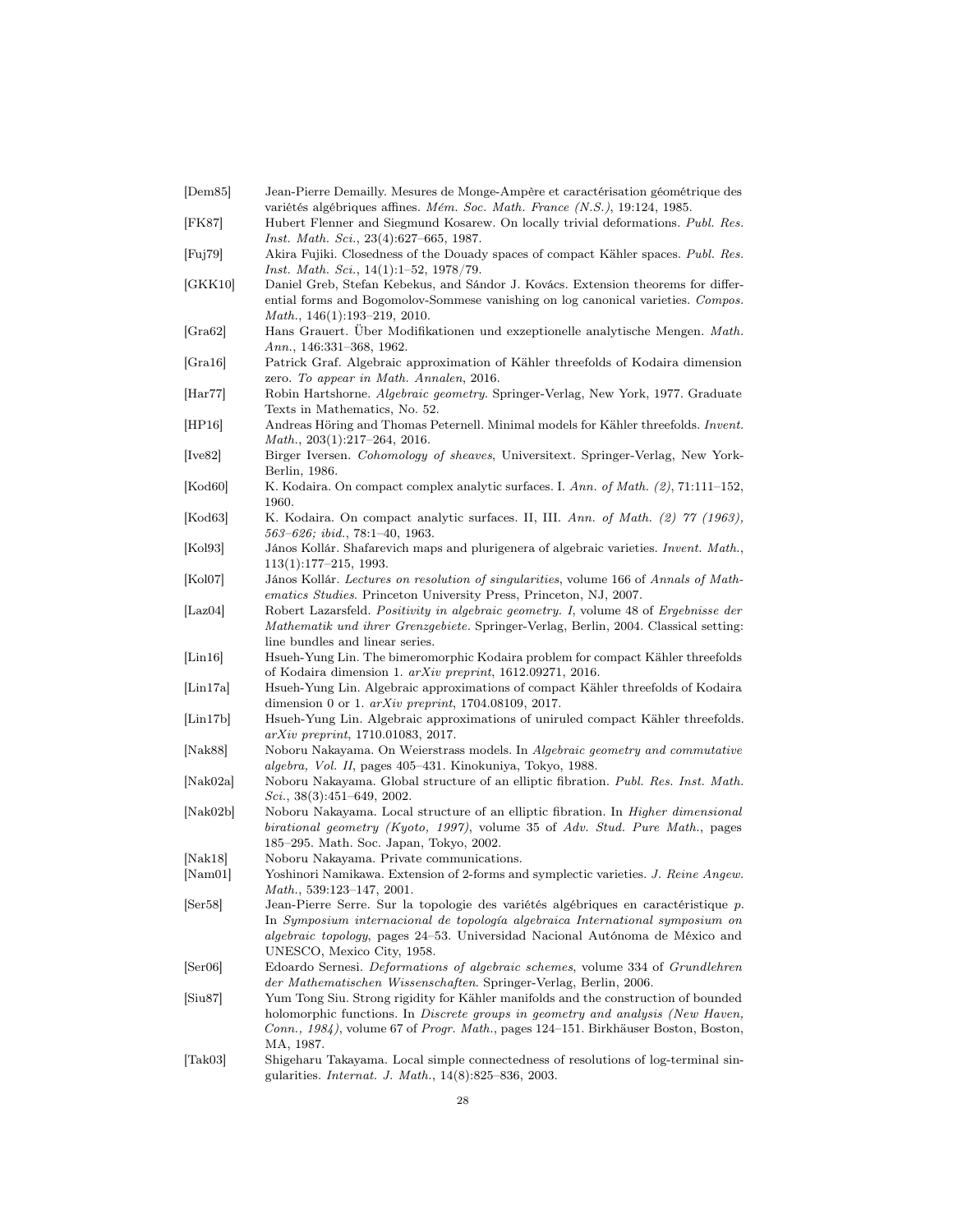| [Dem85]                        | Jean-Pierre Demailly. Mesures de Monge-Ampère et caractérisation géométrique des<br>variétés algébriques affines. Mém. Soc. Math. France (N.S.), 19:124, 1985.                                                                                                                                                                          |
|--------------------------------|-----------------------------------------------------------------------------------------------------------------------------------------------------------------------------------------------------------------------------------------------------------------------------------------------------------------------------------------|
| [FK87]                         | Hubert Flenner and Siegmund Kosarew. On locally trivial deformations. Publ. Res.<br><i>Inst. Math. Sci.</i> , 23(4):627–665, 1987.                                                                                                                                                                                                      |
| [Fig]                          | Akira Fujiki. Closedness of the Douady spaces of compact Kähler spaces. Publ. Res.<br><i>Inst. Math. Sci.</i> , $14(1):1-52$ , $1978/79$ .                                                                                                                                                                                              |
| [GKK10]                        | Daniel Greb, Stefan Kebekus, and Sándor J. Kovács. Extension theorems for differ-<br>ential forms and Bogomolov-Sommese vanishing on log canonical varieties. Compos.<br><i>Math.</i> , $146(1):193-219$ , 2010.                                                                                                                        |
| [Gra62]                        | Hans Grauert. Über Modifikationen und exzeptionelle analytische Mengen. Math.<br><i>Ann.</i> , 146:331–368, 1962.                                                                                                                                                                                                                       |
| [Gra16]                        | Patrick Graf. Algebraic approximation of Kähler threefolds of Kodaira dimension<br>zero. To appear in Math. Annalen, 2016.                                                                                                                                                                                                              |
| Har77                          | Robin Hartshorne. <i>Algebraic geometry</i> . Springer-Verlag, New York, 1977. Graduate<br>Texts in Mathematics, No. 52.                                                                                                                                                                                                                |
| [HP16]                         | Andreas Höring and Thomas Peternell. Minimal models for Kähler threefolds. Invent.<br>$Math., 203(1).217-264, 2016.$                                                                                                                                                                                                                    |
| [Ive82]                        | Birger Iversen. Cohomology of sheaves, Universitext. Springer-Verlag, New York-<br>Berlin, 1986.                                                                                                                                                                                                                                        |
| [Kod60]                        | K. Kodaira. On compact complex analytic surfaces. I. Ann. of Math. (2), 71:111-152,<br>1960.                                                                                                                                                                                                                                            |
| [Kod63]                        | K. Kodaira. On compact analytic surfaces. II, III. Ann. of Math. (2) 77 (1963),<br>$563 - 626$ ; ibid., 78:1-40, 1963.                                                                                                                                                                                                                  |
| [Kol93]                        | János Kollár. Shafarevich maps and plurigenera of algebraic varieties. Invent. Math.,<br>$113(1):177-215, 1993.$                                                                                                                                                                                                                        |
| [Kol07]                        | János Kollár. Lectures on resolution of singularities, volume 166 of Annals of Math-<br><i>ematics Studies.</i> Princeton University Press, Princeton, NJ, 2007.                                                                                                                                                                        |
| [Laz $04$ ]                    | Robert Lazarsfeld. Positivity in algebraic geometry. I, volume 48 of Ergebnisse der<br>Mathematik und ihrer Grenzgebiete. Springer-Verlag, Berlin, 2004. Classical setting:<br>line bundles and linear series.                                                                                                                          |
| $\left[ \text{Lin}16 \right]$  | Hsueh-Yung Lin. The bimeromorphic Kodaira problem for compact Kähler threefolds<br>of Kodaira dimension 1. arXiv preprint, 1612.09271, 2016.                                                                                                                                                                                            |
| [Lin17a]                       | Hsueh-Yung Lin. Algebraic approximations of compact Kähler threefolds of Kodaira<br>dimension 0 or 1. $arXiv$ preprint, 1704.08109, 2017.                                                                                                                                                                                               |
| $\left[ \text{Lin17b} \right]$ | Hsueh-Yung Lin. Algebraic approximations of uniruled compact Kähler threefolds.<br>$arXiv$ preprint, 1710.01083, 2017.                                                                                                                                                                                                                  |
| [ $Nak88$ ]                    | Noboru Nakayama. On Weierstrass models. In Algebraic geometry and commutative<br><i>algebra, Vol. II</i> , pages 405–431. Kinokuniya, Tokyo, 1988.                                                                                                                                                                                      |
| [ $Nak02a$ ]                   | Noboru Nakayama. Global structure of an elliptic fibration. Publ. Res. Inst. Math.<br>$Sci., 38(3):451-649, 2002.$                                                                                                                                                                                                                      |
| [Nak02b]                       | Noboru Nakayama. Local structure of an elliptic fibration. In <i>Higher dimensional</i><br>birational geometry (Kyoto, 1997), volume 35 of Adv. Stud. Pure Math., pages<br>185–295. Math. Soc. Japan, Tokyo, 2002.                                                                                                                      |
| Nak18                          | Noboru Nakayama. Private communications.                                                                                                                                                                                                                                                                                                |
| [Nam01]                        | Yoshinori Namikawa. Extension of 2-forms and symplectic varieties. J. Reine Angew.<br>Math., 539:123-147, 2001.                                                                                                                                                                                                                         |
| Ser58                          | Jean-Pierre Serre. Sur la topologie des variétés algébriques en caractéristique p.<br>In Symposium internacional de topología algebraica International symposium on<br><i>algebraic topology</i> , pages 24–53. Universidad Nacional Autónoma de México and<br>UNESCO, Mexico City, 1958.                                               |
| $\left[ \text{Ser06} \right]$  | Edoardo Sernesi. Deformations of algebraic schemes, volume 334 of Grundlehren                                                                                                                                                                                                                                                           |
| Siu87                          | der Mathematischen Wissenschaften. Springer-Verlag, Berlin, 2006.<br>Yum Tong Siu. Strong rigidity for Kähler manifolds and the construction of bounded<br>holomorphic functions. In <i>Discrete groups in geometry and analysis (New Haven</i> ,<br>Conn., 1984), volume 67 of Progr. Math., pages 124–151. Birkhäuser Boston, Boston, |
| [Tak03]                        | MA, 1987.<br>Shigeharu Takayama. Local simple connectedness of resolutions of log-terminal sin-<br>gularities. Internat. J. Math., 14(8):825-836, 2003.                                                                                                                                                                                 |